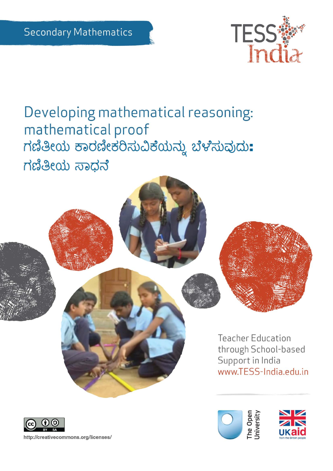

The Open<br>Jniversity

Developing mathematical reasoning: mathematical proof ಗಣಿತೀಯ ಕಾರಣೀಕರಿಸುವಿಕೆಯನ್ನು ಬೆಳೆಸುವುದು: ಗಣಿತೀಯ ಸಾಧನೆ



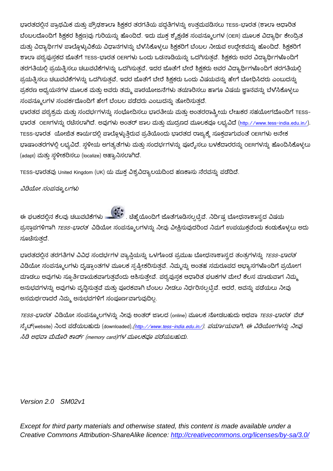ಭಾರತದಲ್ಲಿನ ಪ್ರಾಥಮಿಕ ಮತ್ತು ಪ್ರೌಢಶಾಲಾ ಶಿಕ್ಷಕರ ತರಗತಿಯ ಪದ್ಧತಿಗಳನ್ನು ಉತ್ತಮಪಡಿಸಲು TESS-ಭಾರತ (ಶಾಲಾ ಆಧಾರಿತ ಬೆಂಬಲದೊಂದಿಗೆ ಶಿಕ್ಷಕರ ಶಿಕ್ಷಣ)ವು ಗುರಿಯನ್ನು ಹೊಂದಿದೆ. ಇದು ಮುಕ್ತ ಶೈಕ್ಷಣಿಕ ಸಂಪನ್ಮೂಲಗಳ (OER) ಮೂಲಕ ವಿದ್ಯಾರ್ಥಿ ಕೇಂದ್ರಿತ ಮತ್ತು ವಿದ್ಯಾರ್ಥಿಗಳ ಪಾಲ್ಗೊಳ್ಳುವಿಕೆಯ ವಿಧಾನಗಳನ್ನು ಬೆಳೆಸಿಕೊಳ್ಳಲು ಶಿಕ್ಷಕರಿಗೆ ಬೆಂಬಲ ನೀಡುವ ಉದ್ದೇಶವನ್ನು ಹೊಂದಿದೆ. ಶಿಕ್ಷಕರಿಗೆ ಶಾಲಾ ಪಠ್ಯಪುಸ್ತಕದ ಜೊತೆಗೆ TESS-ಭಾರತ OERಗಳು ಒಂದು ಒಡನಾಡಿಯನ್ನು ಒದಗಿಸುತ್ತವೆ. ಶಿಕ್ಷಕರು ಅವರ ವಿದ್ಯಾರ್ಥಿಗಳೊಂದಿಗೆ ತರಗತಿಯಲ್ಲಿ ಪ್ರಯತ್ನಿಸಲು ಚಟುವಟಿಕೆಗಳನ್ನು ಒದಗಿಸುತ್ತವೆ, ಇದರ ಜೊತೆಗೆ ಬೇರೆ ಶಿಕ್ಷಕರು ಅವರ ವಿದ್ಯಾರ್ಥಿಗಳೊಂದಿಗೆ ತರಗತಿಯಲ್ಲಿ ಪ್ರಯತ್ನಿಸಲು ಚಟುವಟಿಕೆಗಳನ್ನು ಒದಗಿಸುತ್ತವೆ, ಇದರ ಜೊತೆಗೆ ಬೇರೆ ಶಿಕ್ಷಕರು ಒಂದು ವಿಷಯವನ್ನು ಹೇಗೆ ಬೋಧಿಸಿದರು ಎಂಬುದನ್ನು ಪ್ರಕರಣ ಅಧ್ಯಯನಗಳ ಮೂಲಕ ಮತ್ತು ಅವರು ತಮ್ಮ ಪಾಠಯೋಜನೆಗಳು ತಯಾರಿಸಲು ಹಾಗೂ ವಿಷಯ ಜ್ಞಾನವನ್ನು ಬೆಳೆಸಿಕೊಳ್ಳಲು ಸಂಪನ್ಮೂಲಗಳ ಸಂಪರ್ಕದೊಂದಿಗೆ ಹೇಗೆ ಬೆಂಬಲ ಪಡೆದರು ಎಂಬುದನ್ನು ತೋರಿಸುತದೆ.

ಭಾರತದ ಪಠ್ಯಕ್ರಮ ಮತ್ತು ಸಂದರ್ಭಗಳನ್ನು ಸಂಭೋದಿಸಲು ಭಾರತೀಯ ಮತ್ತು ಅಂತರರಾಷ್ಟ್ರೀಯ ಲೇಖಕರ ಸಹಯೋಗದೊಂದಿಗೆ TESSಭಾರತ OERಗಳನ್ನು ರಚೆಸಲಾಗಿದೆ. ಅವುಗಳು ಅಂತರ್ ಜಾಲ ಮತ್ತು ಮುದ್ರಣದ ಮೂಲಕವೂ ಲಭ್ಯವಿದೆ (<u><http://www.tess-india.edu.in/>)</u>. TESS-ಭಾರತ ಯೋಜಿತ ಕಾರ್ಯದಲ್ಲಿ ಪಾಲ್ಗೊಳ್ಳುತ್ತಿರುವ ಪ್ರತಿಯೊಂದು ಭಾರತದ ರಾಜ್ಯಕ್ಕೆ ಸೂಕ್ತವಾಗುವಂತೆ OERಗಳು ಅನೇಕ ಭಾಷಾಂತರಗಳಲ್ಲಿ ಲಭ್ಯವಿದೆ. ಸ್ಥಳೀಯ ಅಗತ್ಯತೆಗಳು ಮತ್ತು ಸಂದರ್ಭಗಳನ್ನು ಪೂರ್ರೈಸಲು ಬಳಕೆದಾರರನ್ನು OERಗಳನ್ನು ಹೊಂದಿಸಿಕೊಳ್ಳಲು (adapt) ಮತ್ತು ಸ್ಥಳೀಕರಿಸಲು (localize) ಆಹ್ಯಾನಿಸಲಾಗಿದೆ.

TESS-ಭಾರತವು United Kingdom (UK) ಯ ಮುಕ್ತ ವಿಶ್ವವಿದ್ಯಾಲಯದಿಂದ ಹಣಕಾಸು ನೆರವನ್ನು ಪಡೆದಿದೆ.

ವಿಡಿಯೋ ಸಂಪನ್ಮೂಲಗಳು

ಈ ಘಟಕದಲ್ಲಿನ ಕೆಲವು ಚಟುವಟಿಕೆಗಳು ನಮ್ಮ ಚಿಹ್ನೆಯೊಂದಿಗೆ ಜೊತೆಗೂಡಿಸಲ್ಪಟ್ಟಿವೆ. ನಿರ್ದಿಷ್ಟ ಬೋಧನಾಶಾಸ್ತ್ರದ ವಿಷಯ ಪ್ರಸ್ತಾಪಗಳಿಗಾಗಿ *TESS-ಭಾರತ* ವಿಡಿಯೋ ಸಂಪನ್ಮೂಲಗಳನ್ನು ನೀವು ವೀಕ್ಷಿಸುವುದರಿಂದ ನಿಮಗೆ ಉಪಯುಕ್ತವೆಂದು ಕಂಡುಕೊಳ್ಳಲು ಅದು ಸೂಚಿಸುತ್ತದೆ.

ಭಾರತದಲ್ಲಿನ ತರಗತಿಗಳ ವಿವಿಧ ಸಂದರ್ಭಗಳ ವ್ಯಾಪಿಯನ್ನು ಒಳಗೊಂಡ ಪ್ರಮುಖ ಬೋಧನಾಶಾಸ್ತ್ರದ ತಂತ್ರಗಳನ್ನು *TESS-ಭಾರತ* ವಿಡಿಯೋ ಸಂಪನ್ಮೂಲಗಳು ದೃಷ್ಟಾಂತಗಳ ಮೂಲಕ ಸ್ಪಷ್ಟೀಕರಿಸುತ್ತವೆ. ನಿಮ್ಮನ್ನು ಅಂತಹ ಸಮರೂಪದ ಅಭ್ಯಾಸಗಳೊಂದಿಗೆ ಪ್ರಯೋಗ ಮಾಡಲು ಅವುಗಳು ಸ್ಸೂರ್ತಿದಾಯಕವಾಗುತ್ತವೆಂದು ಆಶಿಸುತ್ತೇವೆ. ಪಠ್ಯಪುಸ್ತಕ ಆಧಾರಿತ ಘಟಕಗಳ ಮೇಲೆ ಕೆಲಸ ಮಾಡುವಾಗ ನಿಮ್ಮ ಅನುಭವಗಳನ್ನು ಅವುಗಳು ವೃದ್ಧಿಸುತ್ತವೆ ಮತ್ತು ಪೂರಕವಾಗಿ ಬೆಂಬಲ ನೀಡಲು ನಿರ್ಧರಿಸಲ್ಪಟ್ಟಿವೆ. ಆದರೆ, ಅವನ್ನು ಪಡೆಯಲು ನೀವು ಅಸಮರ್ಥರಾದರೆ ನಿಮ್ಮ ಅನುಭವಗಳಿಗೆ ಸಂಪೂರ್ಣವಾಗುವುದಿಲ್ಲ.

*TESS-ಭಾರತ*' ವಿಡಿಯೋ ಸಂಪನ್ಮೂಲಗಳನ್ನು ನೀವು ಅಂತರ್ ಜಾಲದ (online) ಮೂಲಕ ನೋಡಬಹುದು ಅಥವಾ *TESS-ಭಾರತ*' ವೆಬ್ ನ್ಶೆಟ್(website) ನಿಂದ ಪಡೆಯಬಹುದು (downloaded),*(http://www.tess-india.edu.in/). ಪರ್ಯಾಯವಾಗಿ, ಈ ವಿಡಿಯೋಗಳನ್ನು ನೀವು* ಸಿಡಿ ಅಥವಾ ಮೆಮೊರಿ ಕಾರ್ಡ್ (memory card)ಗಳ ಮೂಲಕವೂ ಪಡೆಯಬಹುದು.

*Version 2.0 SM02v1*

*Except for third party materials and otherwise stated, this content is made available under a Creative Commons Attribution-ShareAlike licence:<http://creativecommons.org/licenses/by-sa/3.0/>*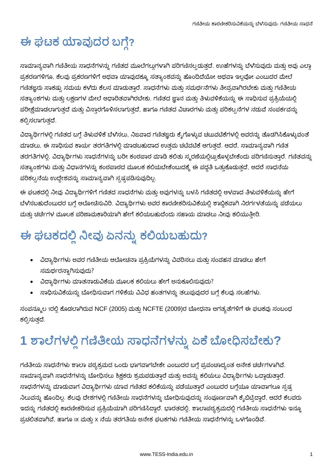# ಈ ಘಟಕ ಯಾವುದರ ಬಗ್ಗೆ?

ಸಾಮಾನ್ಯವಾಗಿ ಗಣಿತೀಯ ಸಾಧನೆಗಳನ್ನು ಗಣಿತದ ಮೂಲೆಗಲ್ಲುಗಳಾಗಿ ಪರಿಗಣಿಸಲ್ಪಡುತ್ತದೆ. ಉಹೆಗಳನ್ನು ಬೆಳೆಸುವುದು ಮತ್ತು ಅವು ಎಲ್ಲಾ ಪ್ರಕರಣಗಳಿಗೂ, ಕೆಲವು ಪ್ರಕರಣಗಳಿಗೆ ಅಥವಾ ಯಾವುದಕ್ಕೂ ಸತ್ಯಾಂಶವನ್ನು ಹೊಂದಿದೆಯೋ ಅಥವಾ ಇಲ್ಲವೋ ಎಂಬುದರ ಮೇಲೆ ಗಣಿತಜ್ಞರು ಸಾಕಷ್ಟು ಸಮಯ ಕಳೆದು ಕೆಲಸ ಮಾಡುತ್ತಾರೆ. ಸಾಧನೆಗಳು ಮತ್ತು ಸಮರ್ಥನೆಗಳು ತೀವ್ರವಾಗಿರಬೇಕು ಮತ್ತು ಗಣಿತೀಯ ಸತ್ಯಾಂಶಗಳು ಮತ್ತು ಲಕ್ಷಣಗಳ ಮೇಲೆ ಆಧಾರಿತವಾಗಿರಬೇಕು. ಗಣಿತದ ಜ್ಞಾನ ಮತ್ತು ತಿಳುವಳಿಕೆಯನ್ನು ಈ ಸಾಧಿಸುವ ಪ್ರಕ್ರಿಯೆಯಲ್ಲಿ ಪರೀಕ್ಷೆಮಾಡಲಾಗುತ್ತದೆ ಮತ್ತು ವಿಸ್ತಾರಗೊಳಿಸಲಾಗುತ್ತದೆ, ಹಾಗೂ ಗಣಿತದ ವಿಚಾರಗಳು ಮತ್ತು ಪರಿಕಲ್ಪನೆಗಳ ನಡುವೆ ಸಂಪರ್ಕವನ್ನು ಕಲ್ಪಿಸಲಾಗುತ್ತದೆ.

ವಿದ್ಯಾರ್ಥಿಗಳಲ್ಲಿ ಗಣಿತದ ಬಗ್ಗೆ ತಿಳುವಳಿಕೆ ಬೆಳೆಸಲು, ನಿಜವಾದ ಗಣಿತಜ್ಞರು ಕೈಗೊಳ್ಳುವ ಚಟುವಟಿಕೆಗಳಲ್ಲಿ ಅವರನ್ನು ತೊಡಗಿಸಿಕೊಳ್ಳುವಂತ ಮಾಡಲು, ಈ ಸಾಧಿಸುವ ಕಾರ್ಯ ತರಗತಿಗಳಲ್ಲಿ ಮಾಡಬಹುದಾದ ಉತ್ತಮ ಚಟಿವಟಿಕೆ ಆಗುತ್ತದೆ. ಆದರೆ, ಸಾಮಾನ್ಯವಾಗಿ ಗಣಿತ ತರಗತಿಗಳಲ್ಲಿ, ವಿದ್ಯಾರ್ಥಿಗಳು ಸಾಧನೆಗಳನ್ನು ಬರೀ ಕಂಠಪಾಠ ಮಾಡಿ ಕಲಿತು ಸ್ಮರಣೆಯಲ್ಲಿಟ್ಟುಕೊಳ್ಳಬೇಕೆಂದು ಪರಿಗಣಿಸುತ್ತಾರೆ. ಗಣಿತವನ್ನು ಸತ್ಯಾಂಶಗಳು ಮತ್ತು ವಿಧಾನಗಳನ್ನು ಕಂಠಪಾಠದ ಮೂಲಕ ಕಲಿಯಬೇಕೆಂಬುದಕ್ಕೆ ಈ ಪದ್ಧತಿ ಒತ್ತುಕೊಡುತ್ತದೆ, ಆದರೆ ಸಾಧನೆಯ ಪರಿಕಲ್ಪನೆಯ ಉದ್ದೇಶವನ್ನು ಸಾಮಾನ್ಯವಾಗಿ ಸ್ಪಷ್ಟಪಡಿಸುವುದಿಲ್ಲ.

ಈ ಘಟಕದಲ್ಲಿ ನೀವು ವಿದ್ಯಾರ್ಥಿಗಳಿಗೆ ಗಣಿತದ ಸಾಧನೆಗಳು ಮತ್ತು ಅವುಗಳನ್ನು ಬಳಸಿ ಗಣಿತದಲ್ಲಿ ಆಳವಾದ ತಿಳುವಳಿಕೆಯನ್ನು ಹೇಗೆ ಬೆಳೆಸಬಹುದೆಂಬುದರ ಬಗ್ಗೆ ಆಲೋಚಿಸುವಿರಿ. ವಿದ್ಯಾರ್ಥಿಗಳು ಅವರ ಕಾರಣೀಕರಿಸುವಿಕೆಯಲ್ಲಿ ಶಾಬ್ಧಿಕವಾಗಿ ನಿರರ್ಗಳತೆಯನ್ನು ಪಡೆಯಲು ಮತ್ತು ಚರ್ಚೆಗಳ ಮೂಲಕ ಪರಿಣಾಮಕಾರಿಯಾಗಿ ಹೇಗೆ ಕಲಿಯಬಹುದೆಂದು ಸಹಾಯ ಮಾಡಲು ನೀವು ಕಲಿಯುತ್ತೀರಿ.

# ಈ ಘಟಕದಲ್ಲಿ ನೀವು ಏನನ್ನು ಕಲಿಯಬಹುದು?

- ವಿದ್ಯಾರ್ಥಿಗಳು ಅವರ ಗಣಿತೀಯ ಆಲೋಚನಾ ಪ್ರಕ್ರಿಯೆಗಳನ್ನು ವಿವರಿಸಲು ಮತ್ತು ಸಂವಹನ ಮಾಡಲು ಹೇಗೆ ಸಮರ್ಥರನ್ನಾಗಿಸುವುದು?
- ವಿದ್ಯಾರ್ಥಿಗಳು ಮಾತನಾಡುವಿಕೆಯ ಮೂಲಕ ಕಲಿಯಲು ಹೇಗೆ ಅನುಕೂಲಿಸುವುದು?
- ಸಾಧಿಸುವಿಕೆಯನ್ನು ಬೋಧಿಸುವಾಗ ಗಳಿಕೆಯ ವಿವಿಧ ಹಂತಗಳನ್ನು ತಲುಪುವುದರ ಬಗ್ಗೆ ಕೆಲವು ಸಲಹೆಗಳು.

ಸಂಪನ್ಮೂಲ 1ರಲ್ಲಿ ಕೊಡಲಾಗಿರುವ NCF (2005) ಮತ್ತು NCFTE (2009)ರ ಬೋಧನಾ ಅಗತ್ಯತೆಗಳಿಗೆ ಈ ಘಟಕವು ಸಂಬಂಧ ಕಲ್ಪಿಸುತ್ತದೆ.

# 1 ಶಾಲೆಗಳಲ್ಲಿ ಗಣಿತೀಯ ಸಾಧನೆಗಳನ್ನು ಏಕೆ ಬೋಧಿಸಬೇಕು?

ಗಣಿತೀಯ ಸಾಧನೆಗಳು ಶಾಲಾ ಪಠ್ಯಕ್ರಮದ ಒಂದು ಭಾಗವಾಗಬೇಕೇ ಎಂಬುದರ ಬಗ್ಗೆ ಪ್ರಪಂಚಾದ್ಯಂತ ಅನೇಕ ಚರ್ಚೆಗಳಾಗಿವೆ. ಸಾಮಾನ್ಯವಾಗಿ ಸಾಧನೆಗಳನ್ನು ಬೋಧಿಸಲು ಶಿಕ್ಷಕರು ಶ್ರಮಪಡುತ್ತಾರೆ ಮತ್ತು ಅವನ್ನು ಕಲಿಯಲು ವಿದ್ಯಾರ್ಥಿಗಳು ಒದ್ದಾಡುತ್ತಾರೆ. ಸಾಧನೆಗಳನ್ನು ಮಾಡುವಾಗ ವಿದ್ಯಾರ್ಥಿಗಳು ಯಾವ ಗಣಿತದ ಕಲಿಕೆಯನ್ನು ಪಡೆಯುತ್ತಾರೆ ಎಂಬುದರ ಬಗ್ಗೆಯೂ ಯಾವಾಗಲೂ ಸ್ಪಷ್ಟ ನಿಲುವನ್ನು ಹೊಂದಿಲ್ಲ. ಕೆಲವು ದೇಶಗಳಲ್ಲಿ ಗಣಿತೀಯ ಸಾಧನೆಗಳನ್ನು ಬೋಧಿಸುವುದನ್ನು ಸಂಪೂರ್ಣವಾಗಿ ಕ್ಶೆಬಿಟ್ಟಿದ್ದಾರೆ, ಆದರೆ ಕೆಲವರು ಇದನ್ನು ಗಣಿತದಲ್ಲಿ ಕಾರಣೀಕರಿಸುವ ಪ್ರಕ್ರಿಯೆಯಾಗಿ ಪರಿಗಣಿಸಿದ್ದಾರೆ. ಭಾರತದಲ್ಲಿ, ಶಾಲಾಪಠ್ಯಕ್ರಮದಲ್ಲಿ ಗಣಿತೀಯ ಸಾಧನೆಗಳು ಇನ್ನೂ ಪ್ರಚಲಿತವಾಗಿವೆ, ಹಾಗೂ IX ಮತ್ತು X ನೆಯ ತರಗತಿಯ ಅನೇಕ ಘಟಕಗಳು ಗಣಿತೀಯ ಸಾಧನೆಗಳನ್ನು ಒಳಗೊಂಡಿವೆ.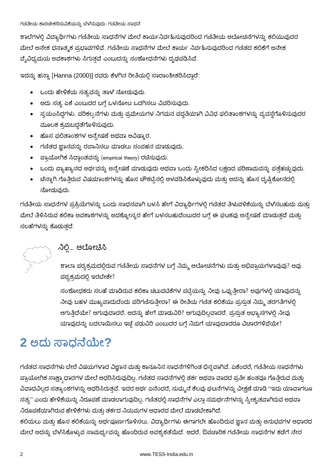ಶಾಲೆಗಳಲ್ಲಿ ವಿದ್ಯಾರ್ಥಿಗಳು ಗಣಿತೀಯ ಸಾಧನೆಗಳ ಮೇಲೆ ಕಾರ್ಯನಿರ್ವಹಿಸುವುದರಿಂದ ಗಣಿತೀಯ ಆಲೋಚನೆಗಳನ್ನು ಕಲಿಯುವುದರ ಮೇಲೆ ಅನೇಕ ಧನಾತ್ಮಕ ಪ್ರಭಾವಗಳಿವೆ. ಗಣಿತೀಯ ಸಾಧನೆಗಳ ಮೇಲೆ ಕಾರ್ಯ ನಿರ್ವಹಿಸುವುದರಿಂದ ಗಣಿತದ ಕಲಿಕೆಗೆ ಅನೇಕ ವ್ಯೆವಿಧ್ಯಮಯ ಅವಕಾಶಗಳು ಸಿಗುತ್ತವೆ ಎಂಬುದನ್ನು ಸಂಶೋಧನೆಗಳು ದೃಢಪಡಿಸಿವೆ.

ಇದನ್ನು ಹನ್ನಾ [Hanna (2000)] ರವರು ಕೆಳಗಿನ ರೀತಿಯಲ್ಲಿ ಸಾರಾಂಶೀಕರಿಸಿದ್ದಾರೆ:

- ಒಂದು ಹೇಳಿಕೆಯ ಸತ್ಯವನ್ನು ತಾಳೆ ನೋಡುವುದು.
- ಅದು ಸತ್ಯ ಏಕೆ ಎಂಬುದರ ಬಗ್ಗೆ ಒಳನೋಟ ಒದಗಿಸಲು ವಿವರಿಸುವುದು.
- ಸ್ವಯಂಸಿದ್ದಗಳು, ಪರಿಕಲ್ಪನೆಗಳು ಮತ್ತು ಪ್ರಮೇಯಗಳ ನಿಗಮನ ಪದ್ಧತಿಯಾಗಿ ವಿವಿಧ ಫಲಿತಾಂಶಗಳನ್ನು ವ್ಯವಸ್ಥೆಗೊಳಿಸುವುದರ ಮೂಲಕ ಕ್ರಮಬದ್ಧತೆಗೊಳಿಸುವುದು.
- ಹೊಸ ಫಲಿತಾಂಶಗಳ ಅನ್ವೇಷಣೆ ಅಥವಾ ಅವಿಷ್ಕಾರ.
- ಗಣಿತದ ಜ್ಞಾನವನ್ನು ರವಾನಿಸಲು ಮಾಡಲು ಸಂವಹನ ಮಾಡುವುದು.
- ಪ್ರಾಯೋಗಿಕ ಸಿದ್ಧಾಂತವನ್ನು (empirical theory) ರಚೆಸುವುದು.
- ಒಂದು ವ್ಯಾಖ್ಯಾನದ ಅರ್ಥವನ್ನು ಅನ್ವೇಷಣೆ ಮಾಡುವುದು ಅಥವಾ ಒಂದು ಸ್ವೀಕರಿಸಿದ ಲಕ್ಷಣದ ಪರಿಣಾಮವನ್ನು ಪತ್ತೆಹಚ್ಚುವುದು.
- ಚೆನ್ನಾಗಿ ಗೊತ್ತಿರುವ ವಿಷಯಾಂಶಗಳನ್ನು ಹೊಸ ಚೌಕಟ್ಟಿನಲ್ಲಿ ಆಳವಡಿಸಿಕೊಳ್ಳುವುದು ಮತ್ತು ಅದನ್ನು ಹೊಸ ದೃಷ್ಟಿಕೋನದಲ್ಲಿ ನೋದುವುದು.

ಗಣಿತೀಯ ಸಾಧನೆಗಳ ಪ್ರಕ್ರಿಯೆಗಳನ್ನು ಒಂದು ಸಾಧನವಾಗಿ ಬಳಸಿ ಹೇಗೆ ವಿದ್ಯಾರ್ಥಿಗಳಲ್ಲಿ ಗಣಿತದ ತಿಳುವಳಿಕೆಯನ್ನು ಬೆಳೆಸಬಹುದು ಮತ್ತು ಮೇಲೆ ತಿಳಿಸಿರುವ ಕಲಿಕಾ ಅವಕಾಶಗಳನ್ನು ಅದಕ್ಕೋಸ್ಕರ ಹೇಗೆ ಬಳಸಬಹುದೆಂಬುದರ ಬಗ್ಗೆ ಈ ಘಟಕವು ಅನ್ವೇಷಣೆ ಮಾಡುತ್ತದೆ ಮತ್ತು ಸಲಹೆಗಳನ್ನು ಕೊಡುತ್ತದೆ.

#### ನಿಲ್ಲಿ... ಆಲೋಚಿಸಿ

ಶಾಲಾ ಪಠ್ಯಕ್ರಮದಲ್ಲಿರುವ ಗಣಿತೀಯ ಸಾಧನೆಗಳ ಬಗ್ಗೆ ನಿಮ್ಮ ಆಲೋಚನೆಗಳು ಮತ್ತು ಅಭಿಪ್ರಾಯಗಳಾವುವು? ಅವು ಪಠ್ಯಕ್ರಮದಲ್ಲಿ ಇರಬೇಕೇ?

ಸಂಶೋಧಕರು ಸಲಹೆ ಮಾಡಿರುವ ಕಲಿಕಾ ಚಟುವಟಿಕೆಗಳ ಪಟ್ಟಿಯನ್ನು ನೀವು ಒಪ್ಪುತ್ತೀರಾ? ಅವುಗಳಲ್ಲಿ ಯಾವುದನ್ನು ನೀವು ಬಹಳ ಮುಖ್ಯವಾದುದೆಂದು ಪರಿಗಣಿಸುತ್ತೀರಾ? ಈ ರೀತಿಯ ಗಣಿತ ಕಲಿಕೆಯು ಪ್ರಸ್ತುತ ನಿಮ್ಮ ತರಗತಿಗಳಲ್ಲಿ ಆಗುತ್ತಿದೆಯೇ? ಆಗುವುದಾದರೆ, ಅದನ್ನು ಹೇಗೆ ಮಾಡುವಿರಿ? ಆಗುವುದಿಲ್ಲವಾದರೆ, ಪ್ರಸ್ತುತ ಅಭ್ಯಾಸಗಳಲ್ಲಿ ನೀವು ಯಾವುದನ್ನು ಬದಲಾಯಿಸಲು ಇಚ್ಛೆ ಪಡುವಿರಿ ಎಂಬುದರ ಬಗ್ಗೆ ನಿಮಗೆ ಯಾವುದಾದರೂ ವಿಚಾರಗಳಿವೆಯೇ?

### 2 ಅದು ಸಾಧನೆಯೇ?

ಗಣಿತದ ಸಾಧನೆಗಳು ಬೇರೆ ವಿಷಯಗಳಾದ ವಿಜ್ಞಾನ ಮತ್ತು ಕಾನೂನಿನ ಸಾಧನೆಗಳಿಗಿಂತ ಭಿನ್ನವಾಗಿವೆ. ಏಕೆಂದರೆ, ಗಣಿತೀಯ ಸಾಧನೆಗಳು ಪ್ರಾಯೋಗಿಕ ಸಾಕ್ಷಾ ಧಾರಗಳ ಮೇಲೆ ಆಧರಿಸಿರುವುದಿಲ್ಲ. ಗಣಿತದ ಸಾಧನೆಗಳಲ್ಲಿ ತರ್ಕ ಅಥವಾ ವಾದದ ಪ್ರತೀ ಹಂತವೂ ಗೊತ್ತಿರುವ ಮತ್ತು ವಿವಾದವಿಲ್ಲದ ಸತ್ಯಾಂಶಗಳನ್ನು ಆಧರಿಸಿರುತ್ತವೆ. ಇದರ ಅರ್ಥ ಏನೆಂದರೆ, ಸುಮ್ಮನೆ ಕೆಲವು ಘಟನೆಗಳನ್ನು ವೀಕ್ಷಣೆ ಮಾಡಿ "ಇದು ಯಾವಾಗಲೂ ಸತ್ಯ" ಎಂದು ಹೇಳಿಕೆಯನ್ನು ನಿರೂಪಣೆ ಮಾಡಲಾಗುವುದಿಲ್ಲ. ಗಣಿತದಲ್ಲಿ ಸಾಧನೆಗಳ ಎಲ್ಲಾ ಸಮರ್ಥನೆಗಳನ್ನು ಸ್ವೀಕೃತವಾಗಿರುವ ಅಥವಾ ನಿರೂಪಣೆಯಾಗಿರುವ ಹೇಳಿಕೆಗಳು ಮತ್ತು ತರ್ಕದ ನಿಯಮಗಳ ಆಧಾರದ ಮೇಲೆ ಮಾಡಬೇಕಾಗಿದೆ.

ಕಲಿಯಲು ಮತ್ತು ಹೊಸ ಕಲಿಕೆಯನ್ನು ಅರ್ಥಪೂರ್ಣಗೊಳಿಸಲು, ವಿದ್ಯಾರ್ಥಿಗಳು ಈಗಾಗಲೇ ಹೊಂದಿರುವ ಜ್ಞಾನ ಮತ್ತು ಅನುಭವಗಳ ಆಧಾರದ ಮೇಲೆ ಅದನ್ನು ಬೆಳೆಸಿಕೊಳ್ಳುವ ಸಾಮರ್ಥ್ಯವನ್ನು ಹೊಂದಿರುವ ಅವಶ್ಯಕತೆಯಿದೆ. ಆದರೆ, ಔಪಚಾರಿಕ ಗಣಿತೀಯ ಸಾಧನೆಗಳ ಕಡೆಗೆ ನೇರ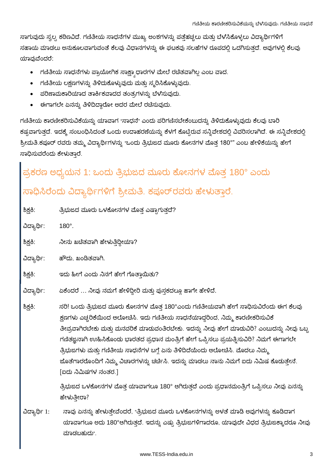ಸಾಗುವುದು ಸ್ವಲ್ಪ ಕಠಿಣವಿದೆ. ಗಣಿತೀಯ ಸಾಧನೆಗಳ ಮುಖ್ಯ ಅಂಶಗಳನ್ನು ಪತ್ತೆಹಚ್ಚಲು ಮತ್ತು ಬೆಳಸಿಕೊಳ್ಳಲು ವಿದ್ಯಾರ್ಥಿಗಳಿಗೆ ಸಹಾಯ ಮಾಡಲು ಅನುಕೂಲವಾಗುವಂತೆ ಕೆಲವು ವಿಧಾನಗಳನ್ನು ಈ ಘಟಕವು ಸಲಹೆಗಳ ರೂಪದಲ್ಲಿ ಒದಗಿಸುತ್ತದೆ. ಅವುಗಳಲ್ಲಿ ಕೆಲವು ಯಾವುವೆಂದರೆ:

- ಗಣಿತೀಯ ಸಾಧನೆಗಳು ಪ್ರಾಯೋಗಿಕ ಸಾಕ್ಷ್ಯಾಧಾರಗಳ ಮೇಲೆ ರಚಿತವಾಗಿಲ್ಲ ಎಂಬ ವಾದ.
- ಗಣಿತೀಯ ಲಕ್ಷಣಗಳನ್ನು ತಿಳಿದುಕೊಳ್ಳುವುದು ಮತ್ತು ಸ್ಮರಿಸಿಕೊಳ್ಳುವುದು.
- ಪರಿಣಾಮಕಾರಿಯಾದ ತಾರ್ಕಿಕವಾದದ ತಂತ್ರಗಳನ್ನು ಬೆಳೆಸುವುದು.
- ಈಗಾಗಲೇ ಏನನ್ನು ತಿಳಿದಿದ್ದಾರೋ ಅದರ ಮೇಲೆ ರಚೆಸುವುದು.

ಗಣಿತೀಯ ಕಾರಣೀಕರಿಸುವಿಕೆಯನ್ನು ಯಾವಾಗ "ಸಾಧನೆ" ಎಂದು ಪರಿಗಣಿಸಬೇಕೆಂಬುದನ್ನು ತಿಳಿದುಕೊಳ್ಳುವುದು ಕೆಲವು ಬಾರಿ ಕಷ್ಟವಾಗುತ್ತದೆ. ಇದಕ್ಕೆ ಸಂಬಂಧಿಸಿದಂತೆ ಒಂದು ಉದಾಹರಣೆಯನ್ನು ಕೆಳಗೆ ಕೊಟ್ಟಿರುವ ಸನ್ನಿವೇಶದಲ್ಲಿ ವಿವರಿಸಲಾಗಿದೆ. ಈ ಸನ್ನಿವೇಶದಲ್ಲಿ ಶ್ರೀಮತಿ.ಕಪೂರ್ ರವರು ತಮ್ಮ ವಿದ್ಯಾರ್ಥಿಗಳನ್ನು "ಒಂದು ತ್ರಿಭುಜದ ಮೂರು ಕೋನಗಳ ಮೊತ್ತ 180°" ಎಂಬ ಹೇಳಿಕೆಯನ್ನು ಹೇಗೆ ಸಾಧಿಸುವರೆಂದು ಕೇಳುತಾರೆ.

# ಪ್ರಕರಣ ಅಧ್ಯಯನ 1: ಒಂದು ತ್ರಿಭುಜದ ಮೂರು ಕೋನಗಳ ಮೊತ್ತ 180° ಎಂದು ಸಾಧಿಸಿರೆಂದು ವಿದ್ಯಾರ್ಥಿಗಳಿಗೆ ಶ್ರೀಮತಿ. ಕಪೂರ್ರವರು ಹೇಳುತ್ತಾರೆ.

ಶಿಕ್ಷಕಿ: ತ್ರಿಭುಜದ ಮೂರು ಒಳಕೋನಗಳ ಮೊತ್ತ ಎಷ್ಟಾಗುತ್ತದೆ?

 $180^\circ$ . ವಿದ್ಯಾರ್ಥಿ:

ಶಿಕ್ಷಕಿ: ನೀನು ಖಚಿತವಾಗಿ ಹೇಳುತಿದ್ದೀಯಾ?

ವಿದ್ಯಾರ್ಥಿ: ಹೌದು, ಖಂಡಿತವಾಗಿ.

#### ಶಿಕ್ಷಕಿ: ಇದು ಹೀಗೆ ಎಂದು ನಿನಗೆ ಹೇಗೆ ಗೊತಾಯಿತು?

ಏಕೆಂದರೆ ... ನೀವು ನಮಗೆ ಹೇಳಿದ್ದೀರಿ ಮತ್ತು ಪುಸ್ತಕದಲ್ಲೂ ಹಾಗೇ ಹೇಳಿದೆ. ವಿದ್ಯಾರ್ಥಿ:

ಸರಿ! ಒಂದು ತ್ರಿಭುಜದ ಮೂರು ಕೋನಗಳ ಮೊತ್ತ 180°ಎಂದು ಗಣಿತೀಯವಾಗಿ ಹೇಗೆ ಸಾಧಿಸುವಿರೆಂದು ಈಗ ಕೆಲವು ಶಿಕ್ಷಕಿ: ಕ್ಷಣಗಳು ಎಚ್ಚರಿಕೆಯಿಂದ ಆಲೋಚಿಸಿ. ಇದು ಗಣಿತೀಯ ಸಾಧನೆಯಾದ್ದರಿಂದ, ನಿಮ್ಮ ಕಾರಣೀಕರಿಸುವಿಕೆ ತೀವ್ರವಾಗಿರಬೇಕು ಮತ್ತು ಮನವರಿಕೆ ಮಾಡುವಂತಿರಬೇಕು. ಇದನ್ನು ನೀವು ಹೇಗೆ ಮಾಡುವಿರಿ? ಎಂಬುದನ್ನು ನೀವು ಒಬ್ಬ ಗಣಿತಜ್ಞನಾಗಿ ಉುಹಿಸಿಕೊಂಡು ಭಾರತದ ಪ್ರಧಾನ ಮಂತ್ರಿಗೆ ಹೇಗೆ ಒಪ್ಪಿಸಲು ಪ್ರಯತ್ನಿಸುವಿರಿ? ನಿಮಗೆ ಈಗಾಗಲೇ ತ್ರಿಭುಜಗಳು ಮತ್ತು ಗಣಿತೀಯ ಸಾಧನೆಗಳ ಬಗ್ಗೆ ಏನು ತಿಳಿದಿದೆಯೆಂದು ಆಲೋಚಿಸಿ. ಮೊದಲು ನಿಮ್ಮ ಜೊತೆಗಾರರೊಂದಿಗೆ ನಿಮ್ಮ ವಿಚಾರಗಳನ್ನು ಚರ್ಚಿಸಿ. ಇದನ್ನು ಮಾಡಲು ನಾನು ನಿಮಗೆ ಐದು ನಿಮಿಷ ಕೊಡುತ್ತೇನೆ. [ಐದು ನಿಮಿಷಗಳ ನಂತರ.]

> ತ್ರಿಭುಜದ ಒಳಕೋನಗಳ ಮೊತ್ತ ಯಾವಾಗಲೂ 180° ಆಗಿರುತ್ತದೆ ಎಂದು ಪ್ರಧಾನಮಂತ್ರಿಗೆ ಒಪ್ಪಿಸಲು ನೀವು ಏನನ್ನು ಹೇಳುತೀರಾ?

ನಾವು ಏನನ್ನು ಹೇಳುತ್ತೇವೆಂದರೆ, "ತ್ರಿಭುಜದ ಮೂರು ಒಳಕೋನಗಳನ್ನು ಅಳತೆ ಮಾಡಿ ಅವುಗಳನ್ನು ಕೂಡಿದಾಗ ವಿದ್ಯಾರ್ಥಿ 1: ಯಾವಾಗಲೂ ಅದು 180°ಆಗಿರುತ್ತದೆ. ಇದನ್ನು ಎಷ್ಟು ತ್ರಿಭುಜಗಳಿಗಾದರೂ, ಯಾವುದೇ ವಿಧದ ತ್ರಿಭುಜಕ್ಕಾದರೂ ನೀವು ಮಾಡಬಹುದು".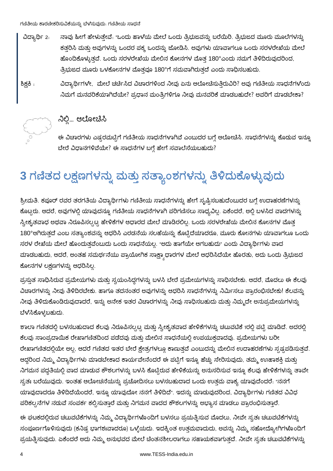- ವಿದ್ಯಾರ್ಥಿ 2: ನಾವು ಹೀಗೆ ಹೇಳುತ್ತೇವೆ. "ಒಂದು ಹಾಳೆಯ ಮೇಲೆ ಒಂದು ತ್ರಿಭುಜವನ್ನು ಬರೆಯಿರಿ. ತ್ರಿಭುಜದ ಮೂರು ಮೂಲೆಗಳನ್ನು ಕತ್ತರಿಸಿ ಮತ್ತು ಅವುಗಳನ್ನು ಒಂದರ ಪಕ್ಕ ಒಂದನ್ನು ಜೋಡಿಸಿ. ಅವುಗಳು ಯಾವಾಗಲೂ ಒಂದು ಸರಳರೇಖೆಯ ಮೇಲೆ ಹೊಂದಿಕೊಳ್ಳುತ್ತವೆ. ಒಂದು ಸರಳರೇಖೆಯ ಮೇಲಿನ ಕೋನಗಳ ಮೊತ್ತ 180°ಎಂದು ನಮಗೆ ತಿಳಿದಿರುವುದರಿಂದ, ತ್ರಿಭುಜದ ಮೂರು ಒಳಕೋನಗಳ ಮೊತ್ತವೂ 180°ಗೆ ಸಮವಾಗಿರುತ್ತದೆ ಎಂದು ಸಾಧಿಸಬಹುದು.
- ಶಿಕ್ಷಕಿ :

ವಿದ್ಯಾರ್ಥಿಗಳೇ, ಮೇಲೆ ಚರ್ಚಿಸಿದ ವಿಚಾರಗಳಿಂದ ನೀವು ಏನು ಆಲೋಚಿಸುತ್ತಿರುವಿರಿ? ಅವು ಗಣಿತೀಯ ಸಾಧನೆಗಳೆಂದು ನಿಮಗೆ ಮನವರಿಕೆಯಾಗಿದೆಯೇ? ಪ್ರಧಾನ ಮಂತ್ರಿಗಳಿಗೂ ನೀವು ಮನವರಿಕೆ ಮಾಡಬಹುದೇ? ಅವರಿಗೆ ಮಾಡಬೇಕಾ?



#### ನಿಲ್ಲಿ... ಆಲೋಚಿಸಿ

ಈ ವಿಚಾರಗಳು ಎಷ್ಟರಮಟ್ಟಿಗೆ ಗಣಿತೀಯ ಸಾಧನೆಗಳಾಗಿವೆ ಎಂಬುದರ ಬಗ್ಗೆ ಆಲೋಚಿಸಿ. ಸಾಧನೆಗಳನ್ನು ಕೊಡುವ ಇನ್ನೂ ಬೇರೆ ವಿಧಾನಗಳಿವೆಯೇ? ಈ ಸಾಧನೆಗಳ ಬಗ್ಗೆ ಹೇಗೆ ಸವಾಲೆಸೆಯಬಹುದು?

### 3 ಗಣಿತದ ಲಕ್ಷಣಗಳನ್ನು ಮತ್ತು ಸತ್ಯಾಂಶಗಳನ್ನು ತಿಳಿದುಕೊಳ್ಳುವುದು

ಶ್ರೀಮತಿ. ಕಪೂರ್ ರವರ ತರಗತಿಯ ವಿದ್ಯಾರ್ಥಿಗಳು ಗಣಿತೀಯ ಸಾಧನೆಗಳನ್ನು ಹೇಗೆ ಸೃಷ್ಟಿಸಬಹುದೆಂಬುದರ ಬಗ್ಗೆ ಉದಾಹರಣೆಗಳನ್ನು ಕೊಟ್ಟರು. ಆದರೆ, ಅವುಗಳಲ್ಲಿ ಯಾವುದನ್ನೂ ಗಣಿತೀಯ ಸಾಧನೆಗಳಾಗಿ ಪರಿಗಣಿಸಲು ಸಾಧ್ಯವಿಲ್ಲ. ಏಕೆಂದರೆ, ಅಲ್ಲಿ ಬಳಸಿದ ವಾದಗಳನ್ನು ಸ್ವೀಕೃತವಾಧ ಅಥವಾ ನಿರೂಪಿಸಲ್ಪಟ್ಟ ಹೇಳಿಕೆಗಳ ಆಧಾರದ ಮೇಲೆ ಮಾಡಿರಲಿಲ್ಲ. ಒಂದು ಸರಳರೇಖೆಯ ಮೇಲಿನ ಕೋನಗಳ ಮೊತ್ತ 180°ಆಗಿರುತ್ತದೆ ಎಂಬ ಸತ್ಯಾಂಶವನ್ನು ಆಧರಿಸಿ ಎರಡನೆಯ ಸಲಹೆಯನ್ನು ಕೊಟ್ಟಿದೆಯಾದರೂ, ಮೂರು ಕೋನಗಳು ಯಾವಾಗಲೂ ಒಂದು ಸರಳ ರೇಖೆಯ ಮೇಲೆ ಹೊಂದುತ್ತವೆಂಬುದು ಒಂದು ಸಾಧನೆಯಲ್ಲ. "ಅದು ಹಾಗೆಯೇ ಆಗಬಹುದು" ಎಂದು ವಿದ್ಯಾರ್ಥಿಗಳು ವಾದ ಮಾಡಬಹುದು, ಆದರೆ, ಅಂತಹ ಸಮರ್ಥನೆಯು ಪ್ರಾಯೋಗಿಕ ಸಾಕ್ಷ್ಯಾಧಾರಗಳ ಮೇಲೆ ಆಧರಿಸಿದೆಯೇ ಹೊರತು, ಅದು ಒಂದು ತ್ರಿಭುಜದ ಕೋನಗಳ ಲಕ್ಷಣಗಳನ್ನು ಆಧರಿಸಿಲ್ಲ.

ಪ್ರಸ್ತುತ ಸಾಧಿಸಿರುವ ಪ್ರಮೇಯಗಳು ಮತ್ತು ಸ್ವಯಂಸಿದ್ಧಗಳನ್ನು ಬಳಸಿ ಬೇರೆ ಪ್ರಮೇಯಗಳನ್ನು ಸಾಧಿಸಬೇಕು. ಆದರೆ, ಮೊದಲು ಈ ಕೆಲವು ವಿಚಾರಗಳನ್ನು ನೀವು ತಿಳಿದಿರಬೇಕು. ಹಾಗೂ ತದನಂತರ ಅವುಗಳನ್ನು ಆಧರಿಸಿ ಸಾಧನೆಗಳನ್ನು ನಿರ್ಮಿಸಲು ಪ್ರಾರಂಭಿಸಬೇಕು! ಕೆಲವನ್ನು ನೀವು ತಿಳಿದುಕೊಂಡಿರುವುದಾದರೆ, ಇನ್ನು ಅನೇಕ ಇತರ ವಿಚಾರಗಳನ್ನು ನೀವು ಸಾಧಿಸಬಹುದು ಮತ್ತು ನಿಮ್ಮದೇ ಅನುಪ್ರಮೇಯಗಳನ್ನು ಬೆಳೆಸಿಕೊಳ್ಳಬಹುದು.

ಶಾಲಾ ಗಣಿತದಲ್ಲಿ ಬಳಸಬಹುದಾದ ಕೆಲವು ನಿರೂಪಿಸಲ್ಪಟ್ಟ ಮತ್ತು ಸ್ವೀಕೃತವಾದ ಹೇಳಿಕೆಗಳನ್ನು ಚಟುವಟಿಕೆ 1ರಲ್ಲಿ ಪಟ್ಟಿ ಮಾಡಿದೆ. ಅದರಲ್ಲಿ ಕೆಲವು ಸಾಂಪ್ರದಾಯಿಕ ರೇಖಾಗಣಿತದಿಂದ ಪಡೆದವು ಮತ್ತು ಮೇಲಿನ ಸಾಧನೆಯಲ್ಲಿ ಉಪಯುಕ್ತವಾದವು. ಪ್ರಮೇಯಗಳು ಬರೀ ರೇಖಾಗಣಿತದಲ್ಲಿಯೇ ಅಲ್ಲ. ಆದರೆ ಗಣಿತದ ಇತರ ಬೇರೆ ಕ್ಷೇತ್ರಗಳಲ್ಲೂ ಕಾಣುತ್ತವೆ ಎಂಬುದನ್ನು ಮೇಲಿನ ಉದಾಹರಣೆಗಳು ಸೃಷ್ಟಪಡಿಸುತ್ತವೆ. ಆದ್ದರಿಂದ ನಿಮ್ಮ ವಿದ್ಯಾರ್ಥಿಗಳು ಮಾಡಬೇಕಾದ ಕಾರ್ಯವೇನೆಂದರೆ ಈ ಪಟ್ಟಿಗೆ ಇನ್ನೂ ಹೆಚ್ಚು ಸೇರಿಸುವುದು, ತಮ್ಮ ಉುಹಾಶಕ್ತಿ ಮತ್ತು ನಿಗಮನ ಪದ್ಧತಿಯಲ್ಲಿ ವಾದ ಮಾಡುವ ಕೌಶಲಗಳನ್ನು ಬಳಸಿ ಕೊಟ್ಟಿರುವ ಹೇಳಿಕೆಯನ್ನು ಅನುಸರಿಸುವ ಇನ್ನೂ ಕೆಲವು ಹೇಳಿಕೆಗಳನ್ನು ತಾವೇ ಸ್ವತಃ ಬರೆಯುವುದು. ಇಂತಹ ಆಲೋಚನೆಯನ್ನು ಪ್ರಚೋದಿಸಲು ಬಳಸಬಹುದಾದ ಒಂದು ಉತ್ತಮ ವಾಕ್ಯ ಯಾವುದೆಂದರೆ. "ನನಗೆ ಯಾವುದಾದರೂ ತಿಳಿದಿದೆಯೆಂದರೆ, ಇನ್ನೂ ಯಾವುದೋ ನನಗೆ ತಿಳಿದಿದೆ". ಇದನ್ನು ಮಾಡುವುದರಿಂದ, ವಿದ್ಯಾರ್ಥಿಗಳು ಗಣಿತದ ವಿವಿಧ ಪರಿಕಲ್ಪನೆಗಳ ನಡುವೆ ಸಂಪರ್ಕ ಕಲ್ಪಿಸುತ್ತಾರೆ ಮತ್ತು ನಿಗಮನ ವಾದದ ಕೌಶಲಗಳನ್ನು ಅಭ್ಯಾಸ ಮಾಡಲು ಪ್ರಾರಂಭಿಸುತ್ತಾರೆ.

ಈ ಘಟಕದಲ್ಲಿರುವ ಚಟುವಟಿಕೆಗಳನ್ನು ನಿಮ್ಮ ವಿದ್ಯಾರ್ಥಿಗಳೊಂದಿಗೆ ಬಳಸಲು ಪ್ರಯತ್ನಿಸುವ ಮೊದಲು, ನೀವೇ ಸ್ವತಃ ಚಟುವಟಿಕೆಗಳನ್ನು ಸಂಪೂರ್ಣಗೊಳಿಸುವುದು (ಕನಿಷ್ಪ ಭಾಗಶಃವಾದರೂ) ಒಳ್ಳೆಯದು. ಇದಕ್ಕಿಂತ ಉತ್ತಮವಾದುದು, ಅವನ್ನು ನಿಮ್ಮ ಸಹೋದ್ಯೋಗಿಗಳೊಂದಿಗೆ ಪ್ರಯತ್ನಿಸುವುದು. ಏಕೆಂದರೆ ಅದು ನಿಮ್ಮ ಅನುಭವದ ಮೇಲೆ ಚಿಂತನಶೀಲರಾಗಲು ಸಹಾಯಕವಾಗುತ್ತದೆ. ನೀವೇ ಸ್ವತಃ ಚಟುವಟಿಕೆಗಳನ್ನು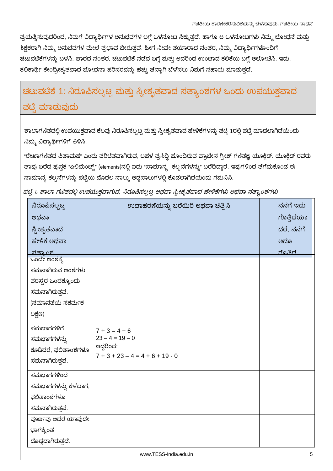ಪ್ರಯತ್ನಿಸುವುದರಿಂದ, ನಿಮಗೆ ವಿದ್ಯಾರ್ಥಿಗಳ ಅನುಭವಗಳ ಬಗ್ಗೆ ಒಳನೋಟ ಸಿಕ್ಕುತ್ತದೆ. ಹಾಗೂ ಆ ಒಳನೋಟಗಳು ನಿಮ್ಮ ಬೋಧನೆ ಮತ್ತು ಶಿಕ್ಷಕರಾಗಿ ನಿಮ್ಮ ಅನುಭವಗಳ ಮೇಲೆ ಪ್ರಭಾವ ಬೀರುತ್ತವೆ. ಹೀಗೆ ನೀವೇ ತಯಾರಾದ ನಂತರ, ನಿಮ್ಮ ವಿದ್ಯಾರ್ಥಿಗಳೊಂದಿಗೆ ಚಟುವಟಿಕೆಗಳನ್ನು ಬಳಸಿ. ಪಾಠದ ನಂತರ, ಚಟುವಟಿಕೆ ನಡೆದ ಬಗ್ಗೆ ಮತ್ತು ಅದರಿಂದ ಉಂಟಾದ ಕಲಿಕೆಯ ಬಗ್ಗೆ ಆಲೋಚಿಸಿ. ಇದು, ಕಲಿಕಾರ್ಥಿ ಕೇಂದ್ರೀಕೃತವಾದ ಬೋಧನಾ ಪರಿಸರವನ್ನು ಹೆಚ್ಚು ಚೆನ್ನಾಗಿ ಬೆಳೆಸಲು ನಿಮಗೆ ಸಹಾಯ ಮಾಡುತ್ತದೆ.

### ಚಟುವಟಿಕೆ 1: ನಿರೂಪಿಸಲ್ಪಟ್ಟ ಮತ್ತು ಸ್ವೀಕೃತವಾದ ಸತ್ಯಾಂಶಗಳ ಒಂದು ಉಪಯುಕ್ತವಾದ ಪಟ್ಟಿ ಮಾಡುವುದು

ಶಾಲಾಗಣಿತದಲ್ಲಿ ಉಪಯುಕ್ತವಾದ ಕೆಲವು ನಿರೂಪಿಸಲ್ಪಟ್ಟ ಮತ್ತು ಸ್ವೀಕೃತವಾದ ಹೇಳಿಕೆಗಳನ್ನು ಪಟ್ಟಿ 1ರಲ್ಲಿ ಪಟ್ಟಿ ಮಾಡಲಾಗಿದೆಯೆಂದು ನಿಮ್ಮ ವಿದ್ಯಾರ್ಥಿಗಳಿಗೆ ತಿಳಿಸಿ.

"ರೇಖಾಗಣಿತದ ಪಿತಾಮಹ" ಎಂದು ಪರಿಚಿತವಾಗಿರುವ, ಬಹಳ ಪ್ರಸಿದ್ಧಿ ಹೊಂದಿರುವ ಪ್ರಾಚೀನ ಗ್ರೀಕ್ ಗಣಿತಜ್ಞ ಯೂಕ್ಲಿಡ್. ಯೂಕ್ಲಿಡ್ ರವರು ತಾವು ಬರೆದ ಪುಸ್ತಕ "ಎಲಿಮೆಂಟ್ಸ್" (elements)ನಲ್ಲಿ ಐದು "ಸಾಮಾನ್ಯ್ಸ ಕಲ್ಪನೆಗಳನ್ನು" ಬರೆದಿದ್ದಾರೆ. ಇವುಗಳಿಂದ ತೆಗೆದುಕೊಂಡ ಈ ಸಾಮಾನ್ಯ ಕಲ್ಪನೆಗಳನ್ನು ಪಟ್ಟಿಯ ಮೊದಲ ನಾಲ್ಕು ಅಡ್ಡಸಾಲುಗಳಲ್ಲಿ ಕೊಡಲಾಗಿದೆಯೆಂದು ಗಮನಿಸಿ.

| ನನಗೆ ಇದು<br>ನಿರೂಪಿಸಲ್ಸಟ್ಟ<br>ಉದಾಹರಣೆಯನ್ನು ಬರೆಯಿರಿ ಅಥವಾ ಚಿತ್ರಿಸಿ<br>ಗೊತ್ತಿದೆಯಾ<br>ಅಥವಾ<br>ದರೆ, ನನಗೆ<br>ಸ್ವೀಕೃತವಾದ<br>ಹೇಳಿಕೆ ಅಥವಾ<br>ಅದೂ<br>ಗೊತಿದೆ…<br><u>ಸತ್ತಾಂಶ</u><br>ಒಂದೇ ಅಂಶಕ್ಕೆ<br>ಸಮನಾಗಿರುವ ಅಂಶಗಳು<br>ಪರಸ್ಪರ ಒಂದಕ್ಕೊಂದು<br>ಸಮನಾಗಿರುತ್ತವೆ.<br>(ಸಮಾನತೆಯ ಸಕರ್ಮಕ<br>ಲಕ್ಷಣ)<br>ಸಮಭಾಗಗಳಿಗೆ<br>$7 + 3 = 4 + 6$<br>$23 - 4 = 19 - 0$<br>ಸಮಭಾಗಗಳನ್ನು<br>ಆದ್ದರಿಂದ:<br>ಕೂಡಿದರೆ, ಫಲಿತಾಂಶಗಳೂ<br>$7 + 3 + 23 - 4 = 4 + 6 + 19 - 0$<br>ಸಮನಾಗಿರುತ್ತವೆ.<br>ಸಮಭಾಗಗಳಿಂದ<br>ಸಮಭಾಗಗಳನ್ನು ಕಳೆದಾಗ,<br>ಫಲಿತಾಂಶಗಳೂ<br>ಸಮನಾಗಿರುತ್ತವೆ.<br>ಪೂರ್ಣವು ಅದರ ಯಾವುದೇ<br>ಭಾಗಕ್ಕಿಂತ<br>ದೊಡ್ಡದಾಗಿರುತ್ತದೆ. |  |  |
|--------------------------------------------------------------------------------------------------------------------------------------------------------------------------------------------------------------------------------------------------------------------------------------------------------------------------------------------------------------------------------------------------------------------------------------------------------------------------------------------------------------------------------------------------------------------------|--|--|
|                                                                                                                                                                                                                                                                                                                                                                                                                                                                                                                                                                          |  |  |
|                                                                                                                                                                                                                                                                                                                                                                                                                                                                                                                                                                          |  |  |
|                                                                                                                                                                                                                                                                                                                                                                                                                                                                                                                                                                          |  |  |
|                                                                                                                                                                                                                                                                                                                                                                                                                                                                                                                                                                          |  |  |
|                                                                                                                                                                                                                                                                                                                                                                                                                                                                                                                                                                          |  |  |
|                                                                                                                                                                                                                                                                                                                                                                                                                                                                                                                                                                          |  |  |
|                                                                                                                                                                                                                                                                                                                                                                                                                                                                                                                                                                          |  |  |
|                                                                                                                                                                                                                                                                                                                                                                                                                                                                                                                                                                          |  |  |
|                                                                                                                                                                                                                                                                                                                                                                                                                                                                                                                                                                          |  |  |
|                                                                                                                                                                                                                                                                                                                                                                                                                                                                                                                                                                          |  |  |
|                                                                                                                                                                                                                                                                                                                                                                                                                                                                                                                                                                          |  |  |
|                                                                                                                                                                                                                                                                                                                                                                                                                                                                                                                                                                          |  |  |
|                                                                                                                                                                                                                                                                                                                                                                                                                                                                                                                                                                          |  |  |
|                                                                                                                                                                                                                                                                                                                                                                                                                                                                                                                                                                          |  |  |
|                                                                                                                                                                                                                                                                                                                                                                                                                                                                                                                                                                          |  |  |
|                                                                                                                                                                                                                                                                                                                                                                                                                                                                                                                                                                          |  |  |
|                                                                                                                                                                                                                                                                                                                                                                                                                                                                                                                                                                          |  |  |
|                                                                                                                                                                                                                                                                                                                                                                                                                                                                                                                                                                          |  |  |
|                                                                                                                                                                                                                                                                                                                                                                                                                                                                                                                                                                          |  |  |
|                                                                                                                                                                                                                                                                                                                                                                                                                                                                                                                                                                          |  |  |
|                                                                                                                                                                                                                                                                                                                                                                                                                                                                                                                                                                          |  |  |
|                                                                                                                                                                                                                                                                                                                                                                                                                                                                                                                                                                          |  |  |
|                                                                                                                                                                                                                                                                                                                                                                                                                                                                                                                                                                          |  |  |

ಪಟ್ಟಿ 1. ಶಾಲಾ ಗಣಿತದಲ್ಲಿ ಉಪಯುಕ್ತವಾಗುವ, ನಿರೂಪಿಸಲ್ಪಟ್ಟ ಅಥವಾ ಸ್ವೀಕೃತವಾದ ಹೇಳಿಕೆಗಳು ಅಥವಾ ಸತ್ಯಾಂಶಗಳು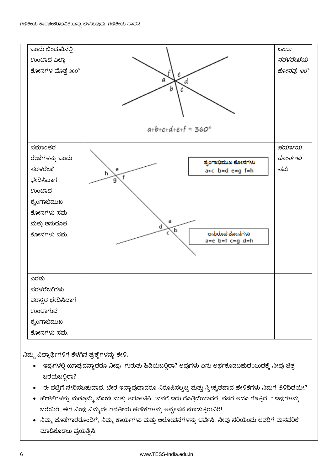

ನಿಮ್ಮ ವಿದ್ಯಾರ್ಥಿಗಳಿಗೆ ಕೆಳಗಿನ ಪ್ರಶ್ನೆಗಳನ್ನು ಕೇಳಿ.

- ಇವುಗಳಲ್ಲಿ ಯಾವುದನ್ನಾದರೂ ನೀವು ಗುರುತು ಹಿಡಿಯಬಲ್ಲಿರಾ? ಅವುಗಳು ಏನು ಅರ್ಥಕೊಡಬಹುದೆಂಬುದಕ್ಕೆ ನೀವು ಚಿತ್ರ ಬರೆಯಬಲಿರಾ?
- ಈ ಪಟ್ಟಿಗೆ ಸೇರಿಸಬಹುದಾದ, ಬೇರೆ ಇನ್ನಾವುದಾದರೂ ನಿರೂಪಿಸಲ್ಪಟ್ಟ ಮತ್ತು ಸ್ವೀಕೃತವಾದ ಹೇಳಿಕೆಗಳು ನಿಮಗೆ ತಿಳಿದಿದೆಯೇ?
- ಹೇಳಿಕೆಗಳನ್ನು ಮತ್ತೊಮ್ಮೆ ನೋಡಿ ಮತ್ತು ಆಲೋಚಿಸಿ. "ನನಗೆ ಇದು ಗೊತ್ತಿದೆಯಾದರೆ, ನನಗೆ ಅದೂ ಗೊತ್ತಿದೆ…" ಇವುಗಳನ್ನು ಬರೆಯಿರಿ. ಈಗ ನೀವು ನಿಮ್ಮದೇ ಗಣಿತೀಯ ಹೇಳಿಕೆಗಳನ್ನು ಅನ್ವೇಷಣೆ ಮಾಡುತ್ತಿರುವಿರಿ!
- ನಿಮ್ಮ ಜೊತೆಗಾರರೊಂದಿಗೆ, ನಿಮ್ಮ ಕಾರ್ಯಗಳು ಮತ್ತು ಆಲೋಚನೆಗಳನ್ನು ಚರ್ಚಿಸಿ. ನೀವು ಸರಿಯೆಂದು ಅವರಿಗೆ ಮನವರಿಕೆ ಮಾಡಿಕೊಡಲು ಪ್ರಯತ್ನಿಸಿ.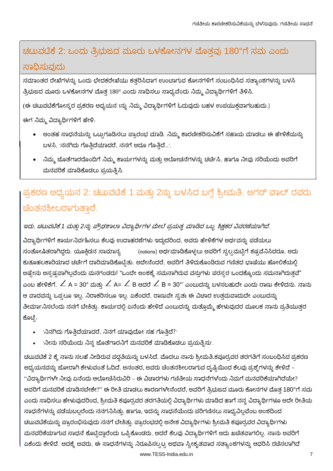### ಚಟುವಟಿಕೆ 2: ಒಂದು ತ್ರಿಭುಜದ ಮೂರು ಒಳಕೋನಗಳ ಮೊತ್ತವು 180°ಗೆ ಸಮ ಎಂದು ಸಾಧಿಸುವುದು

ಸಮಾಂತರ ರೇಖೆಗಳನ್ನು ಒಂದು ಛೇದಕರೇಖೆಯು ಕತ್ತರಿಸಿದಾಗ ಉಂಟಾಗುವ ಕೋನಗಳಿಗೆ ಸಂಬಂಧಿಸಿದ ಸತ್ಯಾಂಶಗಳನ್ನು ಬಳಸಿ ತ್ರಿಭುಜದ ಮೂರು ಒಳಕೋನಗಳ ಮೊತ್ತ 180° ಎಂದು ಸಾಧಿಸಲು ಸಾಧ್ಯವೆಂದು ನಿಮ್ಮ ವಿದ್ಯಾರ್ಥಿಗಳಿಗೆ ತಿಳಿಸಿ.

(ಈ ಚಟುವಟಿಕೆಗೋಸ್ಕರ ಪ್ರಕರಣ ಅಧ್ಯಯನ 1ನ್ನು ನಿಮ್ಮ ವಿದ್ಯಾರ್ಥಿಗಳಿಗೆ ಓದುವುದು ಬಹಳ ಉಪಯುಕ್ತವಾಗಬಹುದು.)

ಈಗ ನಿಮ್ಮ ವಿದ್ಯಾರ್ಥಿಗಳಿಗೆ ಹೇಳಿ:

- ಅಂತಹ ಸಾಧನೆಯನ್ನು ಒಟ್ಟುಗೂಡಿಸಲು ಪ್ರಾರಂಭ ಮಾಡಿ. ನಿಮ್ಮ ಕಾರಣೀಕರಿಸುವಿಕೆಗೆ ಸಹಾಯ ಮಾಡಲು ಈ ಹೇಳಿಕೆಯನ್ನು ಬಳಸಿ, 'ನನಗಿದು ಗೊತ್ತಿದೆಯಾದರೆ, ನನಗೆ ಅದೂ ಗೊತ್ತಿದೆ...'.
- ನಿಮ್ಮ ಜೊತೆಗಾರರೊಂದಿಗೆ ನಿಮ್ಮ ಕಾರ್ಯಗಳನ್ನು ಮತ್ತು ಆಲೋಚನೆಗಳನ್ನು ಚರ್ಚಿಸಿ, ಹಾಗೂ ನೀವು ಸರಿಯೆಂದು ಅವರಿಗೆ ಮನವರಿಕೆ ಮಾಡಿಕೊಡಲು ಪ್ರಯತ್ನಿಸಿ.

### ಪ್ರಕರಣ ಅಧ್ಯಯನ 2: ಚಟುವಟಿಕೆ 1 ಮತ್ತು 2ನ್ನು ಬಳಸಿದ ಬಗ್ಗೆ ಶ್ರೀಮತಿ. ಅಗರ್ ವಾಲ್ ರವರು ಚಿಂತನಶೀಲರಾಗುತ್ತಾರೆ.

ಇದು, ಚಟುವಟಿಕೆ 1 ಮತ್ತು 2ನ್ನು ಪ್ರೌಢಶಾಲಾ ವಿದ್ಯಾರ್ಥಿಗಳ ಮೇಲೆ ಪ್ರಯತ್ನ ಮಾಡಿದ ಒಬ್ಬ ಶಿಕ್ಷಕರ ವಿವರಣೆಯಾಗಿದೆ.

ವಿದ್ಯಾರ್ಥಿಗಳಿಗೆ ಕಾರ್ಯನಿರ್ವಹಿಸಲು ಕೆಲವು ಉದಾಹರಣೆಗಳು ಇದ್ದುದರಿಂದ, ಅವರು ಹೇಳಿಕೆಗಳ ಅರ್ಥವನ್ನು ಪಡೆಯಲು ಸಂತೋಷಿತರಾಗಿದ್ದರು. ಯೂಕ್ತಿಡನ ಸಾಮಾನ್ಯ (notions) ಅರ್ಥಮಾಡಿಕೊಳ್ಳಲು ಅವರಿಗೆ ಸ್ವಲ್ಪಮಟ್ಟಿಗೆ ಕಷ್ಟವೆನಿಸಿದರೂ, ಅದು ಕುತೂಹಲಕಾರಿಯಾದ ಚರ್ಚೆಗೆ ದಾರಿಮಾಡಿಕೊಟ್ಟಿತು. ಅದೇನೆಂದರೆ, ಅವರಿಗೆ ತಿಳಿದುಕೊಂಡಿರುವ ಗಣಿತದ ಭಾಷೆಯು ಹೋಲಿಕೆಯಲ್ಲಿ ಅಷ್ಟೇನು ಅಸ್ಸಷ್ಟವಾಗಿಲ್ಲವೆಂದು ಮನಗಂಡರು! "ಒಂದೇ ಅಂಶಕ್ಕೆ ಸಮನಾಗಿರುವ ವಸ್ತುಗಳು ಪರಸ್ಪರ ಒಂದಕ್ಕೊಂದು ಸಮನಾಗಿರುತ್ತವೆ" ಎಂಬ ಹೇಳಿಕೆಗೆ, ∠ A = 30° ಮತ್ತು ∠ A= ∠ B ಆದರೆ ∠ B = 30°' ಎಂಬುದನ್ನು ಬಳಸಬಹುದೇ ಎಂದು ರಾಣು ಕೇಳಿದನು. ನಾನು ಆ ವಾದವನ್ನು ಒಪ್ಪಲೂ ಇಲ್ಲ, ನಿರಾಕರಿಸಲೂ ಇಲ್ಲ. ಏಕೆಂದರೆ, ರಾಣುವೇ ಸ್ವತಃ ಈ ವಿಚಾರ ಉತ್ತಮವಾದುದೇ ಎಂಬುದನ್ನು ತೀರ್ಮಾನಿಸಲೆಂದು ನನಗೆ ಬೇಕಿತ್ತು. ಕಾರ್ಯದಲ್ಲಿ ಏನೆಂದು ಹೇಳಿದೆ ಎಂಬುದನ್ನು ಮತ್ತೊಮ್ಮೆ ಹೇಳುವುದರ ಮೂಲಕ ನಾನು ಪ್ರತಿಯುತ್ತರ ಕೊಟ್ರೆ.

- $\bullet$  'ನಿನಗಿದು ಗೊತ್ತಿದೆಯಾದರೆ, ನಿನಗೆ ಯಾವುದೋ ಸಹ ಗೊತ್ತಿದೆ?'
- 'ನೀನು ಸರಿಯೆಂದು ನಿನ್ನ ಜೊತೆಗಾರನಿಗೆ ಮನವರಿಕೆ ಮಾಡಿಕೊಡಲು ಪ್ರಯತ್ತಿಸು'.

ಚಟುವಟಿಕೆ 2 ಕ್ಕೆ ನಾನು ಸಲಹೆ ನೀಡಿರುವ ಪದ್ಧತಿಯನ್ನು ಬಳಸಿದೆ. ಮೊದಲು ನಾನು ಶ್ರೀಮತಿ.ಕಪೂರ್ರವರ ತರಗತಿಗೆ ಸಂಬಂಧಿಸಿದ ಪ್ರಕರಣ ಅಧ್ಯಯನವನ್ನು ಜೋರಾಗಿ ಕೇಳುವಂತೆ ಓದಿದೆ. ಅನಂತರ, ಅವರು ಚಿಂತನಶೀಲರಾಗುವ ದೃಷ್ಟಿಯಿಂದ ಕೆಲವು ಪ್ರಶ್ನೆಗಳನ್ನು ಕೇಳಿದೆ – "ವಿದ್ಯಾರ್ಥಿಗಳೇ ನೀವು ಏನೆಂದು ಆಲೋಚಿಸಿರುವಿರಿ – ಈ ವಿಚಾರಗಳು ಗಣಿತೀಯ ಸಾಧನೆಗಳೆಂದು ನಿಮಗೆ ಮನವರಿಕೆಯಾಗಿದೆಯೇ? ಅವರಿಗೆ ಮನವರಿಕೆ ಮಾಡಿಸಬೇಕೇ?" ಈ ರೀತಿ ಮಾಡಲು ಕಾರಣಗಳೇನೆಂದರೆ, ಅವರಿಗೆ ತ್ರಿಭುಜದ ಮೂರು ಕೋನಗಳ ಮೊತ್ತ 180°ಗೆ ಸಮ ಎಂದು ಸಾಧಿಸಲು ಹೇಳುವುದರಿಂದ, ಶ್ರೀಮತಿ ಕಪೂರ್ರವರ ತರಗತಿಯಲ್ಲಿ ವಿದ್ಯಾರ್ಥಿಗಳು ಮಾಡಿದ ಹಾಗೆ ನನ್ನ ವಿದ್ಯಾರ್ಥಿಗಳೂ ಅದೇ ರೀತಿಯ ಸಾಧನೆಗಳನ್ನು ಪಡೆಯಬಲ್ಲರೆಂದು ನನಗನಿಸಿತ್ತು. ಹಾಗೂ, ಇದನ್ನು ಸಾಧನೆಯೆಂದು ಪರಿಗಣಿಸಲು ಸಾಧ್ಯವಿಲ್ಲವೆಂಬ ಅಂಶದಿಂದ ಚಟುವಟಿಕೆಯನ್ನು ಪ್ರಾರಂಭಿಸುವುದು ನನಗೆ ಬೇಕಿತ್ತು. ಪ್ರಾರಂಭದಲ್ಲಿ ಅನೇಕ ವಿದ್ಯಾರ್ಥಿಗಳು ಶ್ರೀಮತಿ ಕಪೂರ್ರವರ ವಿದ್ಯಾರ್ಥಿಗಳು ಮನವರಿಕೆಯಾಗುವ ಸಾಧನೆ ಕೊಟ್ಟಿದ್ದಾರೆಂದು ಒಪ್ಪಿಕೊಂಡರು, ಆದರೆ ಕೆಲವು ವಿದ್ಯಾರ್ಥಿಗಳಿಗೆ ಅದು ಖಚಿತವಾಗಲಿಲ್ಲ. ನಾನು ಅವರಿಗೆ `ಎಕೆಂದು ಕೇಳಿದೆ. ಅದಕ್ಕೆ ಅವರು, ಈ ಸಾಧನೆಗಳನ್ನು ನಿರೂಪಿಸಲ್ಪಟ್ಟ ಅಥವಾ ಸ್ವೀಕೃತವಾದ ಸತ್ಯಾಂಶಗಳನ್ನು ಆಧರಿಸಿ ರಚಿಸಲಾಗಿದೆ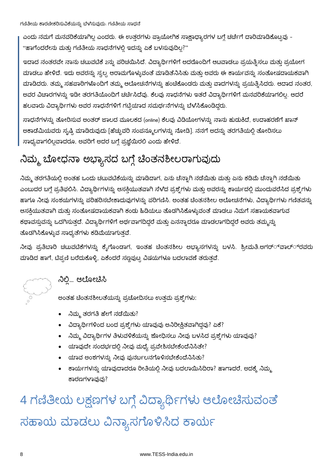ಎಂದು ನಮಗೆ ಮನವರಿಕೆಯಾಗಿಲ್ಲ ಎಂದರು. ಈ ಉತ್ತರಗಳು ಪ್ರಾಯೋಗಿಕ ಸಾಕ್ಷಾಧ್ಯಾರಗಳ ಬಗ್ಗೆ ಚರ್ಚೆಗೆ ದಾರಿಮಾಡಿಕೊಟ್ಟವು -"ಹಾಗೆಂದರೇನು ಮತ್ತು ಗಣಿತೀಯ ಸಾಧನೆಗಳಲ್ಲಿ ಇದನ್ನು ಏಕೆ ಬಳಸುವುದಿಲ್ಲ?"

ಇದಾದ ನಂತರವೇ ನಾನು ಚಟುವಟಿಕೆ 2ನ್ನು ಪರಿಚಯಿಸಿದೆ. ವಿದ್ಯಾರ್ಥಿಗಳಿಗೆ ಅದರೊಂದಿಗೆ ಆಟವಾಡಲು ಪ್ರಯತ್ನಿಸಲು ಮತ್ತು ಪ್ರಯೋಗ ಮಾಡಲು ಹೇಳಿದೆ. ಇದು ಅವರನ್ನು ಸ್ವಲ್ಪ ಆರಾಮಗೊಳ್ಳುವಂತೆ ಮಾಡಿತೆನಿಸಿತು ಮತ್ತು ಅವರು ಈ ಕಾರ್ಯವನ್ನು ಸಂತೋಷದಾಯಕವಾಗಿ ಮಾಡಿದರು. ತಮ್ಮ ಸಹಪಾಠಿಗಳೊಂದಿಗೆ ತಮ್ಮ ಆಲೋಚನೆಗಳನ್ನು ಹಂಚಿಕೊಂಡರು ಮತ್ತು ವಾದಗಳನ್ನು ಪ್ರಯತ್ನಿಸಿದರು. ಆದಾದ ನಂತರ, ಅವರ ವಿಚಾರಗಳನ್ನು ಇಡೀ ತರಗತಿಯೊಂದಿಗೆ ಚರ್ಚಿಸಿದೆವು. ಕೆಲವು ಸಾಧನೆಗಳು ಇತರೆ ವಿದ್ಯಾರ್ಥಿಗಳಿಗೆ ಮನವರಿಕೆಯಾಗಲಿಲ್ಲ. ಆದರೆ ಹಲವಾರು ವಿದ್ಯಾರ್ಥಿಗಳು ಅವರ ಸಾಧನೆಗಳಿಗೆ ಗಟ್ಟಿಯಾದ ಸಮರ್ಥನೆಗಳನ್ನು ಬೆಳಸಿಕೊಂಡಿದ್ದರು.

ಸಾಧನೆಗಳನ್ನು ತೋರಿಸುವ ಅಂತರ್ ಜಾಲದ ಮೂಲಕದ (online) ಕೆಲವು ವಿಡಿಯೋಗಳನ್ನು ನಾನು ಹುಡುಕಿದೆ, ಉದಾಹರಣೆಗೆ ಖಾನ್ ಅಕಾಡೆಮಿಯವರು ಸೃಷ್ಟಿ ಮಾಡಿರುವುದು [ಹೆಚ್ಚುವರಿ ಸಂಪನ್ಮೂಲಗಳನ್ನು ನೋಡಿ]. ನನಗೆ ಅದನ್ನು ತರಗತಿಯಲ್ಲಿ ತೋರಿಸಲು ಸಾಧ್ಯವಾಗಲಿಲ್ಲವಾದರೂ, ಅವರಿಗೆ ಅದರ ಬಗ್ಗೆ ಪ್ರಜ್ಞೆಯಿರಲಿ ಎಂದು ಹೇಳಿದೆ.

### ನಿಮ್ಮ ಬೋಧನಾ ಅಭ್ಯಾಸದ ಬಗ್ಗೆ ಚಿಂತನಶೀಲರಾಗುವುದು

ನಿಮ್ಮ ತರಗತಿಯಲ್ಲಿ ಅಂತಹ ಒಂದು ಚಟುವಟಿಕೆಯನ್ನು ಮಾಡಿದಾಗ, ಏನು ಚೆನ್ನಾಗಿ ನಡೆಯಿತು ಮತ್ತು ಏನು ಕಡಿಮೆ ಚೆನ್ನಾಗಿ ನಡ<mark>ೆ</mark>ಯಿತು ಎಂಬುದರ ಬಗ್ಗೆ ಪ್ರತಿಫಲಿಸಿ. ವಿದ್ಯಾರ್ಥಿಗಳನ್ನು ಆಸಕ್ತಿಯುತವಾಗಿ ಸೆಳೆದ ಪ್ರಶ್ನೆಗಳು ಮತ್ತು ಅವರನ್ನು ಕಾರ್ಯದಲ್ಲಿ ಮುಂದುವರೆಸಿದ ಪ್ರಶ್ನೆಗಳು ಹಾಗೂ ನೀವು ಸಂಶಯಗಳನ್ನು ಪರಿಹರಿಸಬೇಕಾದುವುಗಳನ್ನು ಪರಿಗಣಿಸಿ. ಅಂತಹ ಚಿಂತನಶೀಲ ಆಲೋಚನೆಗಳು, ವಿದ್ಯಾರ್ಥಿಗಳು ಗಣಿತವನ್ನು ಆಸಕ್ತಿಯುತವಾಗಿ ಮತ್ತು ಸಂತೋಷದಾಯಕವಾಗಿ ಕಂಡು ಹಿಡಿಯಲು ತೊಡಗಿಸಿಕೊಳ್ಳುವಂತೆ ಮಾಡಲು ನಿಮಗೆ ಸಹಾಯಕವಾಗುವ ಕಥಾವಸ್ತುವನ್ನು ಒದಗಿಸುತ್ತದೆ. ವಿದ್ಯಾರ್ಥಿಗಳಿಗೆ ಅರ್ಥವಾಗದಿದ್ದರೆ ಮತ್ತು ಏನನ್ನಾದರೂ ಮಾಡಲಾಗದಿದ್ದರೆ ಅವರು ತಮ್ಮನ್ನು ತೊಡಗಿಸಿಕೊಳ್ಳುವ ಸಾಧ್ಯತೆಗಳು ಕಡಿಮೆಯಾಗುತ್ತವೆ.

ನೀವು ಪ್ರತಿಬಾರಿ ಚಟುವಟಿಕೆಗಳನ್ನು ಕೈಗೊಂಡಾಗ, ಇಂತಹ ಚಿಂತನಶೀಲ ಅಭ್ಯಾಸಗಳನ್ನು ಬಳಸಿ. ಶ್ರೀಮತಿ.ಅಗರ್್ವಾಲ್್ರರವರು ಮಾಡಿದ ಹಾಗೆ, ಟಿಪ್ಪಣಿ ಬರೆದುಕೊಳ್ಳಿ, ಏಕೆಂದರೆ ಸಣ್ಣಪುಟ್ಟ ವಿಷಯಗಳೂ ಬದಲಾವಣೆ ತರುತ್ತವೆ.

#### ನಿಲ್ಲಿ... ಆಲೋಚಿಸಿ

ಅಂತಹ ಚೆಂತನಶೀಲತೆಯನ್ನು ಪ್ರಚೋದಿಸಲು ಉತ್ತಮ ಪ್ರಶ್ನೆಗಳು:

- ನಿಮ್ಮ ತರಗತಿ ಹೇಗೆ ನಡೆಯಿತು?
- ವಿದ್ಯಾರ್ಥಿಗಳಿಂದ ಬಂದ ಪ್ರಶ್ನೆಗಳು ಯಾವುವು ಅನಿರೀಕ್ಷಿತವಾಗಿದ್ದವು? ಏಕೆ?
- ನಿಮ್ಮ ವಿದ್ಯಾರ್ಥಿಗಳ ತಿಳುವಳಿಕೆಯನ್ನು ಶೋಧಿಸಲು ನೀವು ಬಳಸಿದ ಪ್ರಶ್ನೆಗಳು ಯಾವುವು?
- ಯಾವುದೇ ಸಂದರ್ಭದಲ್ಲಿ ನೀವು ಮಧ್ಯೆ ಪ್ರವೇಶಿಸಬೇಕೆಂದೆನಿಸಿತೇ?
- ಯಾವ ಅಂಶಗಳನ್ನು ನೀವು ಪುನರ್ಬಲನಗೊಳಿಸಬೇಕೆಂದೆನಿಸಿತು?
- ಕಾರ್ಯಗಳನ್ನು ಯಾವುದಾದರೂ ರೀತಿಯಲ್ಲಿ ನೀವು ಬದಲಾಯಿಸಿದಿರಾ? ಹಾಗಾದರೆ, ಅದಕ್ಕೆ ನಿಮ್ಮ ಕಾರಣಗಳಾವುವು?

4 ಗಣಿತೀಯ ಲಕ್ಷಣಗಳ ಬಗ್ಗೆ ವಿದ್ಯಾರ್ಥಿಗಳು ಆಲೋಚಿಸುವಂತೆ ಸಹಾಯ ಮಾಡಲು ವಿನ್ಯಾಸಗೊಳಿಸಿದ ಕಾರ್ಯ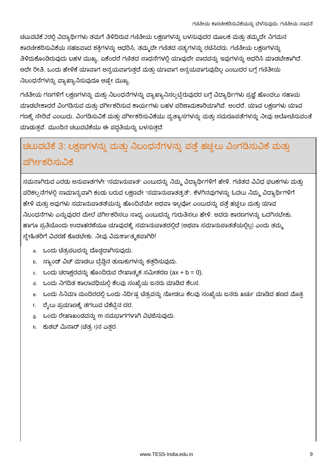ಚಟುವಟಿಕೆ 2ರಲ್ಲಿ ವಿದ್ಯಾರ್ಥಿಗಳು ತಮಗೆ ತಿಳಿದಿರುವ ಗಣಿತೀಯ ಲಕ್ಷಣಗಳನ್ನು ಬಳಸುವುದರ ಮೂಲಕ ಮತ್ತು ತಮ್ಮದೇ ನಿಗಮನ ಕಾರಣೀಕರಿಸುವಿಕೆಯ ಸಹಜವಾದ ಶಕ್ತಿಗಳನ್ನು ಆಧರಿಸಿ, ತಮ್ಮದೇ ಗಣಿತದ ಸತ್ಯಗಳನ್ನು ರಚಿಸಿದರು. ಗಣಿತೀಯ ಲಕ್ಷಣಗಳನ್ನು ತಿಳಿದುಕೊಂಡಿರುವುದು ಬಹಳ ಮುಖ್ಯ, ಏಕೆಂದರೆ ಗಣಿತದ ಸಾಧನೆಗಳಲ್ಲಿ ಯಾವುದೇ ವಾದವನ್ನು ಇವುಗಳನ್ನು ಆಧರಿಸಿ ಮಾಡಬೇಕಾಗಿದೆ. ಅದೇ ರೀತಿ, ಒಂದು ಹೇಳಿಕೆ ಯಾವಾಗ ಅನ್ವಯವಾಗುತ್ತದೆ ಮತ್ತು ಯಾವಾಗ ಅನ್ವಯವಾಗುವುದಿಲ್ಲ ಎಂಬುದರ ಬಗ್ಗೆ ಗಣಿತೀಯ ನಿಬಂಧನೆಗಳನ್ನು ವ್ಯಾಖ್ಯಾನಿಸುವುದೂ ಅಷ್ಟೇ ಮುಖ್ಯ.

ಗಣಿತೀಯ ಗಣಗಳಿಗೆ ಲಕ್ಷಣಗಳನ್ನು ಮತ್ತು ನಿಬಂಧನೆಗಳನ್ನು ವ್ಯಾಖ್ಯಾನಿಸಲ್ಪಟ್ಟಿರುವುದರ ಬಗ್ಗೆ ವಿದ್ಯಾರ್ಥಿಗಳು ಪ್ರಜ್ಞೆ ಹೊಂದಲು ಸಹಾಯ ಮಾಡಬೇಕಾದರೆ ವಿಂಗಡಿಸುವ ಮತ್ತು ವರ್ಗೀಕರಿಸುವ ಕಾರ್ಯಗಳು ಬಹಳ ಪರಿಣಾಮಕಾರಿಯಾಗಿವೆ. ಅಂದರೆ, ಯಾವ ಲಕ್ಷಣಗಳು ಯಾವ ಗಣಕ್ಕೆ ಸೇರಿವೆ ಎಂಬುದು. ವಿಂಗಡಿಸುವಿಕೆ ಮತ್ತು ವರ್ಗೀಕರಿಸುವಿಕೆಯು ವ್ಯತ್ಯಾಸಗಳನ್ನು ಮತ್ತು ಸಮರೂಪತೆಗಳನ್ನು ನೀವು ಆಲೋಚಿಸುವಂತೆ ಮಾಡುತ್ತವೆ. ಮುಂದಿನ ಚಟುವಟಿಕೆಯು ಈ ಪದ್ಧತಿಯನ್ನು ಬಳಸುತ್ತದೆ.

### ಚಟುವಟಿಕೆ 3: ಲಕ್ಷಣಗಳನ್ನು ಮತ್ತು ನಿಬಂಧನೆಗಳನ್ನು ಪತ್ತೆ ಹಚ್ಚಲು ವಿಂಗಡಿಸುವಿಕೆ ಮತ್ತು ವರ್ಗೀಕರಿಸುವಿಕೆ

ಸಮನಾಗಿರುವ ಎರಡು ಅನುಪಾತಗಳೇ "ಸಮಾನುಪಾತ" ಎಂಬುದನ್ನು ನಿಮ್ಮ ವಿದ್ಯಾರ್ಥಿಗಳಿಗೆ ಹೇಳಿ. ಗಣಿತದ ವಿವಿಧ ಘಟಕಗಳು ಮತ್ತು ಪರಿಕಲ್ಪನೆಗಳಲ್ಲಿ ಸಾಮಾನ್ಯವಾಗಿ ಕಂಡು ಬರುವ ಲಕ್ಷಣವೇ "ಸಮಾನುಪಾತತ್ವತೆ". ಕೆಳಗಿನವುಗಳನ್ನು ಓದಲು ನಿಮ್ಮ ವಿದ್ಯಾರ್ಥಿಗಳಿಗೆ ಹೇಳಿ ಮತ್ತು ಅವುಗಳು ಸಮಾನುಪಾತತೆಯನ್ನು ಹೊಂದಿವೆಯೇ ಅಥವಾ ಇಲ್ಲವೋ ಎಂಬುದನ್ನು ಪತ್ತೆ ಹಚ್ಚಲು ಮತ್ತು ಯಾವ ನಿಬಂಧನೆಗಳು ಎನ್ನುವುದರ ಮೇಲೆ ವರ್ಗೀಕರಿಸಲು ಸಾಧ್ಯ ಎಂಬುದನ್ನು ಗುರುತಿಸಲು ಹೇಳಿ. ಅವರು ಕಾರಣಗಳನ್ನು ಒದಗಿಸಬೇಕು, ಹಾಗೂ ಪ್ರತಿಯೊಂದು ಉದಾಹರಣೆಯೂ ಯಾವುದಕ್ಕೆ ಸಮಾನುಪಾತದಲ್ಲಿದೆ (ಅಥವಾ ಸಮಾನುಪಾತತೆಯಲ್ಲಿಲ್ಲ) ಎಂದು ತಮ್ಮ ಸ್ತ್ರೇಹಿತರಿಗೆ ವಿವರಣೆ ಕೊಡಬೇಕು. ನೀವು ವಿಮರ್ಶಾತ್ಮಕವಾಗಿರಿ!

- a. ಒಂದು ಚಿತ್ರಪಟವನ್ನು ದೊಡ್ಡದಾಗಿಸುವುದು.
- b. ಸ್ಯಾಂಡ್ ವಿಚ್ ಮಾಡಲು ಬ್ರೆಡ್ಡಿನ ತುಣುಕುಗಳನ್ನು ಕತ್ತರಿಸುವುದು.
- c. ಒಂದು ಚರಾಕ್ಷರವನ್ನು ಹೊಂದಿರುವ ರೇಖಾತ್ಮಕ ಸಮೀಕರಣ  $(ax + b = 0)$ .
- d. ಒಂದು ನಿಗದಿತ ಕಾಲಾವಧಿಯಲ್ಲಿ ಕೆಲವು ಸಂಖ್ಯೆಯ ಜನರು ಮಾಡಿದ ಕೆಲಸ.
- e. ಒಂದು ಸಿನಿಮಾ ಮಂದಿರದಲ್ಲಿ ಒಂದು ನಿರ್ದಿಷ್ಟ ಚಿತ್ರವನ್ನು ನೋಡಲು ಕೆಲವು ಸಂಖ್ಯೆಯ ಜನರು ಖರ್ಚು ಮಾಡಿದ ಹಣದ ಮೊತ್ತ.
- f. ರೈಲು ಪ್ರಯಾಣಕ್ಕೆ ತಗಲುವ ಟಿಕೆಟ್ಟಿನ ದರ.
- g. ಒಂದು ರೇಖಾಖಂಡವನ್ನು m ಸಮಭಾಗಗಳಾಗಿ ವಿಭಜಿಸುವುದು.
- h. ಕುತಬ್ ಮಿನಾರ್ (ಚೆತ್ರ 1)ನ ಎತ್ತರ.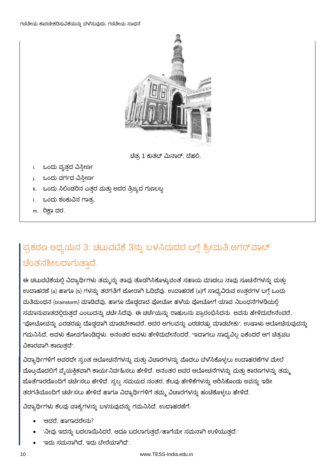

ಚಿತ್ರ 1 ಕುತಬ್ ಮಿನಾರ್, ದೆಹಲಿ.

- i. ಒಂದು ವೃತ್ತದ ವಿಸ್ತೀರ್ಣ
- j. ಒಂದು ವರ್ಗದ ವಿಸ್ತೀರ್ಣ
- k. ಒಂದು ಸಿಲಿಂಡರಿನ ಎತ್ತರ ಮತ್ತು ಅದರ ತ್ರಿಜ್ಯದ ಗುಣಲಬ್ದ
- ।. ಒಂದು ಶಂಕುವಿನ ಗಾತ್ರ.
- m. ರಿಕ್ಷಾ ದರ.

### ಪ್ರಕರಣ ಅಧ್ಯಯನ 3: ಚಟುವಟಿಕೆ 3ನ್ನು ಬಳಸಿದುದರ ಬಗ್ಗೆ ಶ್ರೀಮತಿ.ಅಗರ್ಎಾಲ್ ಚಿಂತನಶೀಲರಾಗುತ್ತಾರೆ.

ಈ ಚಟುವಟಿಕೆಯಲ್ಲಿ ವಿದ್ಯಾರ್ಥಿಗಳು ತಮ್ಮನ್ನು ತಾವು ತೊಡಗಿಸಿಕೊಳ್ಳುವಂತೆ ಸಹಾಯ ಮಾಡಲು ನಾವು ಸೂಚನೆಗಳನ್ನು ಮತ್ತು ಉದಾಹರಣೆ (a) ಹಾಗೂ (b) ಗಳನ್ನು ತರಗತಿಗೆ ಜೋರಾಗಿ ಓದಿದೆವು. ಉದಾಹರಣೆ (a)ಗೆ ಸಾಧ್ಯವಿರುವ ಉತ್ತರಗಳ ಬಗ್ಗೆ ಒಂದು ಮತಿಮಂಥನ (brainstorm) ಮಾಡಿದೆವು, ಹಾಗೂ ದೊಡ್ಡದಾದ ಪೋಟೋ ಹಳೆಯ ಪೋಟೋಗೆ ಯಾವ ನಿಬಂಧನೆಗಳಡಿಯಲ್ಲಿ ಸಮಾನುಪಾತದಲ್ಲಿರುತ್ತದೆ ಎಂಬುದನ್ನು ಚರ್ಚಿಸಿದೆವು. ಈ ಚರ್ಚೆಯನ್ನು ರಾಹುಲನು ಪ್ರಾರಂಭಿಸಿದನು. ಅವನು ಹೇಳಿದುದೇನೆಂದರೆ, "ಪೋಟೋವನ್ನು ಎರಡರಷ್ಟು ದೊಡ್ಡದಾಗಿ ಮಾಡಬೇಕಾದರೆ, ಅದರ ಅಗಲವನ್ನು ಎರಡರಷ್ಟು ಮಾಡಬೇಕು". ಉಷಾಳು ಆಲೋಚಿಸುವುದನ್ನು ಗಮನಿಸಿದೆ, ಅವಳು ಕೋಪಗೊಂಡಿದ್ದಳು. ಅನಂತರ ಅವಳು ಹೇಳಿದುದೇನೆಂದರೆ, "ಇದಾಗಲು ಸಾಧ್ಯವಿಲ್ಲ ಏಕೆಂದರೆ ಆಗ ಚಿತ್ರಪಟ ವಿಕಾರವಾಗಿ ಕಾಣುತದೆ".

ವಿದ್ಯಾರ್ಥಿಗಳಿಗೆ ಅವರದೇ ಸ್ವಂತ ಆಲೋಚನೆಗಳನ್ನು ಮತ್ತು ವಿಚಾರಗಳನ್ನು ಮೊದಲು ಬೆಳೆಸಿಕೊಳ್ಳಲು ಉದಾಹರಣೆಗಳ ಮೇಲೆ ಮೊಟ್ಟಮೊದಲಿಗೆ ವ್ಯೆಯಕ್ತಿಕವಾಗಿ ಕಾರ್ಯನಿರ್ವಹಿಸಲು ಹೇಳಿದೆ. ಅನಂತರ ಅವರ ಆಲೋಚನೆಗಳನ್ನು ಮತ್ತು ಕಾರಣಗಳನ್ನು ತಮ್ಮ ಜೊತೆಗಾರರೊಂದಿಗೆ ಚರ್ಚಿಸಲು ಹೇಳಿದೆ. ಸ್ವಲ್ಪ ಸಮಯದ ನಂತರ, ಕೆಲವು ಹೇಳಿಕೆಗಳನ್ನು ಆರಿಸಿಕೊಂಡು ಅವನ್ನು ಇಡೀ ತರಗತಿಯೊಂದಿಗೆ ಚರ್ಚಿಸಲು ಹೇಳಿದೆ ಹಾಗೂ ವಿದ್ಯಾರ್ಥಿಗಳಿಗೆ ತಮ್ಮ ವಿಚಾರಗಳನ್ನು ಹಂಚಿಕೊಳ್ಳಲು ಹೇಳಿದೆ.

ವಿದ್ಯಾರ್ಥಿಗಳು ಕೆಲವು ವಾಕ್ಯಗಳನ್ನು ಬಳಸುವುದನ್ನು ಗಮನಿಸಿದೆ. ಉದಾಹರಣೆಗೆ:

- 'ಆದರೆ, ಹಾಗಾದರೇನು?
- ∙ನೀವು ಇದನ್ನು ಬದಲಾಯಿಸಿದರೆ, ಅದೂ ಬದಲಾಗುತ್ತದೆ∕ಹಾಗೆಯೇ ಸಮನಾಗಿ ಉಳಿಯುತ್ತದೆ.'
- 'ಇದು ಸಮನಾಗಿದೆ, ಇದು ಬೇರೆಯಾಗಿದೆ'.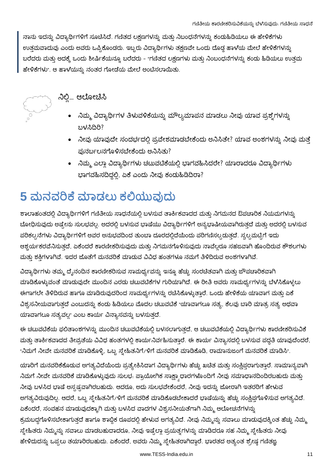ನಾನು ಇದನ್ನು ವಿದ್ಯಾರ್ಥಿಗಳಿಗೆ ಸೂಚಿಸಿದೆ. ಗಣಿತದ ಲಕ್ಷಣಗಳನ್ನು ಮತ್ತು ನಿಬಂಧನೆಗಳನ್ನು ಕಂಡುಹಿಡಿಯಲು ಈ ಹೇಳಿಕೆಗಳು ಉತ್ತಮವಾದುವು ಎಂದು ಅವರು ಒಪ್ಪಿಕೊಂಡರು. ಇಬ್ಬರು ವಿದ್ಯಾರ್ಥಿಗಳು ತಕ್ಷಣವೇ ಒಂದು ದೊಡ್ಡ ಹಾಳೆಯ ಮೇಲೆ ಹೇಳಿಕೆಗಳನ್ನು ಬರೆದರು ಮತ್ತು ಅದಕ್ಕೆ ಒಂದು ಶೀರ್ಷಿಕೆಯನ್ನೂ ಬರೆದರು - "ಗಣಿತದ ಲಕ್ಷಣಗಳು ಮತ್ತು ನಿಂಬಂಧನೆಗಳನ್ನು ಕಂಡು ಹಿಡಿಯಲು ಉತ್ತಮ ಹೇಳಿಕೆಗಳು". ಆ ಹಾಳೆಯನ್ನು ನಂತರ ಗೋಡೆಯ ಮೇಲೆ ಅಂಟಿಸಲಾಯಿತು.



### ನಿಲ್ಲಿ... ಆಲೋಚಿಸಿ

- ನಿಮ್ಮ ವಿದ್ಯಾರ್ಥಿಗಳ ತಿಳುವಳಿಕೆಯನ್ನು ಮೌಲ್ಯಮಾಪನ ಮಾಡಲು ನೀವು ಯಾವ ಪ್ರಶ್ನೆಗಳನ್ನು ಬಳಸಿದಿರಿ?
- ನೀವು ಯಾವುದೇ ಸಂದರ್ಭದಲ್ಲಿ ಪ್ರವೇಶಮಾಡಬೇಕೆಂದು ಅನಿಸಿತೇ? ಯಾವ ಅಂಶಗಳನ್ನು ನೀವು ಮತ್ತೆ ಪುನರ್ಬಲನಗೊಳಿಸಬೇಕೆಂದು ಅನಿಸಿತು?
- ನಿಮ್ಮ ಎಲ್ಲಾ ವಿದ್ಯಾರ್ಥಿಗಳು ಚಟುವಟಿಕೆಯಲ್ಲಿ ಭಾಗವಹಿಸಿದರೇ? ಯಾರಾದರೂ ವಿದ್ಯಾರ್ಥಿಗಳು ಭಾಗವಹಿಸದಿದ್ದಲ್ಲಿ, ಏಕೆ ಎಂದು ನೀವು ಕಂದುಹಿಡಿದಿರಾ?

### 5 ಮನವರಿಕೆ ಮಾಡಲು ಕಲಿಯುವುದು

ಶಾಲಾಹಂತದಲ್ಲಿ ವಿದ್ಯಾರ್ಥಿಗಳಿಗೆ ಗಣಿತೀಯ ಸಾಧನೆಯಲ್ಲಿ ಬಳಸುವ ತಾರ್ಕಿಕವಾದದ ಮತ್ತು ನಿಗಮನದ ಔಪಚಾರಿಕ ನಿಯಮಗಳನ್ನು ಬೋಧಿಸುವುದು ಅಷ್ಟೇನು ಸುಲಭವಲ್ಲ. ಅದರಲ್ಲಿ ಬಳಸುವ ಭಾಷೆಯು ವಿದ್ಯಾರ್ಥಿಗಳಿಗೆ ಅನ್ಯಭಾಷೀಯವಾಗಿರುತ್ತದೆ ಮತ್ತು ಅದರಲ್ಲಿ ಬಳಸುವ ಪರಿಕಲ್ಪನೆಗಳು ವಿದ್ಯಾರ್ಥಿಗಳಿಗೆ ಅವರ ಅನುಭವದಿಂದ ತುಂಬಾ ದೂರದಲ್ಲಿದೆಯೆಂದು ಪರಿಗಣಿಸಲ್ಪಡುತ್ತದೆ. ಸ್ವಲ್ಪಮಟ್ಟಿಗೆ ಇದು ಆಶ್ಚರ್ಯಕರವೆನಿಸುತ್ತದೆ, ಏಕೆಂದರೆ ಕಾರಣೀಕರಿಸುವುದು ಮತ್ತು ನಿಗಮನಗೊಳಿಸುವುದು ನಾವೆಲ್ಲರೂ ಸಹಜವಾಗಿ ಹೊಂದಿರುವ ಕೌಶಲಗಳು ಮತ್ತು ಶಕ್ತಿಗಳಾಗಿವೆ. ಇದರ ಜೊತೆಗೆ ಮನವರಿಕೆ ಮಾಡುವ ವಿವಿಧ ಹಂತಗಳೂ ನಮಗೆ ತಿಳಿದಿರುವ ಅಂಶಗಳಾಗಿವೆ.

ವಿದ್ಯಾರ್ಥಿಗಳು ತಮ್ಮ ದೈನಂದಿನ ಕಾರಣೀಕರಿಸುವ ಸಾಮರ್ಥ್ಯವನ್ನು ಇನ್ನೂ ಹೆಚ್ಚು ಸಂರಚೆತವಾಗಿ ಮತ್ತು ಜೌಪಚಾರಿಕವಾಗಿ ಮಾಡಿಕೊಳ್ಳುವಂತೆ ಮಾಡುವುದೇ ಮುಂದಿನ ಎರಡು ಚಟುವಟಿಕೆಗಳ ಗುರಿಯಾಗಿದೆ. ಈ ರೀತಿ ಅವರು ಸಾಮರ್ಥ್ಯಗಳನ್ನು ಬೆಳೆಸಿಕೊಳ್ಳಲು ಈಗಾಗಲೇ ತಿಳಿದಿರುವ ಹಾಗೂ ಮಾಡಿರುವುದರಿಂದ ಸಾಮರ್ಥ್ಯಗಳನ್ನು ರಚಿಸಿಕೊಳ್ಳುತ್ತಾರೆ. ಒಂದು ಹೇಳಿಕೆಯ ಯಾವಾಗ ಮತ್ತು ಏಕೆ ವಿಶ್ವಸನೀಯವಾಗುತ್ತದೆ ಎಂಬುದನ್ನು ಕಂಡು ಹಿಡಿಯಲು ಮೊದಲ ಚಟುವಟಿಕೆ "ಯಾವಾಗಲೂ ಸತ್ಯ, ಕೆಲವು ಬಾರಿ ಮಾತ್ರ ಸತ್ಯ ಅಥವಾ ಯಾವಾಗಲೂ ಸತ್ಯವಲ್ಲ" ಎಂಬ ಕಾರ್ಯ ವಿನ್ಯಾಸವನ್ನು ಬಳಸುತ್ತದೆ.

ಈ ಚಟುವಟಿಕೆಯ ಫಲಿತಾಂಶಗಳನ್ನು ಮುಂದಿನ ಚಟುವಟಿಕೆಯಲ್ಲಿ ಬಳಸಲಾಗುತ್ತದೆ, ಆ ಚಟುವಟಿಕೆಯಲ್ಲಿ ವಿದ್ಯಾರ್ಥಿಗಳು ಕಾರಣೀಕರಿಸುವಿಕೆ ಮತ್ತು ತಾರ್ಕಿಕವಾದದ ತೀವ್ರತೆಯ ವಿವಿಧ ಹಂತಗಳಲ್ಲಿ ಕಾರ್ಯನಿರ್ವಹಿಸುತ್ತಾರೆ. ಈ ಕಾರ್ಯ ವಿನ್ಯಾಸದಲ್ಲಿ ಬಳಸುವ ಪದ್ಧತಿ ಯಾವುದೆಂದರೆ, "ನಿಮಗೆ ನೀವೇ ಮನವರಿಕೆ ಮಾಡಿಕೊಳ್ಳಿ, ಒಬ್ಬ ಸ್ತೇಹಿತನಿಗೆ/ಳಿಗೆ ಮನವರಿಕೆ ಮಾಡಿಕೊಡಿ, ರಾಮಾನುಜಂಗೆ ಮನವರಿಕೆ ಮಾಡಿಸಿ".

ಯಾರಿಗೆ ಮನವರಿಕೆಕೊಡುವ ಅಗತ್ಯವಿದೆಯೆಂದು ಪ್ರತ್ಯೇಕಿಸಿದಾಗ ವಿದ್ಯಾರ್ಥಿಗಳು ಹೆಚ್ಚು ಖಚಿತ ಮತ್ತು ಸಂಕ್ಷಿಪ್ತರಾಗುತ್ತಾರೆ. ಸಾಮಾನ್ಯವಾಗಿ ನಿಮಗೆ ನೀವೇ ಮನವರಿಕೆ ಮಾಡಿಕೊಳ್ಳುವುದು ಸುಲಭ. ಪ್ರಾಯೋಗಿಕ ಸಾಕ್ಷ್ಯಾಧಾರಗಳೊಂದಿಗೆ ನೀವು ಸಮಾಧಾನದಿಂದಿರಬಹುದು ಮತ್ತು ನೀವು ಬಳಸಿದ ಭಾಷೆ ಅಸ್ಪಷ್ಟವಾಗಿರಬಹುದು. ಆದರೂ, ಅದು ಸುಲಭವೇಕೆಂದರೆ, ನೀವು ಇದನ್ನು ಜೋರಾಗಿ ಇತರರಿಗೆ ಹೇಳುವ ಅಗತ್ಯವಿರುವುದಿಲ್ಲ. ಆದರೆ, ಒಬ್ಬ ಸ್ತ್ರೇಹಿತನಿಗೆ.⁄ಳಿಗೆ ಮನವರಿಕೆ ಮಾಡಿಕೊಡಬೇಕಾದರೆ ಭಾಷೆಯನ್ನು ಹೆಚ್ಚು ಸಂಕ್ಷಿಪ್ತಗೊಳಿಸುವ ಅಗತ್ಯವಿದೆ. ಏಕೆಂದರೆ, ಸಂವಹನ ಮಾಡುವುದಕ್ಕಾಗಿ ಮತ್ತು ಬಳಸಿದ ವಾದಗಳ ವಿಶ್ವಸನೀಯತೆಗಾಗಿ ನಿಮ್ಮ ಆಲೋಚನೆಗಳನ್ನು ಕ್ರಮಬದ್ಧಗೊಳಿಸಬೇಕಾಗುತ್ತದೆ ಹಾಗೂ ಶಾಬ್ಧಿಕ ರೂಪದಲ್ಲಿ ಹೇಳುವ ಅಗತ್ಯವಿದೆ. ನೀವು ನಿಮ್ಮನ್ನು ಸವಾಲು ಮಾಡುವುದಕ್ಕಿಂತ ಹೆಚ್ಚು ನಿಮ್ಮ ಸ್ನೇಹಿತರು ನಿಮ್ಮನ್ನು ಸವಾಲು ಮಾಡಬಹುದಾದರೂ, ನೀವು ಇಷ್ಟೆಲ್ಲಾ ಪ್ರಯತ್ನಗಳನ್ನು ಮಾಡಿದರೂ ಸಹ ನಿಮ್ಮ ಸ್ನೇಹಿತರು ನೀವು ಹೇಳಿದುದನ್ನು ಒಪ್ಪಲು ತಯಾರಿರಬಹುದು. ಏಕೆಂದರೆ, ಅವರು ನಿಮ್ಮ ಸ್ತೇಹಿತರಾಗಿದ್ದಾರೆ. ಭಾರತದ ಅತ್ಯಂತ ಶ್ರೇಷ್ಠ ಗಣಿತಜ್ಞ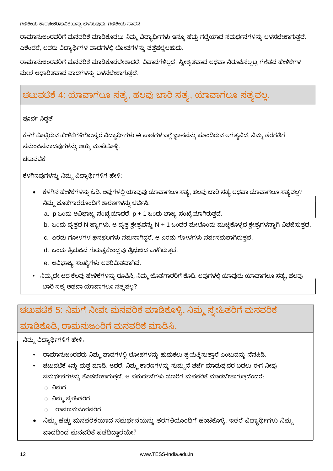ರಾಮಾನುಜಂರವರಿಗೆ ಮನವರಿಕೆ ಮಾಡಿಕೊಡಲು ನಿಮ್ಮ ವಿದ್ಯಾರ್ಥಿಗಳು ಇನ್ನೂ ಹೆಚ್ಚು ಗಟ್ಟಿಯಾದ ಸಮರ್ಥನೆಗಳನ್ನು ಬಳಸಬೇಕಾಗುತ್ತದೆ. ಏಕೆಂದರೆ, ಅವರು ವಿದ್ಯಾರ್ಥಿಗಳ ವಾದಗಳಲ್ಲಿ ಲೋಪಗಳನ್ನು ಪತ್ತೆಹಚ್ಚಬಹುದು.

ರಾಮಾನುಜಂರವರಿಗೆ ಮನವರಿಕೆ ಮಾಡಿಕೊಡಬೇಕಾದರೆ, ವಿವಾದಗಳಿಲ್ಲದೆ, ಸ್ವೀಕೃತವಾದ ಅಥವಾ ನಿರೂಪಿಸಲ್ಪಟ್ಟ ಗಣಿತದ ಹೇಳಿಕೆಗಳ ಮೇಲೆ ಆಧಾರಿತವಾದ ವಾದಗಳನ್ನು ಬಳಸಬೇಕಾಗುತ್ತದೆ.

### ಚಟುವಟಿಕೆ 4: ಯಾವಾಗಲೂ ಸತ್ಯ, ಹಲವು ಬಾರಿ ಸತ್ಯ, ಯಾವಾಗಲೂ ಸತ್ಯವಲ್ಲ.

ಪೂರ್ವ ಸಿದ್ದತೆ

ಕೆಳಗೆ ಕೊಟ್ಟಿರುವ ಹೇಳಿಕೆಗಳಿಗೋಸ್ಕರ ವಿದ್ಯಾರ್ಥಿಗಳು ಈ ಪಾಠಗಳ ಬಗ್ಗೆ ಜ್ಞಾನವನ್ನು ಹೊಂದಿರುವ ಅಗತ್ಯವಿದೆ. ನಿಮ್ಮ ತರಗತಿಗೆ ಸಮಂಜಸವಾದವುಗಳನ್ನು ಆಯ್ಕೆ ಮಾಡಿಕೊಳ್ಳಿ.

ಚಟುವಟಿಕೆ

ಕೆಳಗಿನವುಗಳನ್ನು ನಿಮ್ಮ ವಿದ್ಯಾರ್ಥಿಗಳಿಗೆ ಹೇಳಿ:

- ಕೆಳಗಿನ ಹೇಳಿಕೆಗಳನ್ನು ಓದಿ. ಅವುಗಳಲ್ಲಿ ಯಾವುವು ಯಾವಾಗಲೂ ಸತ್ಯ, ಹಲವು ಬಾರಿ ಸತ್ಯ ಅಥವಾ ಯಾವಾಗಲೂ ಸತ್ಯವಲ್ಲ? ನಿಮ್ಮ ಜೊತೆಗಾರರೊಂದಿಗೆ ಕಾರಣಗಳನ್ನು ಚರ್ಚಿಸಿ.
	- a. p ಒಂದು ಅವಿಭಾಜ್ಯ ಸಂಖ್ಯೆಯಾದರೆ, p + 1 ಒಂದು ಭಾಜ್ಯ ಸಂಖ್ಯೆಯಾಗಿರುತ್ತದೆ.
	- b. ಒಂದು ವೃತ್ತದ N ಜ್ಯಾಗಳು, ಆ ವೃತ್ತ ಕ್ಷೇತ್ರವನ್ನು N + 1 ಒಂದರ ಮೇಲೊಂದು ಮುಚ್ಚಿಕೊಳ್ಳದ ಕ್ಷೇತ್ರಗಳನ್ನಾಗಿ ವಿಭಜಿಸುತ್ತದೆ.
	- c. ಎರಡು ಗೋಳಗಳ ಘನಫಲಗಳು ಸಮನಾಗಿದ್ದರೆ, ಆ ಎರಡು ಗೋಳಗಳು ಸರ್ವಸಮವಾಗಿರುತ್ತವೆ.
	- d. ಒಂದು ತ್ರಿಭುಜದ ಗುರುತ್ವಕೇಂದ್ರವು ತ್ರಿಭುಜದ ಒಳಗಿರುತ್ತದೆ.
	- e. ಅವಿಭಾಜ್ಯ ಸಂಖ್ಯೆಗಳು ಅಪರಿಮಿತವಾಗಿವೆ.
- ನಿಮ್ಮದೇ ಆದ ಕೆಲವು ಹೇಳಿಕೆಗಳನ್ನು ರೂಪಿಸಿ, ನಿಮ್ಮ ಜೊತೆಗಾರರಿಗೆ ಕೊಡಿ. ಅವುಗಳಲ್ಲಿ ಯಾವುದು ಯಾವಾಗಲೂ ಸತ್ಯ, ಹಲವು ಬಾರಿ ಸತ್ಯ ಅಥವಾ ಯಾವಾಗಲೂ ಸತ್ಯವಲ್ಲ?

ಚಟುವಟಿಕೆ 5: ನಿಮಗೆ ನೀವೇ ಮನವರಿಕೆ ಮಾಡಿಕೊಳ್ಳಿ, ನಿಮ್ಮ ಸ್ತ್ರೇಹಿತರಿಗೆ ಮನವರಿಕೆ

#### ಮಾಡಿಕೊಡಿ, ರಾಮನುಜಂರಿಗೆ ಮನವರಿಕೆ ಮಾಡಿಸಿ.

ನಿಮ್ಮ ವಿದ್ಯಾರ್ಥಿಗಳಿಗೆ ಹೇಳಿ:

- ಂಾಮಾನುಜಂರವರು ನಿಮ್ಮ ವಾದಗಳಲ್ಲಿ ಲೋಪಗಳನ್ನು ಹುಡುಕಲು ಪ್ರಯತ್ನಿಸುತ್ತಾರೆ ಎಂಬುದನ್ನು ನೆನಪಿಡಿ.
- ಚಟುವಟಿಕೆ 4ನ್ನು ಮತ್ತೆ ಮಾಡಿ. ಆದರೆ, ನಿಮ್ಮ ಕಾರಣಗಳನ್ನು ಸುಮ್ಮನೆ ಚರ್ಚೆ ಮಾಡುವುದರ ಬದಲು ಈಗ ನೀವು ಸಮರ್ಥನೆಗಳನ್ನು ಕೊಡಬೇಕಾಗುತ್ತದೆ. ಆ ಸಮರ್ಥನೆಗಳು ಯಾರಿಗೆ ಮನವರಿಕೆ ಮಾಡಬೇಕಾಗುತ್ತದೆಂದರೆ.
	- ಂ ನಿಮಗೆ
	- ಂ ನಿಮ್ಮ ಸ್ನೇಹಿತರಿಗೆ
	- ಂ ರಾಮಾನುಜಂರವರಿಗೆ
- ನಿಮ್ಮ ಹೆಚ್ಚು ಮನವರಿಕೆಯಾದ ಸಮರ್ಥನೆಯನ್ನು ತರಗತಿಯೊಂದಿಗೆ ಹಂಚಿಕೊಳ್ಳಿ. ಇತರೆ ವಿದ್ಯಾರ್ಥಿಗಳು ನಿಮ್ಮ ವಾದದಿಂದ ಮನವರಿಕೆ ಪಡೆದಿದ್ದಾರೆಯೇ?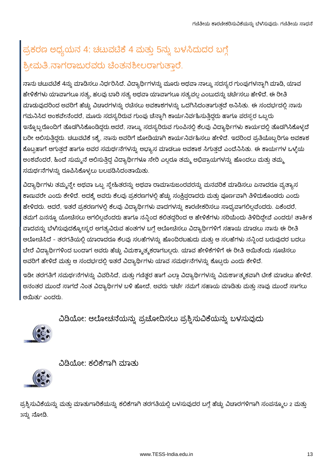### ಪ್ರಕರಣ ಅಧ್ಯಯನ 4: ಚಟುವಟಿಕೆ 4 ಮತ್ತು 5ನ್ನು ಬಳಸಿದುದರ ಬಗ್ಗೆ ಶ್ರೀಮತಿ.ನಾಗರಾಜುರವರು ಚೆಂತನಶೀಲರಾಗುತ್ತಾರೆ.

ನಾನು ಚಟುವಟಿಕೆ 4ನ್ನು ಮಾಡಿಸಲು ನಿರ್ಧರಿಸಿದೆ. ವಿದ್ಯಾರ್ಥಿಗಳನ್ನು ಮೂರು ಅಥವಾ ನಾಲ್ಕು ಸದಸ್ಯರ ಗುಂಪುಗಳನ್ನಾಗಿ ಮಾಡಿ, ಯಾವ ಹೇಳಿಕೆಗಳು ಯಾವಾಗಲೂ ಸತ್ಯ, ಹಲವು ಬಾರಿ ಸತ್ಯ ಅಥವಾ ಯಾವಾಗಲೂ ಸತ್ಯವಲ್ಲ ಎಂಬುದನ್ನು ಚರ್ಚಿಸಲು ಹೇಳಿದೆ. ಈ ರೀತಿ ಮಾಡುವುದರಿಂದ ಅವರಿಗೆ ಹೆಚ್ಚು ವಿಚಾರಗಳನ್ನು ರಚೆಸಲು ಅವಕಾಶಗಳನ್ನು ಒದಗಿಸಿದಂತಾಗುತ್ತದೆ ಅನಿಸಿತು. ಈ ಸಂದರ್ಭದಲ್ಲಿ ನಾನು ಗಮನಿಸಿದ ಅಂಶವೇನೆಂದರೆ, ಮೂರು ಸದಸ್ಯರಿರುವ ಗುಂಪು ಚೆನ್ನಾಗಿ ಕಾರ್ಯನಿರ್ವಹಿಸುತ್ತಿದ್ದರು ಹಾಗೂ ಪರಸ್ಸರ ಒಬ್ಬರು ಇನ್ನೊಬ್ಬರೊಂದಿಗೆ ತೊಡಗಿಸಿಕೊಂಡಿದ್ದರು.ಆದರೆ, ನಾಲ್ಕು ಸದಸ್ಯರಿರುವ ಗುಂಪಿನಲ್ಲಿ ಕೆಲವು ವಿದ್ಯಾರ್ಥಿಗಳು ಕಾರ್ಯದಲ್ಲಿ ತೊಡಗಿಸಿಕೊಳ್ಳದೆ ಬರೀ ಆಲಿಸುತಿದ್ದರು. ಚಟುವಟಿಕೆ 5ಕ್ಕೆ, ನಾನು ಅವರಿಗೆ ಜೋಡಿಯಾಗಿ ಕಾರ್ಯನಿರ್ವಹಿಸಲು ಹೇಳಿದೆ. ಇದರಿಂದ ಪ್ರತಿಯೊಬ್ಬರಿಗೂ ಅವಕಾಶ ಕೊಟ್ಟಹಾಗೆ ಆಗುತ್ತದೆ ಹಾಗೂ ಅವರ ಸಮರ್ಥನೆಗಳನ್ನು ಅಭ್ಯಾಸ ಮಾಡಲೂ ಅವಕಾಶ ಸಿಗುತ್ತದೆ ಎಂದೆನಿಸಿತು. ಈ ಕಾರ್ಯಗಳ ಒಳ್ಳೆಯ ಅಂಶವೆಂದರೆ, ಹಿಂದೆ ಸುಮ್ಮನೆ ಆಲಿಸುತ್ತಿದ್ದ ವಿದ್ಯಾರ್ಥಿಗಳೂ ಸೇರಿ ಎಲ್ಲರೂ ತಮ್ಮ ಅಭಿಪ್ರಾಯಗಳನ್ನು ಹೊಂದಲು ಮತ್ತು ತಮ್ಮ ಸಮರ್ಥನೆಗಳನ್ನು ರೂಪಿಸಿಕೊಳ್ಳಲು ಬಲಪಡಿಸಿದಂತಾಯಿತು.

ವಿದ್ಯಾರ್ಥಿಗಳು ತಮ್ಮನ್ನೇ ಅಥವಾ ಒಬ್ಬ ಸ್ತೇಹಿತರನ್ನು ಅಥವಾ ರಾಮಾನುಜಂರವರನ್ನು ಮನವರಿಕೆ ಮಾಡಿಸಲು ಏನಾದರೂ ವ್ಯತ್ಯಾಸ ಕಾಣುವರೇ ಎಂದು ಕೇಳಿದೆ. ಅದಕ್ಕೆ ಅವರು ಕೆಲವು ಪ್ರಕರಣಗಳಲ್ಲಿ ಹೆಚ್ಚು ಸಂಕ್ಷಿಪ್ತರಾದರು ಮತ್ತು ಪೂರ್ಣವಾಗಿ ತಿಳಿದುಕೊಂಡರು ಎಂದು ಹೇಳಿದರು. ಆದರೆ, ಇತರೆ ಪ್ರಕರಣಗಳಲ್ಲಿ ಕೆಲವು ವಿದ್ಯಾರ್ಥಿಗಳು ವಾದಗಳನ್ನು ಕಾರಣೀಕರಿಸಲು ಸಾಧ್ಯವಾಗಲಿಲ್ಲವೆಂದರು. ಏಕೆಂದರೆ, ತಮಗೆ ಏನನ್ನೂ ಯೋಚಿಸಲು ಆಗಲಿಲ್ಲವೆಂದರು ಹಾಗೂ ನನ್ನಿಂದ ಕಲಿತದ್ದರಿಂದ ಆ ಹೇಳಿಕೆಗಳು ಸರಿಯೆಂದು ತಿಳಿದಿದ್ದೇವೆ ಎಂದರು! ತಾರ್ಕಿಕ ವಾದವನ್ನು ಬೆಳೆಸುವುದಕ್ಕೋಸ್ಕರ ಅಗತ್ಯವಿರುವ ಹಂತಗಳ ಬಗ್ಗೆ ಆಲೋಚಿಸಲು ವಿದ್ಯಾರ್ಥಿಗಳಿಗೆ ಸಹಾಯ ಮಾಡಲು ನಾನು ಈ ರೀತಿ ಆಲೋಚಿಸಿದೆ - ತರಗತಿಯಲ್ಲಿ ಯಾರಾದರೂ ಕೆಲವು ಸಲಹೆಗಳನ್ನು ಹೊಂದಿರಬಹುದು ಮತ್ತು ಆ ಸಲಹೆಗಳು ನನ್ನಿಂದ ಬರುವುದರ ಬದಲು ಬೇರೆ ವಿದ್ಯಾರ್ಥಿಗಳಿಂದ ಬಂದಾಗ ಅವರು ಹೆಚ್ಚು ವಿಮರ್ಶ್ಮಾತ್ಮಕರಾಗಬಲ್ಲರು. ಯಾವ ಹೇಳಿಕೆಗಳಿಗೆ ಈ ರೀತಿ ಆಯಿತೆಂದು ಸೂಚಿಸಲು ಅವರಿಗೆ ಹೇಳಿದೆ ಮತ್ತು ಆ ಸಂದರ್ಭದಲ್ಲಿ ಇತರೆ ವಿದ್ಯಾರ್ಥಿಗಳು ಯಾವ ಸಮರ್ಥನೆಗಳನ್ನು ಕೊಟ್ಟರು ಎಂದು ಕೇಳಿದೆ.

ಇಡೀ ತರಗತಿಗೆ ಸಮರ್ಥನೆಗಳನ್ನು ವಿವರಿಸಿದೆ, ಮತ್ತು ಗಣಿತ್ಹರ ಹಾಗೆ ಎಲ್ಲಾ ವಿದ್ಯಾರ್ಥಿಗಳನ್ನು ವಿಮರ್ಶಾತ್ಮಕವಾಗಿ ಟೀಕೆ ಮಾಡಲು ಹೇಳಿದೆ. ಅನಂತರ ಮುಂದೆ ಸಾಗದೆ ನಿಂತ ವಿದ್ಯಾರ್ಥಿಗಳ ಬಳಿ ಹೋದೆ, ಅವರು "ಚರ್ಚೆ ನಮಗೆ ಸಹಾಯ ಮಾಡಿತು ಮತ್ತು ನಾವು ಮುಂದೆ ಸಾಗಲು ಆಯಿತು" ಎಂದರು.

#### ವಿಡಿಯೋ: ಆಲೋಚನೆಯನ್ನು ಪ್ರಚೋದಿಸಲು ಪ್ರಶ್ನಿಸುವಿಕೆಯನ್ನು ಬಳಸುವುದು







ಪ್ರಶ್ನಿಸುವಿಕೆಯನ್ನು ಮತ್ತು ಮಾತುಗಾರಿಕೆಯನ್ನು ಕಲಿಕೆಗಾಗಿ ತರಗತಿಯಲ್ಲಿ ಬಳಸುವುದರ ಬಗ್ಗೆ ಹೆಚ್ಚು ವಿಚಾರಗಳಿಗಾಗಿ ಸಂಪನ್ಮೂಲ 2 ಮತ್ತು 3ನ್ನು ನೋಡಿ.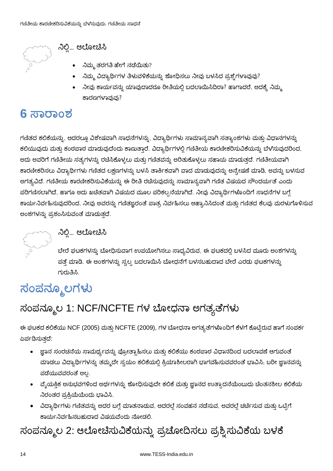

### ನಿಲ್ಲಿ... ಆಲೋಚಿಸಿ

- $\bullet$  ನಿಮ್ಮ ತರಗತಿ ಹೇಗೆ ನಡೆಯಿತು?
- ನಿಮ್ಮ ವಿದ್ಯಾರ್ಥಿಗಳ ತಿಳುವಳಿಕೆಯನ್ನು ಶೋಧಿಸಲು ನೀವು ಬಳಸಿದ ಪ್ರಶ್ನೆಗಳಾವುವು?
- ನೀವು ಕಾರ್ಯವನ್ನು ಯಾವುದಾದರೂ ರೀತಿಯಲ್ಲಿ ಬದಲಾಯಿಸಿದಿರಾ? ಹಾಗಾದರೆ, ಅದಕ್ಕೆ ನಿಮ್ಮ ಕಾರಣಗಳಾವುವು?

### 6 ಸಾರಾಂಶ

ಗಣಿತದ ಕಲಿಕೆಯನ್ನು, ಅದರಲ್ಲೂ ವಿಶೇಷವಾಗಿ ಸಾಧನೆಗಳನ್ನು, ವಿದ್ಯಾರ್ಥಿಗಳು ಸಾಮಾನ್ಯವಾಗಿ ಸತ್ಯಾಂಶಗಳು ಮತ್ತು ವಿಧಾನಗಳನ್ನು ಕಲಿಯುವುದು ಮತ್ತು ಕಂಠಪಾಠ ಮಾಡುವುದೆಂದು ಕಾಣುತ್ತಾರೆ. ವಿದ್ಯಾರ್ಥಿಗಳಲ್ಲಿ ಗಣಿತೀಯ ಕಾರಣೀಕರಿಸುವಿಕೆಯನ್ನು ಬೆಳೆಸುವುದರಿಂದ, ಅದು ಅವರಿಗೆ ಗಣಿತೀಯ ಸತ್ಯಗಳನ್ನು ರಚಿಸಿಕೊಳ್ಳಲು ಮತ್ತು ಗಣಿತವನ್ನು ಅರಿತುಕೊಳ್ಳಲು ಸಹಾಯ ಮಾಡುತ್ತದೆ. ಗಣಿತೀಯವಾಗಿ ಕಾರಣೀಕರಿಸಲು ವಿದ್ಯಾರ್ಥಿಗಳು ಗಣಿತದ ಲಕ್ಷಣಗಳನ್ನು ಬಳಸಿ ತಾರ್ಕಿಕವಾಗಿ ವಾದ ಮಾಡುವುದನ್ನು ಅನ್ವೇಷಣೆ ಮಾಡಿ, ಅವನ್ನು ಬಳಸುವ ಅಗತ್ಯವಿದೆ. ಗಣಿತೀಯ ಕಾರಣೀಕರಿಸುವಿಕೆಯನ್ನು ಈ ರೀತಿ ರಚೆಸುವುದನ್ನು ಸಾಮಾನ್ಯವಾಗಿ ಗಣಿತ ವಿಷಯದ ಸೌಂದರ್ಯತೆ ಎಂದು ಪರಿಗಣಿಸಲಾಗಿದೆ, ಹಾಗೂ ಅದು ಖಚಿತವಾಗಿ ವಿಷಯದ ಮೂಲ ಪರಿಕಲ್ಪನೆಯಾಗಿದೆ. ನೀವು ವಿದ್ಯಾರ್ಥಿಗಳೊಂದಿಗೆ ಸಾಧನೆಗಳ ಬಗ್ಗೆ ಕಾರ್ಯನಿರ್ವಹಿಸುವುದರಿಂದ, ನೀವು ಅವರನ್ನು ಗಣಿತಜ್ಞರಂತೆ ಪಾತ್ರ ನಿರ್ವಹಿಸಲು ಆಹ್ವಾನಿಸಿದಂತೆ ಮತ್ತು ಗಣಿತದ ಕೆಲವು ಮರಳುಗೊಳಿಸುವ ಅಂಶಗಳನ್ನು ಪ್ರಶಂಸಿಸುವಂತೆ ಮಾಡುತ್ತದೆ.



#### ನಿಲ್ಲಿ... ಆಲೋಚಿಸಿ

ಬೇರೆ ಘಟಕಗಳನ್ನು ಬೋಧಿಸುವಾಗ ಉಪಯೋಗಿಸಲು ಸಾಧ್ಯವಿರುವ, ಈ ಘಟಕದಲ್ಲಿ ಬಳಸಿದ ಮೂರು ಅಂಶಗಳನ್ನು ಪತ್ತೆ ಮಾಡಿ. ಈ ಅಂಶಗಳನ್ನು ಸ್ವಲ್ಪ ಬದಲಾಯಿಸಿ ಬೋಧನೆಗೆ ಬಳಸಬಹುದಾದ ಬೇರೆ ಎರಡು ಘಟಕಗಳನ್ನು ಗುರುತಿಸಿ.

### ಸಂಪನ್ಮೂಲಗಳು

### ಸಂಪನ್ಮೂಲ 1: NCF/NCFTE ಗಳ ಬೋಧನಾ ಅಗತ್ಯತೆಗಳು

ಈ ಘಟಕದ ಕಲಿಕೆಯು NCF (2005) ಮತ್ತು NCFTE (2009), ಗಳ ಬೋಧನಾ ಅಗತ್ಯತೆಗಳೊಂದಿಗೆ ಕೆಳಗೆ ಕೊಟ್ಟಿರುವ ಹಾಗೆ ಸಂಪರ್ಕ ಏರ್ಪಡಿಸುತ್ತದೆ:

- ್ಞವಾನ ಸಂರಚನೆಯ ಸಾಮರ್ಥ್ಯವನ್ನು ಪ್ರೋತ್ಸಾಹಿಸಲು ಮತ್ತು ಕಲಿಕೆಯು ಕಂಠಪಾಠ ವಿಧಾನದಿಂದ ಬದಲಾವಣೆ ಆಗುವಂತೆ ಮಾಡಲು ವಿದ್ಯಾರ್ಥಿಗಳನ್ನು ತಮ್ಮದೇ ಸ್ವಯಂ ಕಲಿಕೆಯಲ್ಲಿ ಕ್ರಿಯಾಶೀಲರಾಗಿ ಭಾಗವಹಿಸುವವರಂತೆ ಭಾವಿಸಿ, ಬರೀ ಜ್ಞಾನವನ್ನು ಪಡೆಯುವವರಂತೆ ಅಲ.
- ವೈಯಕ್ತಿಕ ಅನುಭವಗಳಿಂದ ಅರ್ಥಗಳನ್ನು ಶೋಧಿಸುವುದೇ ಕಲಿಕೆ ಮತ್ತು ಜ್ಞಾನದ ಉತ್ಪಾದನೆಯೆಂಬುದು ಚಿಂತನಶೀಲ ಕಲಿಕೆಯ ನಿರಂತರ ಪ್ರಕ್ರಿಯೆಯೆಂದು ಭಾವಿಸಿ.
- ವಿದ್ಯಾರ್ಥಿಗಳು ಗಣಿತವನ್ನು ಅದರ ಬಗ್ಗೆ ಮಾತನಾಡುವ, ಅದರಲ್ಲೆ ಸಂವಹನ ನಡೆಸುವ, ಅವರಲ್ಲೆ ಚರ್ಚೆಸುವ ಮತ್ತು ಒಟ್ಟಿಗೆ ಕಾರ್ಯನಿರ್ವಹಿಸಬಹುದಾದ ವಿಷಯವೆಂದು ನೋಡಲಿ.

### ಸಂಪನ್ಮೂಲ 2: ಆಲೋಚಿಸುವಿಕೆಯನ್ನು ಪ್ರಚೋದಿಸಲು ಪ್ರಶ್ನಿಸುವಿಕೆಯ ಬಳಕೆ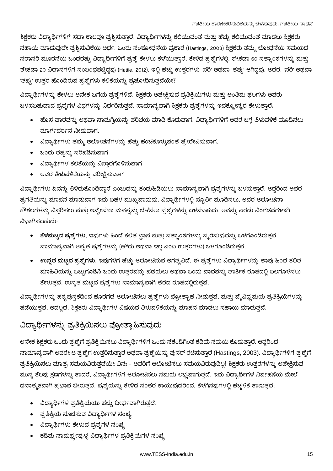ಶಿಕ್ಷಕರು ವಿದ್ಯಾರ್ಥಿಗಳಿಗೆ ಸದಾ ಕಾಲವೂ ಪ್ರಶ್ನಿಸುತ್ತಾರೆ, ವಿದ್ಯಾರ್ಥಿಗಳನ್ನು ಕಲಿಯುವಂತೆ ಮತ್ತು ಹೆಚ್ಚು ಕಲಿಯುವಂತೆ ಮಾಡಲು ಶಿಕ್ಷಕರು ಸಹಾಯ ಮಾಡುವುದೇ ಪ್ರಶ್ನಿಸುವಿಕೆಯ ಅರ್ಥ. ಒಂದು ಸಂಶೋಧನೆಯ ಪ್ರಕಾರ (Hastings, 2003) ಶಿಕ್ಷಕರು ತಮ್ಮ ಬೋಧನೆಯ ಸಮಯದ ಸರಾಸರಿ ಮೂರನೆಯ ಒಂದರಷ್ಟು ವಿದ್ಯಾರ್ಥಿಗಳಿಗೆ ಪ್ರಶ್ನೆ ಕೇಳಲು ಕಳೆಯುತ್ತಾರೆ. ಕೇಳಿದ ಪ್ರಶ್ನೆಗಳಲ್ಲಿ, ಶೇಕಡಾ 60 ಸತ್ಯಾಂಶಗಳನ್ನು ಮತ್ತು ಶೇಕಡಾ 20 ವಿಧಾನಗಳಿಗೆ ಸಂಬಂಧಪಟ್ಟಿದ್ದವು (Hattie, 2012). ಇಲ್ಲಿ ಹೆಚ್ಚು ಉತ್ತರಗಳು 'ಸರಿ' ಅಥವಾ 'ತಪ್ಪು' ಆಗಿದ್ದವು. ಆದರೆ, 'ಸರಿ' ಅಥವಾ 'ತಪ್ಪು' ಉತ್ತರ ಹೊಂದಿರುವ ಪ್ರಶ್ನೆಗಳು ಕಲಿಕೆಯನ್ನು ಪ್ರಚೋದಿಸುತ್ತವೆಯೇ?

ವಿದ್ಯಾರ್ಥಿಗಳನ್ನು ಕೇಳಲು ಅನೇಕ ಬಗೆಯ ಪ್ರಶ್ನೆಗಳಿವೆ. ಶಿಕ್ಷಕರು ಅಪೇಕ್ಷಿಸುವ ಪ್ರತಿಕ್ರಿಯೆಗಳು ಮತ್ತು ಅಂತಿಮ ಫಲಗಳು ಅವರು ಬಳಸಬಹುದಾದ ಪ್ರಶ್ನೆಗಳ ವಿಧಗಳನ್ನು ನಿರ್ಧರಿಸುತ್ತವೆ. ಸಾಮಾನ್ಯವಾಗಿ ಶಿಕ್ಷಕರು ಪ್ರಶ್ನೆಗಳನ್ನು ಇದಕ್ಕೋಸ್ಕರ ಕೇಳುತ್ತಾರೆ.

- ಹೊಸ ಪಾಠವನ್ನು ಅಥವಾ ಸಾಮಗ್ರಿಯನ್ನು ಪರಿಚಯ ಮಾಡಿ ಕೊಡುವಾಗ, ವಿದ್ಯಾರ್ಥಿಗಳಿಗೆ ಅದರ ಬಗ್ಗೆ ತಿಳುವಳಿಕೆ ಮೂಡಿಸಲು ಮಾರ್ಗದರ್ಶನ ನೀಡುವಾಗ.
- ವಿದ್ಯಾರ್ಥಿಗಳು ತಮ್ಮ ಆಲೋಚನೆಗಳನ್ನು ಹೆಚ್ಚು ಹಂಚಿಕೊಳ್ಳುವಂತೆ ಪ್ರೇರೇಪಿಸುವಾಗ.
- ಒಂದು ತಪ್ಪನ್ನು ಸರಿಪಡಿಸುವಾಗ
- ವಿದ್ಯಾರ್ಥಿಗಳ ಕಲಿಕೆಯನ್ನು ವಿಸ್ತಾರಗೊಳಿಸುವಾಗ
- ಅವರ ತಿಳುವಳಿಕೆಯನ್ನು ಪರೀಕ್ಷಿಸುವಾಗ

ವಿದ್ಯಾರ್ಥಿಗಳು ಏನನ್ನು ತಿಳಿದುಕೊಂಡಿದ್ದಾರೆ ಎಂಬುದನ್ನು ಕಂಡುಹಿಡಿಯಲು ಸಾಮಾನ್ಯವಾಗಿ ಪ್ರಶ್ನೆಗಳನ್ನು ಬಳಸುತ್ತಾರೆ. ಆದ್ದರಿಂದ ಅವರ ಪ್ರಗತಿಯನ್ನು ಮಾಪನ ಮಾಡುವಾಗ ಇದು ಬಹಳ ಮುಖ್ಯವಾದುದು. ವಿದ್ಯಾರ್ಥಿಗಳಲ್ಲಿ ಸ್ಪೂರ್ತಿ ಮೂಡಿಸಲು, ಅವರ ಆಲೋಚನಾ ಕೌಶಲಗಳನ್ನು ವಿಸ್ತರಿಸಲು ಮತ್ತು ಅನ್ವೇಷಣಾ ಮನಸ್ಸನ್ನು ಬೆಳೆಸಲು ಪ್ರಶ್ನೆಗಳನ್ನು ಬಳಸಬಹುದು. ಅವನ್ನು ಎರಡು ವಿಂಗಡಣೆಗಳಾಗಿ ವಿಭಾಗಿಸಬಹುದು.

- ಕೆಳಮಟ್ಟದ ಪ್ರಶ್ನೆಗಳು, ಇವುಗಳು ಹಿಂದೆ ಕಲಿತ ಜ್ಞಾನ ಮತ್ತು ಸತ್ಯಾಂಶಗಳನ್ನು ಸ್ಮರಿಸುವುದನ್ನು ಒಳಗೊಂಡಿರುತ್ತವೆ. ಸಾಮಾನ್ಯವಾಗಿ ಆವೃತ ಪ್ರಶ್ನೆಗಳನ್ನು (ಹೌದು ಅಥವಾ ಇಲ್ಲ ಎಂಬ ಉತ್ತರಗಳು) ಒಳಗೊಂಡಿರುತ್ತವೆ.
- ಉನ್ನತ ಮಟ್ಟದ ಪ್ರಶ್ನೆಗಳು, ಇವುಗಳಿಗೆ ಹೆಚ್ಚು ಆಲೋಚಿಸುವ ಅಗತ್ಯವಿದೆ. ಈ ಪ್ರಶ್ನೆಗಳು ವಿದ್ಯಾರ್ಥಿಗಳನ್ನು ತಾವು ಹಿಂದೆ ಕಲಿತ ಮಾಹಿತಿಯನ್ನು ಒಟ್ಟುಗೂಡಿಸಿ ಒಂದು ಉತ್ತರವನ್ನು ಪಡೆಯಲು ಅಥವಾ ಒಂದು ವಾದವನ್ನು ತಾರ್ಕಿಕ ರೂಪದಲ್ಲಿ ಬಲಗೊಳಿಸಲು ಕೇಳುತ್ತವೆ. ಉನ್ನತ ಮಟ್ಟದ ಪ್ರಶ್ನೆಗಳು ಸಾಮಾನ್ಯವಾಗಿ ತೆರೆದ ರೂಪದಲ್ಲಿರುತ್ತವೆ.

ವಿದ್ಯಾರ್ಥಿಗಳನ್ನು ಪಠ್ಯಪುಸ್ತಕದಿಂದ ಹೊರಗಡೆ ಆಲೋಚಿಸಲು ಪ್ರಶ್ನೆಗಳು ಪ್ರೋತ್ಸಾಹ ನೀಡುತ್ತವೆ, ಮತ್ತು ವ್ಯವಿಧ್ಯಮಯ ಪ್ರತಿಕ್ರಿಯೆಗಳನ್ನು ಪಡೆಯುತ್ತವೆ, ಅದಲ್ಲದೆ, ಶಿಕ್ಷಕರು ವಿದ್ಯಾರ್ಥಿಗಳ ವಿಷಯದ ತಿಳುವಳಿಕೆಯನ್ನು ಮಾಪನ ಮಾಡಲು ಸಹಾಯ ಮಾಡುತ್ತವೆ.

#### ವಿದ್ಯಾರ್ಥಿಗಳನ್ನು ಪ್ರತಿಕ್ರಿಯಿಸಲು ಪ್ರೋತ್ಸಾಹಿಸುವುದು

ಅನೇಕ ಶಿಕ್ಷಕರು ಒಂದು ಪ್ರಶ್ನೆಗೆ ಪ್ರತಿಕ್ರಿಯಿಸಲು ವಿದ್ಯಾರ್ಥಿಗಳಿಗೆ ಒಂದು ಸೆಕೆಂಡಿಗಿಂತ ಕಡಿಮೆ ಸಮಯ ಕೊಡುತ್ತಾರೆ. ಆದ್ದರಿಂದ ಸಾಮಾನ್ಯವಾಗಿ ಅವರೇ ಆ ಪ್ರಶ್ನೆಗ ಉತ್ತರಿಸುತ್ತಾರೆ ಅಥವಾ ಪ್ರಶ್ನೆಯನ್ನು ಪುನರ್ ರಚೆಸುತ್ತಾರೆ (Hastings, 2003). ವಿದ್ಯಾರ್ಥಿಗಳಿಗೆ ಪ್ರಶ್ನೆಗೆ ಪ್ರತಿಕ್ರಿಯಿಸಲು ಮಾತ್ರ ಸಮಯವಿರುತ್ತದೆಯೇ ವಿನಃ - ಅವರಿಗೆ ಆಲೋಚಿಸಲು ಸಮಯವಿರುವುದಿಲ್ಲ! ಶಿಕ್ಷಕರು ಉತ್ತರಗಳನ್ನು ಅಪೇಕ್ಷಿಸುವ ಮುನ್ನ ಕೆಲವು ಕ್ಷಣಗಳನ್ನು ಕಾದರೆ, ವಿದ್ಯಾರ್ಥಿಗಳಿಗೆ ಆಲೋಚಿಸಲು ಸಮಯ ಲಭ್ಯವಾಗುತ್ತದೆ. ಇದು ವಿದ್ಯಾರ್ಥಿಗಳ ನಿರ್ವಹಣೆಯ ಮೇಲೆ ಧನಾತ್ಮಕವಾಗಿ ಪ್ರಭಾವ ಬೀರುತ್ತದೆ. ಪ್ರಶ್ನೆಯನ್ನು ಕೇಳಿದ ನಂತರ ಕಾಯುವುದರಿಂದ, ಕೆಳಗಿನವುಗಳಲ್ಲಿ ಹೆಚ್ಚಳಿಕೆ ಕಾಣುತ್ತದೆ.

- ವಿದ್ಯಾರ್ಥಿಗಳ ಪ್ರತಿಕ್ರಿಯೆಯು ಹೆಚ್ಚು ದೀರ್ಘವಾಗಿರುತ್ತದೆ.
- ಪ್ರತಿಕ್ರಿಯೆ ಸೂಚೆಸುವ ವಿದ್ಯಾರ್ಥಿಗಳ ಸಂಖ್ಯೆ
- ವಿದ್ಯಾರ್ಥಿಗಳು ಕೇಳುವ ಪ್ರಶ್ನೆಗಳ ಸಂಖ್ಯೆ
- ಕಡಿಮೆ ಸಾಮರ್ಥ್ಯವುಳ್ಳ ವಿದ್ಯಾರ್ಥಿಗಳ ಪ್ರತಿಕ್ರಿಯೆಗಳ ಸಂಖ್ಯೆ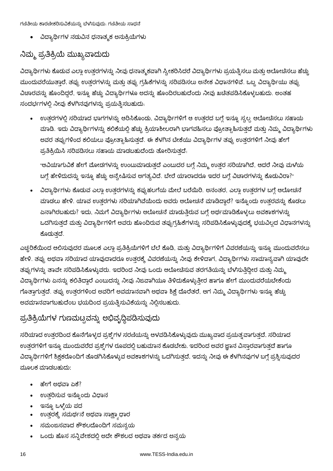ಗಣಿತೀಯ ಕಾರಣೀಕರಿಸುವಿಕೆಯನ್ನು ಬೆಳೆಸುವುದು. ಗಣಿತೀಯ ಸಾಧನೆ

ವಿದ್ಯಾರ್ಥಿಗಳ ನಡುವಿನ ಧನಾತ್ಮಕ ಅನುಕ್ರಿಯೆಗಳು

#### ನಿಮ್ಮ ಪ್ರತಿಕ್ರಿಯೆ ಮುಖ್ಯವಾದುದು

ವಿದ್ಯಾರ್ಥಿಗಳು ಕೊಡುವ ಎಲ್ಲಾ ಉತ್ತರಗಳನ್ನು ನೀವು ಧನಾತ್ಮಕವಾಗಿ ಸ್ವೀಕರಿಸಿದರೆ ವಿದ್ಯಾರ್ಥಿಗಳು ಪ್ರಯತ್ನಿಸಲು ಮತ್ತು ಆಲೋಚಿಸಲು ಹೆಚ್ಚು ಮುಂದುವರೆಯುತ್ತಾರೆ. ತಪ್ಪು ಉತ್ತರಗಳನ್ನು ಮತ್ತು ತಪ್ಪು ಗ್ರಹಿಕೆಗಳನ್ನು ಸರಿಪಡಿಸಲು ಅನೇಕ ವಿಧಾನಗಳಿವೆ. ಒಬ್ಬ ವಿದ್ಯಾರ್ಥಿಯು ತಪ್ಪ ವಿಚಾರವನ್ನು ಹೊಂದಿದ್ದರೆ, ಇನ್ನೂ ಹೆಚ್ಚು ವಿದ್ಯಾರ್ಥಿಗಳೂ ಅದನ್ನು ಹೊಂದಿರಬಹುದೆಂದು ನೀವು ಖಚಿತಪಡಿಸಿಕೊಳ್ಳಬಹುದು. ಅಂತಹ ಸಂದರ್ಭಗಳಲ್ಲಿ ನೀವು ಕೆಳಗಿನವುಗಳನ್ನು ಪ್ರಯತ್ನಿಸಬಹುದು.

ಉತ್ತರಗಳಲ್ಲಿ ಸರಿಯಾದ ಭಾಗಗಳನ್ನು ಆರಿಸಿಕೊಂಡು, ವಿದ್ಯಾರ್ಥಿಗಳಿಗೆ ಆ ಉತ್ತರದ ಬಗ್ಗೆ ಇನ್ನೂ ಸ್ವಲ್ಪ ಆಲೋಚಿಸಲು ಸಹಾಯ ಮಾಡಿ. ಇದು ವಿದ್ಯಾರ್ಥಿಗಳನ್ನು ಕಲಿಕೆಯಲ್ಲಿ ಹೆಚ್ಚು ಕ್ರಿಯಾಶೀಲರಾಗಿ ಭಾಗವಹಿಸಲು ಪ್ರೋತ್ಸಾಹಿಸುತ್ತದೆ ಮತ್ತು ನಿಮ್ಮ ವಿದ್ಯಾರ್ಥಿಗಳು ಅವರ ತಪ್ಪುಗಳಿಂದ ಕಲಿಯಲು ಪ್ರೋತ್ಸಾಹಿಸುತ್ತದೆ. ಈ ಕೆಳಗಿನ ಟೀಕೆಯು ವಿದ್ಯಾರ್ಥಿಗಳ ತಪ್ಪು ಉತ್ತರಗಳಿಗೆ ನೀವು ಹೇಗೆ ಪ್ರತಿಕ್ರಿಯಿಸಿ ಸರಿಪಡಿಸಲು ಸಹಾಯ ಮಾಡಬಹುದೆಂದು ತೋರಿಸುತ್ತದೆ.

"ಆವಿಯಾಗುವಿಕೆ ಹೇಗೆ ಮೋಡಗಳನ್ನು ಉಂಟುಮಾಡುತ್ತದೆ ಎಂಬುದರ ಬಗ್ಗೆ ನಿಮ್ಮ ಉತ್ತರ ಸರಿಯಾಗಿದೆ, ಆದರೆ ನೀವು ಮಳೆಯ ಬಗ್ಗೆ ಹೇಳಿದುದನ್ನು ಇನ್ನೂ ಹೆಚ್ಚು ಅನ್ವೇಷಿಸುವ ಅಗತ್ಯವಿದೆ. ಬೇರೆ ಯಾರಾದರೂ ಇದರ ಬಗ್ಗೆ ವಿಚಾರಗಳನ್ನು ಕೊಡುವಿರಾ?"

ವಿದ್ಯಾರ್ಥಿಗಳು ಕೊಡುವ ಎಲ್ಲಾ ಉತ್ತರಗಳನ್ನು ಕಪ್ಪುಹಲಗೆಯ ಮೇಲೆ ಬರೆಯಿರಿ. ಅನಂತರ, ಎಲ್ಲಾ ಉತ್ತರಗಳ ಬಗ್ಗೆ ಆಲೋಚನ<u>ೆ</u> ಮಾಡಲು ಹೇಳಿ. ಯಾವ ಉತ್ತರಗಳು ಸರಿಯಾಗಿವೆಯೆಂದು ಅವರು ಆಲೋಚನೆ ಮಾಡಿದ್ದಾರೆ? ಇನ್ನೊಂದು ಉತ್ತರವನ್ನು ಕೊಡಲು ಏನಾಗಿರಬಹುದು? ಇದು, ನಿಮಗೆ ವಿದ್ಯಾರ್ಥಿಗಳು ಆಲೋಚನೆ ಮಾಡುತ್ತಿರುವ ಬಗ್ಗೆ ಅರ್ಥಮಾಡಿಕೊಳ್ಳಲು ಅವಕಾಶಗಳನ್ನು ಒದಗಿಸುತ್ತದೆ ಮತ್ತು ವಿದ್ಯಾರ್ಥಿಗಳಿಗೆ ಅವರು ಹೊಂದಿರುವ ತಪ್ಪುಗ್ರಹಿಕೆಗಳನ್ನು ಸರಿಪಡಿಸಿಕೊಳ್ಳುವುದಕ್ಕೆ ಭಯವಿಲ್ಲದ ವಿಧಾನಗಳನ್ನು ಕೊದುತ್ತದೆ.

ಎಚ್ಚರಿಕೆಯಿಂದ ಆಲಿಸುವುದರ ಮೂಲಕ ಎಲ್ಲಾ ಪ್ರತಿಕ್ರಿಯೆಗಳಿಗೆ ಬೆಲೆ ಕೊಡಿ, ಮತ್ತು ವಿದ್ಯಾರ್ಥಿಗಳಿಗೆ ವಿವರಣೆಯನ್ನು ಇನ್ನೂ ಮುಂದುವರೆಸಲು ಹೇಳಿ. ತಪ್ಪು ಅಥವಾ ಸರಿಯಾದ ಯಾವುದಾದರೂ ಉತ್ತರಕ್ಕೆ ವಿವರಣೆಯನ್ನು ನೀವು ಕೇಳಿದಾಗ, ವಿದ್ಯಾರ್ಥಿಗಳು ಸಾಮಾನ್ಯವಾಗಿ ಯಾವುದೇ ತಪ್ಪುಗಳನ್ನು ತಾವೇ ಸರಿಪಡಿಸಿಕೊಳ್ಳುವರು. ಇದರಿಂದ ನೀವು ಒಂದು ಆಲೋಚಿಸುವ ತರಗತಿಯನ್ನು ಬೆಳ'ಸುತ್ತಿದ್ದೀರ ಮತ್ತು ನಿಮ್ಮ ವಿದ್ಯಾರ್ಥಿಗಳು ಏನನ್ನು ಕಲಿತಿದ್ದಾರೆ ಎಂಬುದನ್ನು ನೀವು ನಿಜವಾಗಿಯೂ ತಿಳಿದುಕೊಳ್ಳುತ್ತೀರ ಹಾಗೂ ಹೇಗೆ ಮುಂದುವರೆಯಬೇಕೆಂದು ಗೊತ್ತಾಗುತ್ತದೆ. ತಪ್ಪು ಉತ್ತರಗಳಿಂದ ಅವರಿಗೆ ಅವಮಾನವಾಗಿ ಅಥವಾ ಶಿಕ್ಷೆ ದೊರೆತರೆ, ಆಗ ನಿಮ್ಮ ವಿದ್ಯಾರ್ಥಿಗಳು ಇನ್ನೂ ಹೆಚ್ಚು ಅವಮಾನವಾಗಬಹುದೆಂಬ ಭಯದಿಂದ ಪ್ರಯತ್ನಿಸುವಿಕೆಯನ್ನು ನಿಲ್ಲಿಸಬಹುದು.

#### ಪ್ರತಿಕ್ರಿಯೆಗಳ ಗುಣಮಟ್ಟವನ್ನು ಅಭಿವೃದ್ಧಿಪಡಿಸುವುದು

ಸರಿಯಾದ ಉತ್ತರದಿಂದ ಕೊನೆಗೊಳ್ಳದ ಪ್ರಶ್ನೆಗಳ ಸರಣಿಯನ್ನು ಆಳವಡಿಸಿಕೊಳ್ಳುವುದು ಮುಖ್ಯವಾದ ಪ್ರಯತ್ನವಾಗುತ್ತದೆ. ಸರಿಯಾದ ಉತ್ತರಗಳಿಗೆ ಇನ್ನೂ ಮುಂದುವರೆದ ಪ್ರಶ್ನೆಗಳ ರೂಪದಲ್ಲಿ ಬಹುಮಾನ ಕೊಡಬೇಕು. ಇದರಿಂದ ಅವರ ಜ್ಞಾನ ವಿಸ್ತಾರವಾಗುತ್ತದೆ ಹಾಗೂ ವಿದ್ಯಾರ್ಥಿಗಳಿಗೆ ಶಿಕ್ಷಕರೊಂದಿಗೆ ತೊಡಗಿಸಿಕೊಳ್ಳುವ ಅವಕಾಶಗಳನ್ನು ಒದಗಿಸುತ್ತದೆ. ಇದನ್ನು ನೀವು ಈ ಕೆಳಗಿನವುಗಳ ಬಗ್ಗೆ ಪ್ರಶ್ನಿಸುವುದರ ಮೂಲಕ ಮಾಡಬಹುದು:

- ಹೇಗೆ ಅಥವಾ ಏಕೆ?
- ಉತ್ತರಿಸುವ ಇನ್ನೊಂದು ವಿಧಾನ
- ಇನ್ನೂ ಒಳ್ಳೆಯ ಪದ
- ಉತ್ತರಕ್ಕೆ ಸಮರ್ಥನೆ ಅಥವಾ ಸಾಕ್ಷ್ಮಾಧಾರ
- ಸಮಂಜಸವಾದ ಕೌಶಲದೊಂದಿಗೆ ಸಮನ್ವಯ
- ಒಂದು ಹೊಸ ಸನ್ನಿವೇಶದಲ್ಲಿ ಅದೇ ಕೌಶಲದ ಅಥವಾ ತರ್ಕದ ಅನ್ವಯ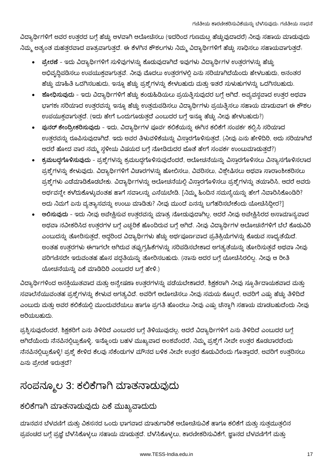ವಿದ್ಯಾರ್ಥಿಗಳಿಗೆ ಅವರ ಉತ್ತರದ ಬಗ್ಗೆ ಹೆಚ್ಚು ಆಳವಾಗಿ ಆಲೋಚಿಸಲು (ಇದರಿಂದ ಗುಣಮಟ್ಟ ಹೆಚ್ಚುವುದಾದರೆ) ನೀವು ಸಹಾಯ ಮಾಡುವುದು ನಿಮ್ಮ ಅತ್ಯಂತ ಮಹತ್ತರವಾದ ಪಾತ್ರವಾಗುತ್ತದೆ. ಈ ಕೆಳಗಿನ ಕೌಶಲಗಳು ನಿಮ್ಮ ವಿದ್ಯಾರ್ಥಿಗಳಿಗೆ ಹೆಚ್ಚು ಸಾಧಿಸಲು ಸಹಾಯವಾಗುತ್ತದೆ.

- ಪ್ರೇರಣೆ ಇದು ವಿದ್ಯಾರ್ಥಿಗಳಿಗೆ ಸುಳಿವುಗಳನ್ನು ಕೊಡುವುದಾಗಿದೆ ಇವುಗಳು ವಿದ್ಯಾರ್ಥಿಗಳ ಉತ್ತರಗಳನ್ನು ಹೆಚ್ಚು ಅಭಿವೃದ್ಧಿಪಡಿಸಲು ಉಪಯುಕ್ತವಾಗುತ್ತವೆ. ನೀವು ಮೊದಲು ಉತ್ತರಗಳಲ್ಲಿ ಏನು ಸರಿಯಾಗಿದೆಯೆಂದು ಹೇಳಬಹುದು, ಅನಂತರ ಹೆಚ್ಚು ಮಾಹಿತಿ ಒದಗಿಸಬಹುದು, ಇನ್ನೂ ಹೆಚ್ಚು ಪ್ರಶ್ನೆಗಳನ್ನು ಕೇಳಬಹುದು ಮತ್ತು ಇತರೆ ಸುಳುಹುಗಳನ್ನು ಒದಗಿಸಬಹುದು.
- ಶೋಧಿಸುವುದು ಇದು ವಿದ್ಯಾರ್ಥಿಗಳಿಗೆ ಹೆಚ್ಚು ಕಂಡುಹಿಡಿಯಲು ಪ್ರಯತ್ನಿಸುವುದರ ಬಗ್ಗೆ ಆಗಿದೆ. ಅವ್ಯವಸ್ಥವಾದ ಉತ್ತರ ಅಥವಾ ಭಾಗಶಃ ಸರಿಯಾದ ಉತ್ತರವನ್ನು ಇನ್ನೂ ಹೆಚ್ಚು ಉತ್ತಮಪಡಿಸಲು ವಿದ್ಯಾರ್ಥಿಗಳು ಪ್ರಯತ್ನಿಸಲು ಸಹಾಯ ಮಾಡುವಾಗ ಈ ಕೌಶಲ ಉಪಯುಕ್ತವಾಗುತ್ತದೆ. (ಇದು ಹೇಗೆ ಒಂದುಗೂಡುತ್ತದೆ ಎಂಬುದರ ಬಗ್ಗೆ ಇನ್ನೂ ಹೆಚ್ಚು ನೀವು ಹೇಳಬಹುದು?)
- ಪುನರ್ ಕೇಂದ್ರೀಕರಿಸುವುದು ಇದು, ವಿದ್ಯಾರ್ಥಿಗಳ ಪೂರ್ವ ಕಲಿಕೆಯನ್ನು ಈಗಿನ ಕಲಿಕೆಗೆ ಸಂಪರ್ಕ ಕಲ್ಪಿಸಿ ಸರಿಯಾದ ಉತ್ತರವನ್ನು ರೂಪಿಸುವುದಾಗಿದೆ. ಇದು ಅವರ ತಿಳುವಳಿಕೆಯನ್ನು ವಿಸ್ತಾರಗೊಳಿಸುತ್ತದೆ. (ನೀವು ಏನು ಹೇಳಿದಿರಿ, ಅದು ಸರಿಯಾಗಿದೆ ಆದರೆ ಹೋದ ವಾರ ನಮ್ಮ ಸ್ಥಳೀಯ ವಿಷಯದ ಬಗ್ಗೆ ನೋಡಿದುದರ ಜೊತೆ ಹೇಗೆ ಸಂಪರ್ಕ ಉಂಟುಮಾಡುತ್ತದೆ?)
- ಕ್ರಮಬದ್ದಗೊಳಿಸುವುದು ಪ್ರಶ್ನೆಗಳನ್ನು ಕ್ರಮಬದ್ದಗೊಳಿಸುವುದೆಂದರೆ, ಆಲೋಚನೆಯನ್ನು ವಿಸ್ತಾರಗೊಳಿಸಲು ವಿನ್ಯಾಸಗೊಳಿಸಲಾದ ಪ್ರಶ್ನೆಗಳನ್ನು ಕೇಳುವುದು. ವಿದ್ಯಾರ್ಥಿಗಳಿಗೆ ವಿಚಾರಗಳನ್ನು ಹೋಲಿಸಲು, ವಿವರಿಸಲು, ವಿಶ್ಲೇಷಿಸಲು ಅಥವಾ ಸಾರಾಂಶೀಕರಿಸಲು ಪ್ರಶ್ನೆಗಳು ಎಡೆಮಾಡಿಕೊಡಬೇಕು. ವಿದ್ಯಾರ್ಥಿಗಳನ್ನು ಆಲೋಚನೆಯಲ್ಲಿ ವಿಸ್ತಾರಗೊಳಿಸಲು ಪ್ರಶ್ನೆಗಳನ್ನು ತಯಾರಿಸಿ, ಆದರೆ ಅವರು ಅರ್ಥವನ್ನೇ ಕಳೆದುಕೊಳ್ಳುವಂತಹ ಹಾಗೆ ಸವಾಲನ್ನು ಎಸೆಯಬೇಡಿ. [ನಿಮ್ಮ ಹಿಂದಿನ ಸಮಸ್ಯೆಯನ್ನು ಹೇಗೆ ನಿವಾರಿಸಿಕೊಂಡಿರಿ? ಅದು ನಿಮಗೆ ಏನು ವ್ಯತ್ಯಾಸವನ್ನು ಉಂಟು ಮಾಡಿತು? ನೀವು ಮುಂದೆ ಏನನ್ನು ಬಗೆಹರಿಸಬೇಕೆಂದು ಯೋಚಿಸಿದ್ದೀರ?]
- ಆಲಿಸುವುದು ಇದು ನೀವು ಅಪೇಕ್ಷಿಸುವ ಉತ್ತರವನ್ನು ಮಾತ್ರ ನೋಡುವುದಾಗಿಲ್ಲ. ಆದರೆ ನೀವು ಅಪೇಕ್ಷಿಸಿರದ ಅಸಾಮಾನ್ಯವಾದ ಅಥವಾ ನವೀಕರಿಸಿದ ಉತ್ತರಗಳ ಬಗ್ಗೆ ಎಚ್ಚರಿಕೆ ಹೊಂದಿರುವ ಬಗ್ಗೆ ಆಗಿದೆ. ನೀವು ವಿದ್ಯಾರ್ಥಿಗಳ ಆಲೋಚನೆಗಳಿಗೆ ಬೆಲೆ ಕೊಡುವಿರಿ ಎಂಬುದನ್ನು ತೋರಿಸುತ್ತದೆ, ಆದ್ದರಿಂದ ವಿದ್ಯಾರ್ಥಿಗಳು ಹೆಚ್ಚು ಅರ್ಥಪೂರ್ಣವಾದ ಪ್ರತಿಕ್ರಿಯೆಗಳನ್ನು ಕೊಡುವ ಸಾಧ್ಯತೆಯಿದೆ. ಅಂತಹ ಉತ್ತರಗಳು ಈಗಾಗಲೇ ಆಗಿರುವ ತಪ್ಪುಗ್ರಹಿಕೆಗಳನ್ನು ಸರಿಪಡಿಸಬೇಕಾದ ಅಗತ್ಯತೆಯನ್ನು ತೋರಿಸುತ್ತವೆ ಅಥವಾ ನೀವು ಪರಿಗಣಿಸದೇ ಇರುವಂತಹ ಹೊಸ ಪದ್ಧತಿಯನ್ನು ತೋರಿಸಬಹುದು. (ನಾನು ಅದರ ಬಗ್ಗೆ ಯೋಚಿಸಿರಲಿಲ್ಲ. ನೀವು ಆ ರೀತಿ ಯೋಚನೆಯನ್ನು ಏಕೆ ಮಾಡಿದಿರಿ ಎಂಬುದರ ಬಗ್ಗೆ ಹೇಳಿ.)

ವಿದ್ಯಾರ್ಥಿಗಳಿಂದ ಆಸಕ್ತಿಯುತವಾದ ಮತ್ತು ಅನ್ವೇಷಣಾ ಉತ್ತರಗಳನ್ನು ಪಡೆಯಬೇಕಾದರೆ, ಶಿಕ್ಷಕರಾಗಿ ನೀವು ಸ್ಪೂರ್ತಿದಾಯಕವಾದ ಮತ್ತು ಸವಾಲೆಸೆಯುವಂತಹ ಪ್ರಶ್ನೆಗಳನ್ನು ಕೇಳುವ ಅಗತ್ಯವಿದೆ. ಅವರಿಗೆ ಆಲೋಚಿಸಲು ನೀವು ಸಮಯ ಕೊಟ್ಟರೆ, ಅವರಿಗೆ ಎಷ್ಟು ಹೆಚ್ಚು ತಿಳಿದಿದೆ ಎಂಬುದು ಮತ್ತು ಅವರ ಕಲಿಕೆಯಲ್ಲಿ ಮುಂದುವರೆಯಲು ಹಾಗೂ ಪ್ರಗತಿ ಹೊಂದಲು ನೀವು ಎಷ್ಟು ಚೆನ್ನಾಗಿ ಸಹಾಯ ಮಾಡಬಹುದೆಂದು ನೀವು ಅರಿಯಬಹುದು.

ಪ್ರಶ್ನಿಸುವುದೆಂದರೆ, ಶಿಕ್ಷಕರಿಗೆ ಏನು ತಿಳಿದಿದೆ ಎಂಬುದರ ಬಗ್ಗೆ ತಿಳಿಯುವುದಲ್ಲ, ಆದರೆ ವಿದ್ಯಾರ್ಥಿಗಳಿಗೆ ಏನು ತಿಳಿದಿದೆ ಎಂಬುದರ ಬಗ್ಗೆ ಆಗಿದೆಯೆಂದು ನೆನಪಿನಲ್ಲಿಟ್ಟುಕೊಳ್ಳಿ. ಇನ್ನೊಂದು ಬಹಳ ಮುಖ್ಯವಾದ ಅಂಶವೆಂದರೆ, ನಿಮ್ಮ ಪ್ರಶ್ನೆಗೆ ನೀವೇ ಉತ್ತರ ಕೊಡಬಾರದೆಂದು ನೆನಪಿನಲ್ಲಿಟ್ಟುಕೊಳ್ಳಿ! ಪ್ರಶ್ನೆ ಕೇಳಿದ ಕೆಲವು ಸೆಕೆಂಡುಗಳ ಮೌನದ ಬಳಿಕ ನೀವೇ ಉತ್ತರ ಕೊಡುವಿರೆಂದು ಗೊತ್ತಾದರೆ, ಅವರಿಗೆ ಉತ್ತರಿಸಲು ಏನು ಪ್ರೇರಣೆ ಇರುತ್ತದೆ?

### ಸಂಪನ್ಮೂಲ 3: ಕಲಿಕೆಗಾಗಿ ಮಾತನಾಡುವುದು

#### ಕಲಿಕೆಗಾಗಿ ಮಾತನಾಡುವುದು ಏಕೆ ಮುಖ್ಯವಾದುದು

ಮಾನವನ ಬೆಳವಣಿಗೆ ಮತ್ತು ವಿಕಸನದ ಒಂದು ಭಾಗವಾದ ಮಾತುಗಾರಿಕೆ ಆಲೋಚಿಸುವಿಕೆ ಹಾಗೂ ಕಲಿಕೆಗೆ ಮತ್ತು ಸುತ್ತಮುತ್ತಲಿನ ಪ್ರಪಂಚದ ಬಗ್ಗೆ ಪ್ರಜ್ಞೆ ಬೆಳೆಸಿಕೊಳ್ಳಲು ಸಹಾಯ ಮಾಡುತ್ತದೆ. ಬೆಳೆಸಿಕೊಳ್ಳಲು, ಕಾರಣೀಕರಿಸುವಿಕೆಗೆ, ಜ್ಞಾನದ ಬೆಳವಣಿಗೆಗೆ ಮತ್ತು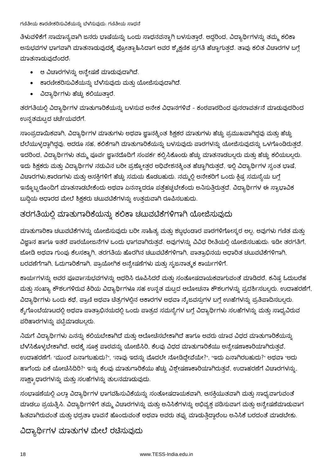#### ಗಣಿತೀಯ ಕಾರಣೀಕರಿಸುವಿಕೆಯನ್ನು ಬೆಳೆಸುವುದು. ಗಣಿತೀಯ ಸಾಧನೆ

ತಿಳುವಳಿಕೆಗೆ ಸಾಮಾನ್ಯವಾಗಿ ಜನರು ಭಾಷೆಯನ್ನು ಒಂದು ಸಾಧನವನ್ನಾಗಿ ಬಳಸುತ್ತಾರೆ. ಆದ್ದರಿಂದ, ವಿದ್ಯಾರ್ಥಿಗಳನ್ನು ತಮ್ಮ ಕಲಿಕಾ ಅನುಭವಗಳ ಭಾಗವಾಗಿ ಮಾತನಾಡುವುದಕ್ಕೆ ಪ್ರೋತ್ಸಾಹಿಸಿದಾಗ ಅವರ ಶೈಕ್ಷಣಿಕ ಪ್ರಗತಿ ಹೆಚ್ಚಾಗುತ್ತದೆ. ತಾವು ಕಲಿತ ವಿಚಾರಗಳ ಬಗ್ಗೆ ಮಾತನಾಡುವುದೆಂದರೆ.

- ಆ ವಿಚಾರಗಳನ್ನು ಅನ್ಚೇಷಣೆ ಮಾಡುವುದಾಗಿದೆ.
- ಕಾರಣೀಕರಿಸುವಿಕೆಯನ್ನು ಬೆಳೆಸುವುದು ಮತ್ತು ಯೋಜಿಸುವುದಾಗಿದೆ.
- ವಿದ್ಯಾರ್ಥಿಗಳು ಹೆಚ್ಚು ಕಲಿಯುತ್ತಾರೆ.

ತರಗತಿಯಲ್ಲಿ ವಿದ್ಯಾರ್ಥಿಗಳ ಮಾತುಗಾರಿಕೆಯನ್ನು ಬಳಸುವ ಅನೇಕ ವಿಧಾನಗಳಿವೆ - ಕಂಠಪಾಠದಿಂದ ಪುನರಾವರ್ತನೆ ಮಾಡುವುದರಿಂದ ಉನ್ನತಮಟ್ಟದ ಚರ್ಚೆಯವರೆಗೆ.

ಸಾಂಪ್ರದಾಯಿಕವಾಗಿ, ವಿದ್ಯಾರ್ಥಿಗಳ ಮಾತುಗಳು ಅಥವಾ ಜ್ಞಾನಕ್ಕಿಂತ ಶಿಕ್ಷಕರ ಮಾತುಗಳು ಹೆಚ್ಚು ಪ್ರಮುಖವಾಗಿದ್ದವು ಮತ್ತು ಹೆಚ್ಚು ಬೆಲೆಯುಳ್ಳದ್ದಾಗಿದ್ದವು. ಆದರೂ ಸಹ, ಕಲಿಕೆಗಾಗಿ ಮಾತುಗಾರಿಕೆಯನ್ನು ಬಳಸುವುದು ಪಾಠಗಳನ್ನು ಯೋಜಿಸುವುದನ್ನು ಒಳಗೊಂಡಿರುತ್ತದೆ. ಇದರಿಂದ, ವಿದ್ಯಾರ್ಥಿಗಳು ತಮ್ಮ ಪೂರ್ವ ಜ್ಞಾನದೊದಿಗೆ ಸಂಪರ್ಕ ಕಲ್ಪಿಸಿಕೊಂಡು ಹೆಚ್ಚು ಮಾತನಾಡಬಲ್ಲರು ಮತ್ತು ಹೆಚ್ಚು ಕಲಿಯಬಲ್ಲರು. ಇದು ಶಿಕ್ಷಕರು ಮತ್ತು ವಿದ್ಯಾರ್ಥಿಗಳ ನಡುವಿನ ಬರೀ ಪ್ರಶ್ನೋತ್ತರ ಅಧಿವೇಶನಕ್ಕಿಂತ ಹೆಚ್ಚಾಗಿರುತ್ತದೆ, ಇಲ್ಲಿ ವಿದ್ಯಾರ್ಥಿಗಳ ಸ್ವಂತ ಭಾಷೆ, ವಿಚಾರಗಳು,ಕಾರಣಗಳು ಮತ್ತು ಆಸಕ್ತಿಗಳಿಗೆ ಹೆಚ್ಚು ಸಮಯ ಕೊಡಬಹುದು. ನಮ್ಮಲ್ಲಿ ಅನೇಕರಿಗೆ ಒಂದು ಕ್ಲಿಷ್ಟ ಸಮಸ್ಯೆಯ ಬಗ್ಗೆ ಇನ್ನೊಬ್ಬರೊಂದಿಗೆ ಮಾತನಾಡಬೇಕೆಂದು ಅಥವಾ ಏನನ್ನಾದರೂ ಪತ್ತೆಹಚ್ಚಬೇಕೆಂದು ಅನಿಸುತ್ತಿರುತ್ತದೆ. ವಿದ್ಯಾರ್ಥಿಗಳ ಈ ಸ್ವಾಭಾವಿಕ ಬುದ್ಧಿಯ ಆಧಾರದ ಮೇಲೆ ಶಿಕ್ಷಕರು ಚಟುವಟಿಕೆಗಳನ್ನು ಉತ್ತಮವಾಗಿ ರೂಪಿಸಬಹುದು.

#### ತರಗತಿಯಲ್ಲಿ ಮಾತುಗಾರಿಕೆಯನ್ನು ಕಲಿಕಾ ಚಟುವಟಿಕೆಗಳಿಗಾಗಿ ಯೋಜಿಸುವುದು

ಮಾತುಗಾರಿಕಾ ಚಟುವಟಿಕೆಗಳನ್ನು ಯೋಜಿಸುವುದು ಬರೀ ಸಾಹಿತ್ಯ ಮತ್ತು ಶಬ್ದಭಂಡಾರ ಪಾಠಗಳಿಗೋಸ್ಕರ ಅಲ್ಲ. ಅವುಗಳು ಗಣಿತ ಮತ್ತು ವಿಜ್ಞಾನ ಹಾಗೂ ಇತರೆ ಪಾಠಯೋಜನೆಗಳ ಒಂದು ಭಾಗವಾಗಿರುತ್ತವೆ. ಅವುಗಳನ್ನು ವಿವಿಧ ರೀತಿಯಲ್ಲಿ ಯೋಜಿಸಬಹುದು. ಇಡೀ ತರಗತಿಗೆ, ಜೋಡಿ ಅಥವಾ ಗುಂಪು ಕೆಲಸಕ್ಕಾಗಿ, ತರಗತಿಯ ಹೊರಗಿನ ಚಟುವಟಿಕೆಗಳಿಗಾಗಿ, ಪಾತ್ರಾಭಿನಯ ಆಧಾರಿತ ಚಟುವಟಿಕೆಗಳಿಗಾಗಿ, ಬರವಣೆಗೆಗಾಗಿ, ಓದುಗಾರಿಕೆಗಾಗಿ, ಪ್ರಾಯೋಗಿಕ ಅನ್ವೇಷಣೆಗಳು ಮತ್ತು ಸೃಜನಾತ್ಮಕ ಕಾರ್ಯಗಳಿಗೆ.

ಕಾರ್ಯಗಳನ್ನು ಅವರ ಪೂರ್ವಾನುಭವಗಳನ್ನು ಆಧರಿಸಿ ರೂಪಿಸಿದರೆ ಮತ್ತು ಸಂತೋಷದಾಯಕವಾಗುವಂತೆ ಮಾಡಿದರೆ, ಕನಿಷ್ಟ ಓದುಬರೆಹ ಮತ್ತು ಸಂಖ್ಯಾ ಕೌಶಲಗಳಿರುವ ಕಿರಿಯ ವಿದ್ಯಾರ್ಥಿಗಳೂ ಸಹ ಉನ್ನತ ಮಟ್ಟದ ಆಲೋಚನಾ ಕೌಶಲಗಳನ್ನು ಪ್ರದರ್ಶಿಸಬಲ್ಲರು. ಉದಾಹರಣೆಗೆ, ವಿದ್ಯಾರ್ಥಿಗಳು ಒಂದು ಕಥೆ, ಪ್ರಾಣಿ ಅಥವಾ ಚೆತ್ರಗಳಲ್ಲಿನ ಆಕಾರಗಳ ಅಥವಾ ನೈಜವಸ್ತುಗಳ ಬಗ್ಗೆ ಉಾಹೆಗಳನ್ನು ಪ್ರತಿಪಾದಿಸಬಲ್ಲರು. ಕೈಗೊಂಬೆಯಾಟದಲ್ಲಿ ಅಥವಾ ಪಾತ್ರಾಭಿನಯದಲ್ಲಿ ಒಂದು ಪಾತ್ರದ ಸಮಸ್ಯೆಗಳ ಬಗ್ಗೆ ವಿದ್ಯಾರ್ಥಿಗಳು ಸಲಹೆಗಳನ್ನು ಮತ್ತು ಸಾಧ್ಯವಿರುವ ಪರಿಹಾರಗಳನ್ನು ಪಟ್ಟಿಮಾಡಬಲ್ಲರು.

ನಿಮಗೆ ವಿದ್ಯಾರ್ಥಿಗಳು ಏನನ್ನು ಕಲಿಯಬೇಕಾಗಿದೆ ಮತ್ತು ಆಲೋಚಿಸಬೇಕಾಗಿದೆ ಹಾಗೂ ಅವರು ಯಾವ ವಿಧದ ಮಾತುಗಾರಿಕೆಯನ್ನು ಬೆಳ'ಸಿಕೊಳ್ಳಬೇಕಾಗಿದೆ, ಅದಕ್ಕೆ ಸೂಕ್ತ ಪಾಠವನ್ನು ಯೋಜಿಸಿರಿ, ಕೆಲವು ವಿಧದ ಮಾತುಗಾರಿಕೆಯು ಅನ್ವೇಷಣಾಕಾರಿಯಾಗಿರುತ್ತವೆ, ಉದಾಹರಣೆಗೆ: "ಮುಂದೆ ಏನಾಗಬಹುದು?", "ನಾವು ಇದನ್ನು ಮೊದಲೇ ನೋಡಿದ್ದೇವೆಯೇ?", "ಇದು ಏನಾಗಿರಬಹುದು?" ಅಥವಾ "ಅದು ಹಾಗೆಂದು ಏಕೆ ಯೋಚಿಸಿದಿರಿ?" ಇನ್ನು ಕೆಲವು ಮಾತುಗಾರಿಕೆಯು ಹೆಚ್ಚು ವಿಶ್ಲೇಷಣಾಕಾರಿಯಾಗಿರುತ್ತವೆ, ಉದಾಹರಣೆಗೆ ವಿಚಾರಗಳನ್ನು, ಸಾಕ್ಷ್ಯಾಧಾರಗಳನ್ನು ಮತ್ತು ಸಲಹೆಗಳನ್ನು ತುಲನಮಾಡುವುದು.

ಸಂಭಾಷಣೆಯಲ್ಲಿ ಎಲ್ಲಾ ವಿದ್ಯಾರ್ಥಿಗಳ ಭಾಗವಹಿಸುವಿಕೆಯನ್ನು ಸಂತೋಷದಾಯಕವಾಗಿ, ಆಸಕ್ತಿಯುತವಾಗಿ ಮತ್ತು ಸಾಧ್ಯವಾಗುವಂತ ಮಾಡಲು ಪ್ರಯತ್ನಿಸಿ. ವಿದ್ಯಾರ್ಥಿಗಳಿಗೆ ತಮ್ಮ ವಿಚಾರಗಳನ್ನು ಮತ್ತು ಅನಿಸಿಕೆಗಳನ್ನು ಅಭಿವ್ಯಕ್ತ ಪಡಿಸುವಾಗ ಮತ್ತು ಅನ್ವೇಷಣೆಮಾಡುವಾಗ ಹಿತವಾಗಿರುವಂತೆ ಮತ್ತು ಭದ್ರತಾ ಭಾವನೆ ಹೊಂದುವಂತೆ ಅಥವಾ ಅವರು ತಪ್ಪು ಮಾಡುತ್ತಿದ್ದಾರೆಂಬ ಅನಿಸಿಕೆ ಬರದಂತೆ ಮಾಡಬೇಕು.

ವಿದ್ಯಾರ್ಥಿಗಳ ಮಾತುಗಳ ಮೇಲೆ ರಚೆಸುವುದು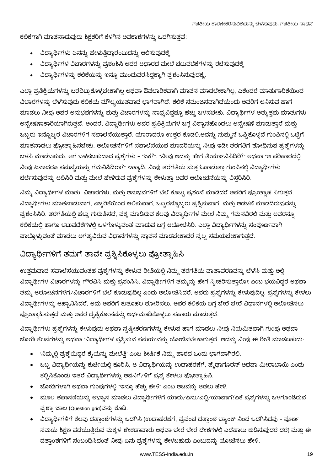ಕಲಿಕೆಗಾಗಿ ಮಾತನಾಡುವುದು ಶಿಕ್ಷಕರಿಗೆ ಕೆಳಗಿನ ಅವಕಾಶಗಳನ್ನು ಒದಗಿಸುತ್ತವೆ:

- ವಿದ್ಯಾರ್ಥಿಗಳು ಏನನ್ನು ಹೇಳುತ್ತಿದ್ದಾರೆಂಬುದನ್ನು ಆಲಿಸುವುದಕ್ಕೆ
- ವಿದ್ಯಾರ್ಥಿಗಳ ವಿಚಾರಗಳನ್ನು ಪ್ರಶಂಶಿಸಿ ಅದರ ಆಧಾರದ ಮೇಲೆ ಚಟುವಟಿಕೆಗಳನ್ನು ರಚೆಸುವುದಕ್ಕೆ  $\bullet$
- ್ಷದಿದ್ಯಾರ್ಥಿಗಳನ್ನು ಕಲಿಕೆಯನ್ನು ಇನ್ನೂ ಮುಂದುವರೆಸಿದ್ದಕ್ಕಾಗಿ ಪ್ರಶಂಸಿಸುವುದಕ್ಕೆ.

ಎಲ್ಲಾ ಪ್ರತಿಕ್ರಿಯೆಗಳನ್ನು ಬರೆದಿಟ್ಟುಕೊಳ್ಳಬೇಕಾಗಿಲ್ಲ ಅಥವಾ ಔಪಚಾರಿಕವಾಗಿ ಮಾಪನ ಮಾಡಬೇಕಾಗಿಲ್ಲ, ಏಕೆಂದರೆ ಮಾತುಗಾರಿಕೆಯಿಂದ ವಿಚಾರಗಳನ್ನು ಬೆಳೆಸುವುದು ಕಲಿಕೆಯ ಮೌಲ್ಯಯುತವಾದ ಭಾಗವಾಗಿದೆ. ಕಲಿಕೆ ಸಮಂಜಸವಾಗಿದೆಯೆಂದು ಅವರಿಗೆ ಅನಿಸುವ ಹಾಗೆ ಮಾಡಲು ನೀವು ಅವರ ಅನುಭವಗಳನ್ನು ಮತ್ತು ವಿಚಾರಗಳನ್ನು ಸಾಧ್ಯವಿದ್ದಷ್ಟೂ ಹೆಚ್ಚು ಬಳಸಬೇಕು. ವಿದ್ಯಾರ್ಥಿಗಳ ಅತ್ಯುತ್ತಮ ಮಾತುಗಳು ಅನ್ವೇಷಣಾಕಾರಿಯಾಗಿರುತ್ತವೆ. ಅಂದರೆ, ವಿದ್ಯಾರ್ಥಿಗಳು ಅವರ ಪ್ರತಿಕ್ರಿಯೆಗಳ ಬಗ್ಗೆ ವಿಶ್ವಾಸಹೊಂದಲು ಅನ್ವೇಷಣೆ ಮಾಡುತ್ತಾರೆ ಮತ್ತು ಒಬ್ಬರು ಇನ್ನೊಬ್ಬರ ವಿಚಾರಗಳಿಗೆ ಸವಾಲೆಸೆಯುತ್ತಾರೆ. ಯಾರಾದರೂ ಉತ್ತರ ಕೊಡಲಿ,ಅದನ್ನು ಸುಮ್ಮನೆ ಒಪ್ಪಿಕೊಳ್ಳದೆ ಗುಂಪಿನಲ್ಲಿ ಒಟ್ಟಿಗೆ ಮಾತನಾಡಲು ಪ್ರೋತ್ಸಾಹಿಸಬೇಕು. ಆಲೋಚನೆಗಳಿಗೆ ಸವಾಲೆಸೆಯುವ ಮಾದರಿಯನ್ನು ನೀವು ಇಡೀ ತರಗತಿಗೆ ಶೋಧಿಸುವ ಪ್ರಶ್ನೆಗಳನ್ನು ಬಳಸಿ ಮಾಡಬಹುದು. ಆಗ ಬಳಸಬಹುದಾದ ಪ್ರಶ್ನೆಗಳು - "ಏಕೆ?". "ನೀವು ಅದನ್ನು ಹೇಗೆ ತೀರ್ಮಾನಿಸಿದಿರಿ?" ಅಥವಾ "ಆ ಪರಿಹಾರದಲ್ಲಿ ನೀವು ಏನಾದರೂ ಸಮಸ್ಯೆಯನ್ನು ಗಮನಿಸಿದಿರಾ?<sub>"</sub> ಇತ್ಯಾದಿ. ನೀವು ತರಗತಿಯ ಸುತ್ತ ಓಡಾಡುತ್ತಾ ಗುಂಪಿನಲ್ಲಿ ವಿದ್ಯಾರ್ಥಿಗಳು ಚರ್ಚೆಸುವುದನ್ನು ಆಲಿಸಿರಿ ಮತ್ತು ಮೇಲೆ ಹೇಳಿರುವ ಪ್ರಶ್ನೆಗಳನ್ನು ಕೇಳುತ್ತಾ ಅವರ ಆಲೋಚನೆಯನ್ನು ವಿಸ್ತರಿಸಿರಿ.

ನಿಮ್ಮ ವಿದ್ಯಾರ್ಥಿಗಳ ಮಾತು, ವಿಚಾರಗಳು, ಮತ್ತು ಅನುಭವಗಳಿಗೆ ಬೆಲೆ ಕೊಟ್ಟು ಪ್ರಶಂಸೆ ಮಾಡಿದರೆ ಅವರಿಗೆ ಪ್ರೋತ್ಸಾಹ ಸಿಗುತ್ತದೆ. ವಿದ್ಯಾರ್ಥಿಗಳು ಮಾತನಾಡುವಾಗ, ಎಚ್ಚರಿಕೆಯಿಂದ ಆಲಿಸುವಾಗ, ಒಬ್ಬರನ್ನೊಬ್ಬರು ಪ್ರಶ್ನಿಸುವಾಗ, ಮತ್ತು ಅಡಚಣೆ ಮಾಡದಿರುವುದನ್ನು ಪ್ರಶಂಸಿಸಿರಿ. ತರಗತಿಯಲ್ಲಿ ಹೆಚ್ಚು ಗುರುತಿಸದೆ, ಪಕ್ಕ ಮಾಡಿರುವ ಕೆಲವು ವಿದ್ಯಾರ್ಥಿಗಳ ಮೇಲೆ ನಿಮ್ಮ ಗಮನವಿರಲಿ ಮತ್ತು ಅವರನ್ನೂ ಕಲಿಕೆಯಲ್ಲಿ ಹಾಗೂ ಚಟುವಟಿಕೆಗಳಲ್ಲಿ ಒಳಗೊಳ್ಳುವಂತೆ ಮಾಡುವ ಬಗ್ಗೆ ಆಲೋಚಿಸಿರಿ. ಎಲ್ಲಾ ವಿದ್ಯಾರ್ಥಿಗಳನ್ನು ಸಂಪೂರ್ಣವಾಗಿ ಪಾಲ್ಗೊಳ್ಳುವಂತೆ ಮಾಡಲು ಅಗತ್ಯವಿರುವ ವಿಧಾನಗಳನ್ನು ಸ್ಥಾಪನೆ ಮಾಡಬೇಕಾದರೆ ಸ್ವಲ್ಪ ಸಮಯಬೇಕಾಗುತ್ತದೆ.

#### ವಿದ್ಯಾರ್ಥಿಗಳಿಗೆ ತಮಗೆ ತಾವೇ ಪ್ರಶ್ನಿಸಿಕೊಳ್ಳಲು ಪ್ರೋತ್ಸಾಹಿಸಿ

ಉತ್ತಮವಾದ ಸವಾಲೆಸೆಯುವಂತಹ ಪ್ರಶ್ನೆಗಳನ್ನು ಕೇಳುವ ರೀತಿಯಲ್ಲಿ ನಿಮ್ಮ ತರಗತಿಯ ವಾತಾವರಣವನ್ನು ಬೆಳೆಸಿ ಮತ್ತು ಅಲ್ಲಿ ವಿದ್ಯಾರ್ಥಿಗಳ ವಿಚಾರಗಳನ್ನು ಗೌರವಿಸಿ ಮತ್ತು ಪ್ರಶಂಸಿಸಿ. ವಿದ್ಯಾರ್ಥಿಗಳಿಗೆ ತಮ್ಮನ್ನು ಹೇಗೆ ಸ್ವೀಕರಿಸುತ್ತಾರೋ ಎಂಬ ಭಯವಿದ್ದರೆ ಅಥವಾ ತಮ್ಮ ಆಲೋಚನೆಗಳಿಗೆ ⁄ ವಿಚಾರಗಳಿಗೆ ಬೆಲೆ ಕೊಡುವುದಿಲ್ಲ ಎಂದು ಆಲೋಚಿಸಿದರೆ, ಅವರು ಪ್ರಶ್ನೆಗಳನ್ನು ಕೇಳುವುದಿಲ್ಲ. ಪ್ರಶ್ನೆಗಳನ್ನು ಕೇಳಲು ವಿದ್ಯಾರ್ಥಿಗಳನ್ನು ಆಹ್ಯಾನಿಸಿದರೆ, ಅದು ಅವರಿಗೆ ಕುತೂಹಲ ತೋರಿಸಲು, ಅವರ ಕಲಿಕೆಯ ಬಗ್ಗೆ ಬೇರೆ ಬೇರೆ ವಿಧಾನಗಳಲ್ಲಿ ಆಲೋಚಿಸಲು ಪ್ರೋತ್ಸಾಹಿಸುತ್ತದೆ ಮತ್ತು ಅವರ ದೃಷ್ಟಿಕೋನವನ್ನು ಅರ್ಥಮಾಡಿಕೊಳ್ಳಲು ಸಹಾಯ ಮಾಡುತ್ತದೆ.

ವಿದ್ಯಾರ್ಥಿಗಳು ಪ್ರಶ್ನೆಗಳನ್ನು ಕೇಳುವುದು ಅಥವಾ ಸ್ಪಷ್ಟೀಕರಣಗಳನ್ನು ಕೇಳುವ ಹಾಗೆ ಮಾಡಲು ನೀವು ನಿಯಮಿತವಾಗಿ ಗುಂಪು ಅಥವಾ ಜೋಡಿ ಕೆಲಸಗಳನ್ನು ಅಥವಾ "ವಿದ್ಯಾರ್ಥಿಗಳ ಪ್ರಶ್ನಿಸುವ ಸಮಯ"ವನ್ನು ಯೋಜಿಸಬೇಕಾಗುತ್ತದೆ. ಅದನ್ನು ನೀವು ಈ ರೀತಿ ಮಾಡಬಹುದು.

- 'ನಿಮ್ಮಲ್ಲಿ ಪ್ರಶ್ನೆಯಿದ್ದರೆ ಕೈಯನ್ನು ಮೇಲೆತ್ತಿ' ಎಂಬ ಶೀರ್ಷಿಕೆ ನಿಮ್ಮ ಪಾಠದ ಒಂದು ಭಾಗವಾಗಿರಲಿ.
- ಒಬ್ಬ ವಿದ್ಯಾರ್ಥಿಯನ್ನು ಕುರ್ಚಿಯಲ್ಲಿ ಕೂರಿಸಿ, ಆ ವಿದ್ಯಾರ್ಥಿಯನ್ನು ಉದಾಹರಣೆಗೆ, ಪೈಥಾಗೊರಸ್ ಅಥವಾ ಮೀರಾಬಾಯಿ ಎಂದು ಕಲ್ಪಿಸಿಕೊಂಡು ಇತರೆ ವಿದ್ಯಾರ್ಥಿಗಳನ್ನು ಅವನಿಗೆ/ಳಿಗೆ ಪ್ರಶ್ನೆ ಕೇಳಲು ಪ್ರೋತ್ಸಾಹಿಸಿ.
- ಜೋಡಿಗಳಾಗಿ ಅಥವಾ ಗುಂಪುಗಳಲ್ಲಿ "ಇನ್ನೂ ಹೆಚ್ಚು ಹೇಳಿ" ಎಂಬ ಆಟವನ್ನು ಆಡಲು ಹೇಳಿ.
- $\bullet$  ಮೂಲ ತಪಾಸಣೆಯನ್ನು ಅಭ್ಯಾಸ ಮಾಡಲು ವಿದ್ಯಾರ್ಥಿಗಳಿಗೆ ಯಾರು/ಏನು/ಎಲ್ಲಿ/ಯಾವಾಗ?ಏಕೆ ಪ್ರಶ್ನೆಗಳನ್ನು ಒಳಗೊಂಡಿರುವ ಪ್ರಶ್ನಾ ಜಾಲ (Question grid)ವನ್ನು ಕೊಡಿ.
- ವಿದ್ಯಾರ್ಥಿಗಳಿಗೆ ಕೆಲವು ದತ್ತಾಂಶಗಳನ್ನು ಒದಗಿಸಿ (ಉದಾಹರಣೆಗೆ, ಪ್ರಪಂಚ ದತ್ತಾಂಶ ಬ್ಯಾಂಕ್ ನಿಂದ ಒದಗಿಸಿದವು ಪೂರ್ಣ ಸಮಯ ಶಿಕ್ಷಣ ಪಡೆಯುತ್ತಿರುವ ಮಕ್ಕಳ ಶೇಕಡಾವಾರು ಅಥವಾ ಬೇರೆ ಬೇರೆ ದೇಶಗಳಲ್ಲಿ ಎದೆಹಾಲು ಕುಡಿಸುವುದರ ದರ) ಮತ್ತು ಈ ದತ್ತಾಂಶಗಳಿಗೆ ಸಂಬಂಧಿಸಿದಂತೆ ನೀವು ಏನು ಪ್ರಶ್ನೆಗಳನ್ನು ಕೇಳಬಹುದು ಎಂಬುದನ್ನು ಯೋಚಿಸಲು ಹೇಳಿ.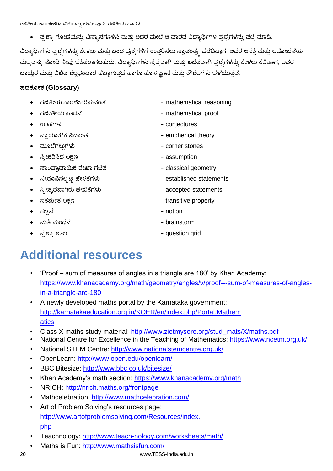್ರಪಶ್ನಾ ಗೋಡೆಯನ್ನು ವಿನ್ಯಾಸಗೊಳಿಸಿ ಮತ್ತು ಅದರ ಮೇಲೆ ಆ ವಾರದ ವಿದ್ಯಾರ್ಥಿಗಳ ಪ್ರಶ್ನೆಗಳನ್ನು ಪಟ್ಟಿ ಮಾಡಿ.

ವಿದ್ಯಾರ್ಥಿಗಳು ಪ್ರಶ್ನೆಗಳನ್ನು ಕೇಳಲು ಮತ್ತು ಬಂದ ಪ್ರಶ್ನೆಗಳಿಗೆ ಉತ್ತರಿಸಲು ಸ್ವಾತಂತ್ರ್ಯ ಪಡೆದಿದ್ದಾಗ, ಅವರ ಆಸಕ್ತಿ ಮತ್ತು ಆಲೋಚನೆಯ ಮಟ್ಟವನ್ನು ನೋಡಿ ನೀವು ಚಕಿತರಾಗಬಹುದು. ವಿದ್ಯಾರ್ಥಿಗಳು ಸ್ಪಷ್ಟವಾಗಿ ಮತ್ತು ಖಚಿತವಾಗಿ ಪ್ರಶ್ನೆಗಳನ್ನು ಕೇಳಲು ಕಲಿತಾಗ, ಅವರ ಬಾಯ್ದೆರೆ ಮತ್ತು ಲಿಖಿತ ಶಬ್ದಭಂಡಾರ ಹೆಚ್ಚಾಗುತ್ತದೆ ಹಾಗೂ ಹೊಸ ಜ್ಞಾನ ಮತ್ತು ಕೌಶಲಗಳು ಬೆಳೆಯುತ್ತವೆ.

#### **(Glossary)**

- mathematical reasoning
- 
- 
- empherical theory
- 
- assumption
- classical geometry
- 
- accepted statements
- 
- notion
- brainstorm
- 
- 
- mathematical proof
- conjectures
	-
- corner stones
	-
	-
- established statements
	-
- transitive property
	-
	-
	- question grid

### **Additional resources**

- 'Proof sum of measures of angles in a triangle are 180' by Khan Academy: https://www.khanacademy.org/math/geometry/angles/v/proof---sum-of-measures-of-anglesin-a-triangle-are-180
- A newly developed maths portal by the Karnataka government: http://karnatakaeducation.org.in/KOER/en/index.php/Portal:Mathem atics
- Class X maths study material: http://www.zietmysore.org/stud\_mats/X/maths.pdf
- National Centre for Excellence in the Teaching of Mathematics: https://www.ncetm.org.uk/
- National STEM Centre: http://www.nationalstemcentre.org.uk/
- OpenLearn: http://www.open.edu/openlearn/
- BBC Bitesize: http://www.bbc.co.uk/bitesize/
- Khan Academy's math section: https://www.khanacademy.org/math
- NRICH: http://nrich.maths.org/frontpage
- Mathcelebration: http://www.mathcelebration.com/
- Art of Problem Solving's resources page: http://www.artofproblemsolving.com/Resources/index. php
- Teachnology: http://www.teach-nology.com/worksheets/math/
- Maths is Fun: http://www.mathsisfun.com/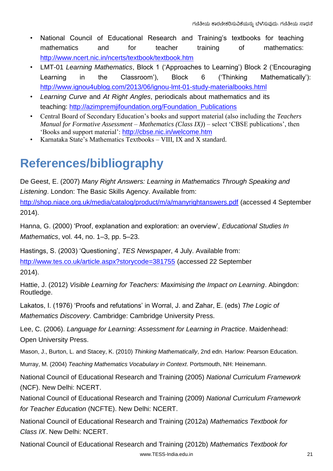- National Council of Educational Research and Training's textbooks for teaching mathematics and for teacher training of mathematics: http://www.ncert.nic.in/ncerts/textbook/textbook.htm
- LMT-01 *Learning Mathematics*, Block 1 ('Approaches to Learning') Block 2 ('Encouraging Learning in the Classroom'), Block 6 ('Thinking Mathematically'): http://www.ignou4ublog.com/2013/06/ignou-lmt-01-study-materialbooks.html
- *Learning Curve* and *At Right Angles*, periodicals about mathematics and its teaching: http://azimpremjifoundation.org/Foundation\_Publications
- Central Board of Secondary Education's books and support material (also including the *Teachers Manual for Formative Assessment – Mathematics (Class IX)*) – select 'CBSE publications', then 'Books and support material': <http://cbse.nic.in/welcome.htm>
- Karnataka State's Mathematics Textbooks VIII, IX and X standard.

### **References/bibliography**

De Geest, E. (2007) *Many Right Answers: Learning in Mathematics Through Speaking and Listening*. London: The Basic Skills Agency. Available from:

http://shop.niace.org.uk/media/catalog/product/m/a/manyrightanswers.pdf (accessed 4 September 2014).

Hanna, G. (2000) 'Proof, explanation and exploration: an overview', *Educational Studies In Mathematics*, vol. 44, no. 1–3, pp. 5–23.

Hastings, S. (2003) 'Questioning', *TES Newspaper*, 4 July. Available from:

http://www.tes.co.uk/article.aspx?storycode=381755 (accessed 22 September

2014).

Hattie, J. (2012) *Visible Learning for Teachers: Maximising the Impact on Learning*. Abingdon: Routledge.

Lakatos, I. (1976) 'Proofs and refutations' in Worral, J. and Zahar, E. (eds) *The Logic of Mathematics Discovery*. Cambridge: Cambridge University Press.

Lee, C. (2006). *Language for Learning: Assessment for Learning in Practice*. Maidenhead: Open University Press.

Mason, J., Burton, L. and Stacey, K. (2010) *Thinking Mathematically*, 2nd edn. Harlow: Pearson Education.

Murray, M. (2004) *Teaching Mathematics Vocabulary in Context*. Portsmouth, NH: Heinemann.

National Council of Educational Research and Training (2005) *National Curriculum Framework* (NCF). New Delhi: NCERT.

National Council of Educational Research and Training (2009) *National Curriculum Framework for Teacher Education* (NCFTE). New Delhi: NCERT.

National Council of Educational Research and Training (2012a) *Mathematics Textbook for Class IX*. New Delhi: NCERT.

National Council of Educational Research and Training (2012b) *Mathematics Textbook for*